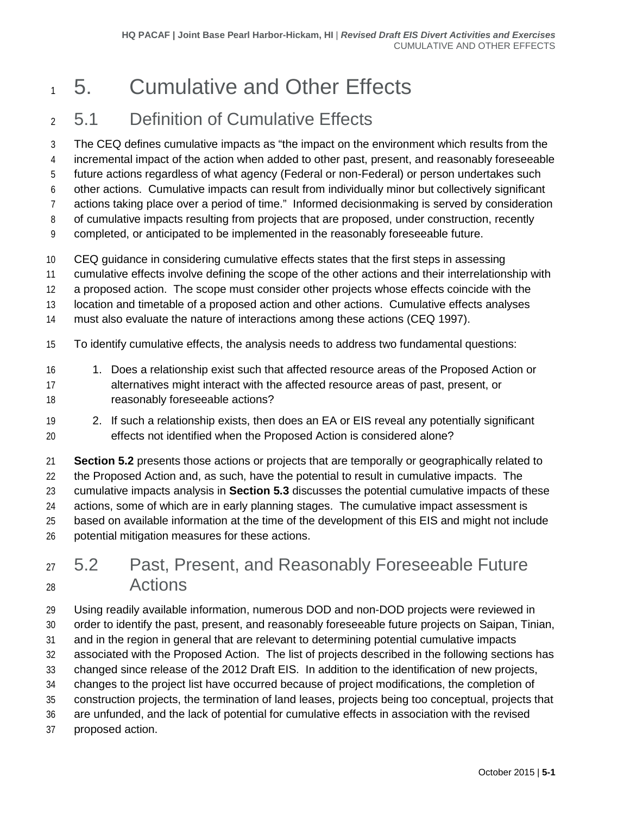# 5. Cumulative and Other Effects

## 5.1 Definition of Cumulative Effects

 The CEQ defines cumulative impacts as "the impact on the environment which results from the incremental impact of the action when added to other past, present, and reasonably foreseeable future actions regardless of what agency (Federal or non-Federal) or person undertakes such other actions. Cumulative impacts can result from individually minor but collectively significant actions taking place over a period of time." Informed decisionmaking is served by consideration of cumulative impacts resulting from projects that are proposed, under construction, recently completed, or anticipated to be implemented in the reasonably foreseeable future.

 CEQ guidance in considering cumulative effects states that the first steps in assessing cumulative effects involve defining the scope of the other actions and their interrelationship with

a proposed action. The scope must consider other projects whose effects coincide with the

location and timetable of a proposed action and other actions. Cumulative effects analyses

must also evaluate the nature of interactions among these actions (CEQ 1997).

To identify cumulative effects, the analysis needs to address two fundamental questions:

- 16 1. Does a relationship exist such that affected resource areas of the Proposed Action or alternatives might interact with the affected resource areas of past, present, or reasonably foreseeable actions?
- 2. If such a relationship exists, then does an EA or EIS reveal any potentially significant effects not identified when the Proposed Action is considered alone?

 **Section 5.2** presents those actions or projects that are temporally or geographically related to 22 the Proposed Action and, as such, have the potential to result in cumulative impacts. The cumulative impacts analysis in **Section 5.3** discusses the potential cumulative impacts of these actions, some of which are in early planning stages. The cumulative impact assessment is based on available information at the time of the development of this EIS and might not include potential mitigation measures for these actions.

## 5.2 Past, Present, and Reasonably Foreseeable Future Actions

Using readily available information, numerous DOD and non-DOD projects were reviewed in

order to identify the past, present, and reasonably foreseeable future projects on Saipan, Tinian,

and in the region in general that are relevant to determining potential cumulative impacts

associated with the Proposed Action. The list of projects described in the following sections has

changed since release of the 2012 Draft EIS. In addition to the identification of new projects,

changes to the project list have occurred because of project modifications, the completion of

construction projects, the termination of land leases, projects being too conceptual, projects that

are unfunded, and the lack of potential for cumulative effects in association with the revised

proposed action.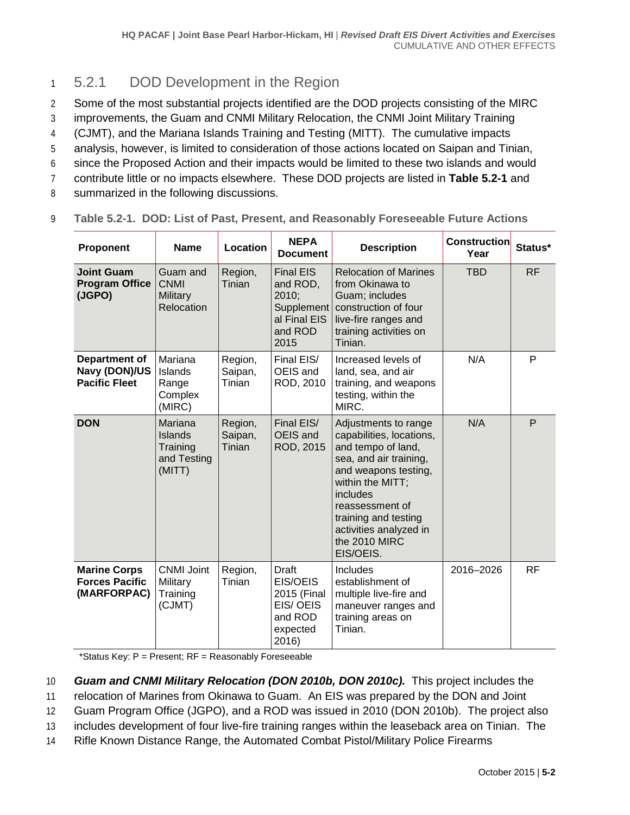## 1 5.2.1 DOD Development in the Region

- 2 Some of the most substantial projects identified are the DOD projects consisting of the MIRC
- 3 improvements, the Guam and CNMI Military Relocation, the CNMI Joint Military Training
- 4 (CJMT), and the Mariana Islands Training and Testing (MITT). The cumulative impacts
- 5 analysis, however, is limited to consideration of those actions located on Saipan and Tinian,
- 6 since the Proposed Action and their impacts would be limited to these two islands and would
- 7 contribute little or no impacts elsewhere. These DOD projects are listed in **Table 5.2-1** and
- 8 summarized in the following discussions.

| Proponent                                                   | <b>Name</b>                                             | Location                     | <b>NEPA</b><br><b>Document</b>                                                         | <b>Description</b>                                                                                                                                                                                                                                          | <b>Construction</b><br>Year | Status*   |
|-------------------------------------------------------------|---------------------------------------------------------|------------------------------|----------------------------------------------------------------------------------------|-------------------------------------------------------------------------------------------------------------------------------------------------------------------------------------------------------------------------------------------------------------|-----------------------------|-----------|
| <b>Joint Guam</b><br><b>Program Office</b><br>(JGPO)        | Guam and<br><b>CNMI</b><br>Military<br>Relocation       | Region,<br>Tinian            | <b>Final EIS</b><br>and ROD,<br>2010;<br>Supplement<br>al Final EIS<br>and ROD<br>2015 | <b>Relocation of Marines</b><br>from Okinawa to<br>Guam; includes<br>construction of four<br>live-fire ranges and<br>training activities on<br>Tinian.                                                                                                      | <b>TBD</b>                  | <b>RF</b> |
| Department of<br>Navy (DON)/US<br><b>Pacific Fleet</b>      | Mariana<br>Islands<br>Range<br>Complex<br>(MIRC)        | Region,<br>Saipan,<br>Tinian | Final EIS/<br>OEIS and<br>ROD, 2010                                                    | Increased levels of<br>land, sea, and air<br>training, and weapons<br>testing, within the<br>MIRC.                                                                                                                                                          | N/A                         | P         |
| <b>DON</b>                                                  | Mariana<br>Islands<br>Training<br>and Testing<br>(MITT) | Region,<br>Saipan,<br>Tinian | Final EIS/<br>OEIS and<br>ROD, 2015                                                    | Adjustments to range<br>capabilities, locations,<br>and tempo of land,<br>sea, and air training,<br>and weapons testing,<br>within the MITT;<br>includes<br>reassessment of<br>training and testing<br>activities analyzed in<br>the 2010 MIRC<br>EIS/OEIS. | N/A                         | P         |
| <b>Marine Corps</b><br><b>Forces Pacific</b><br>(MARFORPAC) | <b>CNMI Joint</b><br>Military<br>Training<br>(CJMT)     | Region,<br>Tinian            | <b>Draft</b><br>EIS/OEIS<br>2015 (Final<br>EIS/OEIS<br>and ROD<br>expected<br>2016)    | Includes<br>establishment of<br>multiple live-fire and<br>maneuver ranges and<br>training areas on<br>Tinian.                                                                                                                                               | 2016-2026                   | <b>RF</b> |

9 **Table 5.2-1. DOD: List of Past, Present, and Reasonably Foreseeable Future Actions**

\*Status Key: P = Present; RF = Reasonably Foreseeable

10 *Guam and CNMI Military Relocation (DON 2010b, DON 2010c).* This project includes the

11 relocation of Marines from Okinawa to Guam. An EIS was prepared by the DON and Joint

12 Guam Program Office (JGPO), and a ROD was issued in 2010 (DON 2010b). The project also

13 includes development of four live-fire training ranges within the leaseback area on Tinian. The

14 Rifle Known Distance Range, the Automated Combat Pistol/Military Police Firearms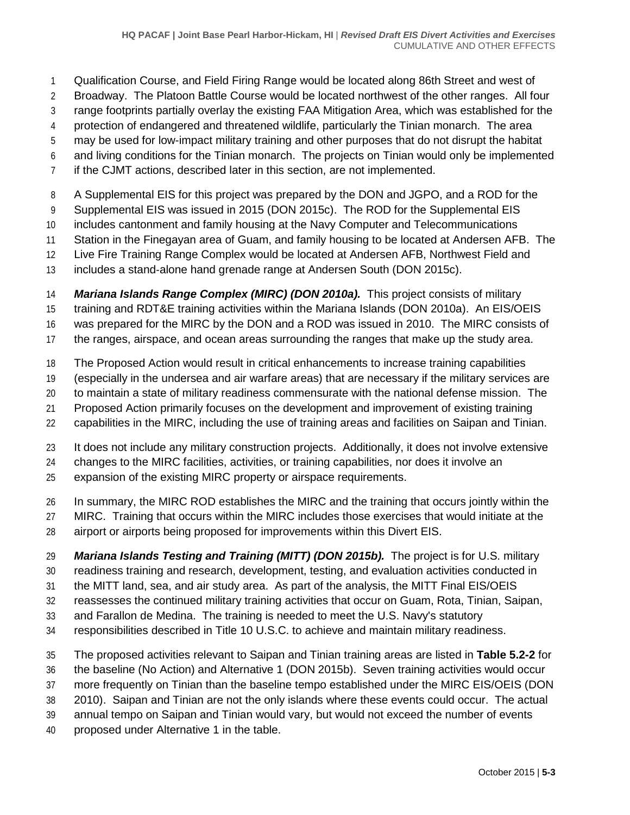- Qualification Course, and Field Firing Range would be located along 86th Street and west of
- Broadway. The Platoon Battle Course would be located northwest of the other ranges. All four
- range footprints partially overlay the existing FAA Mitigation Area, which was established for the
- protection of endangered and threatened wildlife, particularly the Tinian monarch. The area
- may be used for low-impact military training and other purposes that do not disrupt the habitat
- and living conditions for the Tinian monarch. The projects on Tinian would only be implemented
- if the CJMT actions, described later in this section, are not implemented.
- A Supplemental EIS for this project was prepared by the DON and JGPO, and a ROD for the
- 9 Supplemental EIS was issued in 2015 (DON 2015c). The ROD for the Supplemental EIS
- includes cantonment and family housing at the Navy Computer and Telecommunications
- Station in the Finegayan area of Guam, and family housing to be located at Andersen AFB. The
- Live Fire Training Range Complex would be located at Andersen AFB, Northwest Field and
- 13 includes a stand-alone hand grenade range at Andersen South (DON 2015c).
- *Mariana Islands Range Complex (MIRC) (DON 2010a).* This project consists of military training and RDT&E training activities within the Mariana Islands (DON 2010a). An EIS/OEIS was prepared for the MIRC by the DON and a ROD was issued in 2010. The MIRC consists of the ranges, airspace, and ocean areas surrounding the ranges that make up the study area.
- The Proposed Action would result in critical enhancements to increase training capabilities
- (especially in the undersea and air warfare areas) that are necessary if the military services are
- to maintain a state of military readiness commensurate with the national defense mission. The
- Proposed Action primarily focuses on the development and improvement of existing training
- capabilities in the MIRC, including the use of training areas and facilities on Saipan and Tinian.
- It does not include any military construction projects. Additionally, it does not involve extensive
- changes to the MIRC facilities, activities, or training capabilities, nor does it involve an
- expansion of the existing MIRC property or airspace requirements.
- In summary, the MIRC ROD establishes the MIRC and the training that occurs jointly within the
- MIRC. Training that occurs within the MIRC includes those exercises that would initiate at the
- airport or airports being proposed for improvements within this Divert EIS.
- *Mariana Islands Testing and Training (MITT) (DON 2015b).* The project is for U.S. military
- readiness training and research, development, testing, and evaluation activities conducted in
- the MITT land, sea, and air study area. As part of the analysis, the MITT Final EIS/OEIS
- reassesses the continued military training activities that occur on Guam, Rota, Tinian, Saipan,
- and Farallon de Medina. The training is needed to meet the U.S. Navy's statutory
- responsibilities described in Title 10 U.S.C. to achieve and maintain military readiness.
- The proposed activities relevant to Saipan and Tinian training areas are listed in **Table 5.2-2** for
- the baseline (No Action) and Alternative 1 (DON 2015b). Seven training activities would occur
- more frequently on Tinian than the baseline tempo established under the MIRC EIS/OEIS (DON
- 2010). Saipan and Tinian are not the only islands where these events could occur. The actual
- annual tempo on Saipan and Tinian would vary, but would not exceed the number of events
- proposed under Alternative 1 in the table.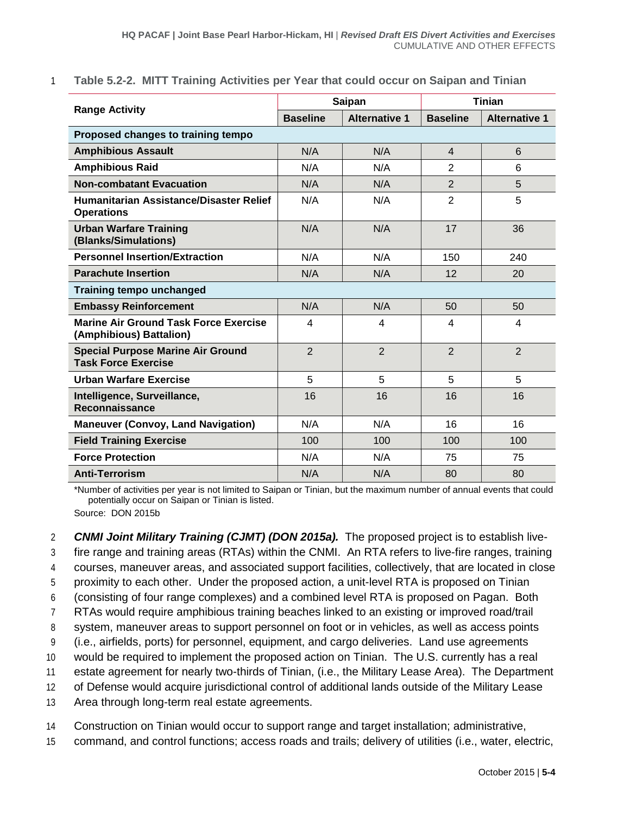| <b>Range Activity</b>                                                   |                 | <b>Saipan</b>        | <b>Tinian</b>   |                      |  |
|-------------------------------------------------------------------------|-----------------|----------------------|-----------------|----------------------|--|
|                                                                         | <b>Baseline</b> | <b>Alternative 1</b> | <b>Baseline</b> | <b>Alternative 1</b> |  |
| Proposed changes to training tempo                                      |                 |                      |                 |                      |  |
| <b>Amphibious Assault</b>                                               | N/A             | N/A                  | $\overline{4}$  | 6                    |  |
| <b>Amphibious Raid</b>                                                  | N/A             | N/A                  | $\overline{2}$  | 6                    |  |
| <b>Non-combatant Evacuation</b>                                         | N/A             | N/A                  | $\overline{2}$  | 5                    |  |
| Humanitarian Assistance/Disaster Relief<br><b>Operations</b>            | N/A             | N/A                  | $\overline{2}$  | 5                    |  |
| <b>Urban Warfare Training</b><br>(Blanks/Simulations)                   | N/A             | N/A                  | 17              | 36                   |  |
| <b>Personnel Insertion/Extraction</b>                                   | N/A             | N/A                  | 150             | 240                  |  |
| <b>Parachute Insertion</b>                                              | N/A             | N/A                  | 12              | 20                   |  |
| <b>Training tempo unchanged</b>                                         |                 |                      |                 |                      |  |
| <b>Embassy Reinforcement</b>                                            | N/A             | N/A                  | 50              | 50                   |  |
| <b>Marine Air Ground Task Force Exercise</b><br>(Amphibious) Battalion) | 4               | 4                    | 4               | 4                    |  |
| <b>Special Purpose Marine Air Ground</b><br><b>Task Force Exercise</b>  | $\overline{2}$  | $\overline{2}$       | $\overline{2}$  | $\overline{2}$       |  |
| Urban Warfare Exercise                                                  | 5               | 5                    | 5               | 5                    |  |
| Intelligence, Surveillance,<br>Reconnaissance                           | 16              | 16                   | 16              | 16                   |  |
| <b>Maneuver (Convoy, Land Navigation)</b>                               | N/A             | N/A                  | 16              | 16                   |  |
| <b>Field Training Exercise</b>                                          | 100             | 100                  | 100             | 100                  |  |
| <b>Force Protection</b>                                                 | N/A             | N/A                  | 75              | 75                   |  |
| <b>Anti-Terrorism</b>                                                   | N/A             | N/A                  | 80              | 80                   |  |

1 **Table 5.2-2. MITT Training Activities per Year that could occur on Saipan and Tinian**

\*Number of activities per year is not limited to Saipan or Tinian, but the maximum number of annual events that could potentially occur on Saipan or Tinian is listed.

Source: DON 2015b

2 *CNMI Joint Military Training (CJMT) (DON 2015a).* The proposed project is to establish live-

3 fire range and training areas (RTAs) within the CNMI. An RTA refers to live-fire ranges, training

4 courses, maneuver areas, and associated support facilities, collectively, that are located in close

5 proximity to each other. Under the proposed action, a unit-level RTA is proposed on Tinian

6 (consisting of four range complexes) and a combined level RTA is proposed on Pagan. Both

7 RTAs would require amphibious training beaches linked to an existing or improved road/trail

8 system, maneuver areas to support personnel on foot or in vehicles, as well as access points

9 (i.e., airfields, ports) for personnel, equipment, and cargo deliveries. Land use agreements 10 would be required to implement the proposed action on Tinian. The U.S. currently has a real

11 estate agreement for nearly two-thirds of Tinian, (i.e., the Military Lease Area). The Department

12 of Defense would acquire jurisdictional control of additional lands outside of the Military Lease

13 Area through long-term real estate agreements.

14 Construction on Tinian would occur to support range and target installation; administrative,

15 command, and control functions; access roads and trails; delivery of utilities (i.e., water, electric,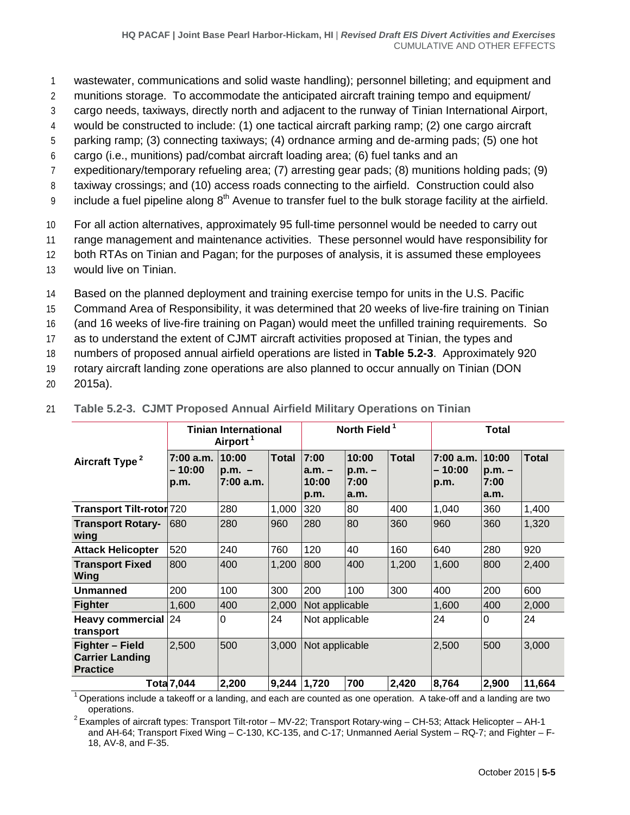- 1 wastewater, communications and solid waste handling); personnel billeting; and equipment and
- 2 munitions storage. To accommodate the anticipated aircraft training tempo and equipment/
- 3 cargo needs, taxiways, directly north and adjacent to the runway of Tinian International Airport,
- 4 would be constructed to include: (1) one tactical aircraft parking ramp; (2) one cargo aircraft
- 5 parking ramp; (3) connecting taxiways; (4) ordnance arming and de-arming pads; (5) one hot
- 6 cargo (i.e., munitions) pad/combat aircraft loading area; (6) fuel tanks and an
- 7 expeditionary/temporary refueling area; (7) arresting gear pads; (8) munitions holding pads; (9)
- 8 taxiway crossings; and (10) access roads connecting to the airfield. Construction could also
- 9 include a fuel pipeline along  $8<sup>th</sup>$  Avenue to transfer fuel to the bulk storage facility at the airfield.
- 10 For all action alternatives, approximately 95 full-time personnel would be needed to carry out
- 11 range management and maintenance activities. These personnel would have responsibility for
- 12 both RTAs on Tinian and Pagan; for the purposes of analysis, it is assumed these employees
- 13 would live on Tinian.
- 14 Based on the planned deployment and training exercise tempo for units in the U.S. Pacific
- 15 Command Area of Responsibility, it was determined that 20 weeks of live-fire training on Tinian
- 16 (and 16 weeks of live-fire training on Pagan) would meet the unfilled training requirements. So
- 17 as to understand the extent of CJMT aircraft activities proposed at Tinian, the types and
- 18 numbers of proposed annual airfield operations are listed in **Table 5.2-3**. Approximately 920
- 19 rotary aircraft landing zone operations are also planned to occur annually on Tinian (DON
- 20 2015a).

|                                                              | <b>Tinian International</b><br>Airport <sup>1</sup> |                                |              | North Field <sup>1</sup>          |                                   |              | <b>Total</b>                  |                                   |              |
|--------------------------------------------------------------|-----------------------------------------------------|--------------------------------|--------------|-----------------------------------|-----------------------------------|--------------|-------------------------------|-----------------------------------|--------------|
| Aircraft Type <sup>2</sup>                                   | 7:00a.m.<br>$-10:00$<br>p.m.                        | 10:00<br>$p.m. -$<br>7:00 a.m. | <b>Total</b> | 7:00<br>$a.m. -$<br>10:00<br>p.m. | 10:00<br>$p.m. -$<br>7:00<br>a.m. | <b>Total</b> | 7:00 a.m.<br>$-10:00$<br>p.m. | 10:00<br>$p.m. -$<br>7:00<br>a.m. | <b>Total</b> |
| <b>Transport Tilt-rotor 720</b>                              |                                                     | 280                            | 1,000        | 320                               | 80                                | 400          | 1,040                         | 360                               | 1,400        |
| <b>Transport Rotary-</b><br>wing                             | 680                                                 | 280                            | 960          | 280                               | 80                                | 360          | 960                           | 360                               | 1,320        |
| <b>Attack Helicopter</b>                                     | 520                                                 | 240                            | 760          | 120                               | 40                                | 160          | 640                           | 280                               | 920          |
| <b>Transport Fixed</b><br>Wing                               | 800                                                 | 400                            | 1,200        | 800                               | 400                               | 1,200        | 1,600                         | 800                               | 2,400        |
| <b>Unmanned</b>                                              | 200                                                 | 100                            | 300          | 200                               | 100                               | 300          | 400                           | 200                               | 600          |
| <b>Fighter</b>                                               | 1,600                                               | 400                            | 2,000        | Not applicable                    |                                   |              | 1,600                         | 400                               | 2,000        |
| Heavy commercial 24<br>transport                             |                                                     | 0                              | 24           | Not applicable                    |                                   |              | 24                            | $\Omega$                          | 24           |
| Fighter - Field<br><b>Carrier Landing</b><br><b>Practice</b> | 2,500                                               | 500                            | 3,000        | Not applicable                    |                                   |              | 2,500                         | 500                               | 3,000        |
|                                                              | Tota 7,044                                          | 2,200                          | 9,244 1,720  |                                   | 700                               | 2,420        | 8,764                         | 2,900                             | 11,664       |

21 **Table 5.2-3. CJMT Proposed Annual Airfield Military Operations on Tinian**

 $1$  Operations include a takeoff or a landing, and each are counted as one operation. A take-off and a landing are two operations.

 $2$  Examples of aircraft types: Transport Tilt-rotor – MV-22; Transport Rotary-wing – CH-53; Attack Helicopter – AH-1 and AH-64; Transport Fixed Wing – C-130, KC-135, and C-17; Unmanned Aerial System – RQ-7; and Fighter – F-18, AV-8, and F-35.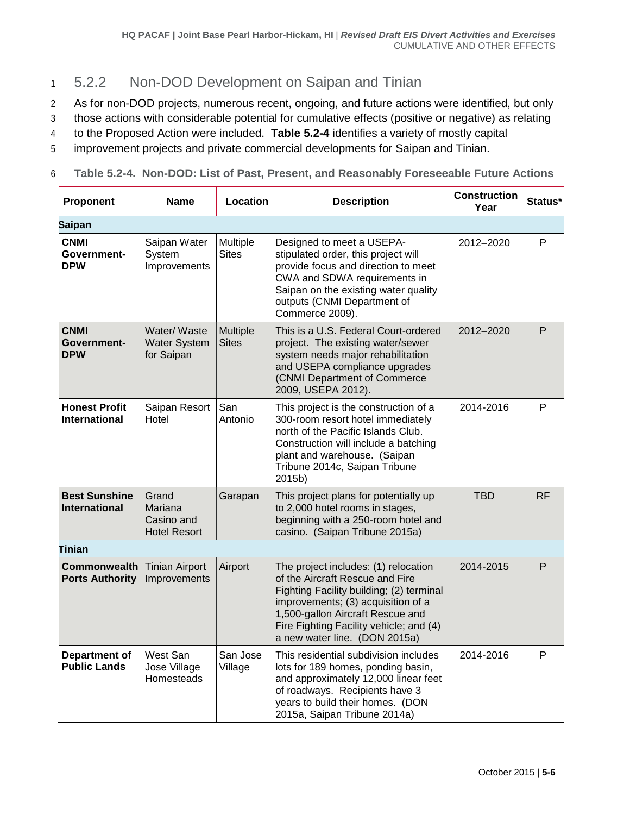## 1 5.2.2 Non-DOD Development on Saipan and Tinian

- 2 As for non-DOD projects, numerous recent, ongoing, and future actions were identified, but only
- 3 those actions with considerable potential for cumulative effects (positive or negative) as relating
- 4 to the Proposed Action were included. **Table 5.2-4** identifies a variety of mostly capital
- 5 improvement projects and private commercial developments for Saipan and Tinian.

#### 6 **Table 5.2-4. Non-DOD: List of Past, Present, and Reasonably Foreseeable Future Actions**

| Proponent                                     | <b>Name</b>                                           | Location                 | <b>Description</b>                                                                                                                                                                                                                                                        | <b>Construction</b><br>Year | Status* |
|-----------------------------------------------|-------------------------------------------------------|--------------------------|---------------------------------------------------------------------------------------------------------------------------------------------------------------------------------------------------------------------------------------------------------------------------|-----------------------------|---------|
| <b>Saipan</b>                                 |                                                       |                          |                                                                                                                                                                                                                                                                           |                             |         |
| <b>CNMI</b><br>Government-<br><b>DPW</b>      | Saipan Water<br>System<br>Improvements                | Multiple<br><b>Sites</b> | Designed to meet a USEPA-<br>stipulated order, this project will<br>provide focus and direction to meet<br>CWA and SDWA requirements in<br>Saipan on the existing water quality<br>outputs (CNMI Department of<br>Commerce 2009).                                         | 2012-2020                   | P       |
| <b>CNMI</b><br>Government-<br><b>DPW</b>      | Water/Waste<br><b>Water System</b><br>for Saipan      | Multiple<br><b>Sites</b> | This is a U.S. Federal Court-ordered<br>project. The existing water/sewer<br>system needs major rehabilitation<br>and USEPA compliance upgrades<br>(CNMI Department of Commerce<br>2009, USEPA 2012).                                                                     | 2012-2020                   | P       |
| <b>Honest Profit</b><br><b>International</b>  | Saipan Resort<br>Hotel                                | San<br>Antonio           | This project is the construction of a<br>300-room resort hotel immediately<br>north of the Pacific Islands Club.<br>Construction will include a batching<br>plant and warehouse. (Saipan<br>Tribune 2014c, Saipan Tribune<br>2015b)                                       | 2014-2016                   | P       |
| <b>Best Sunshine</b><br><b>International</b>  | Grand<br>Mariana<br>Casino and<br><b>Hotel Resort</b> | Garapan                  | This project plans for potentially up<br>to 2,000 hotel rooms in stages,<br>beginning with a 250-room hotel and<br>casino. (Saipan Tribune 2015a)                                                                                                                         | <b>TBD</b>                  | RF      |
| <b>Tinian</b>                                 |                                                       |                          |                                                                                                                                                                                                                                                                           |                             |         |
| <b>Commonwealth</b><br><b>Ports Authority</b> | <b>Tinian Airport</b><br>Improvements                 | Airport                  | The project includes: (1) relocation<br>of the Aircraft Rescue and Fire<br>Fighting Facility building; (2) terminal<br>improvements; (3) acquisition of a<br>1,500-gallon Aircraft Rescue and<br>Fire Fighting Facility vehicle; and (4)<br>a new water line. (DON 2015a) | 2014-2015                   | P       |
| <b>Department of</b><br><b>Public Lands</b>   | West San<br>Jose Village<br>Homesteads                | San Jose<br>Village      | This residential subdivision includes<br>lots for 189 homes, ponding basin,<br>and approximately 12,000 linear feet<br>of roadways. Recipients have 3<br>years to build their homes. (DON<br>2015a, Saipan Tribune 2014a)                                                 | 2014-2016                   | P       |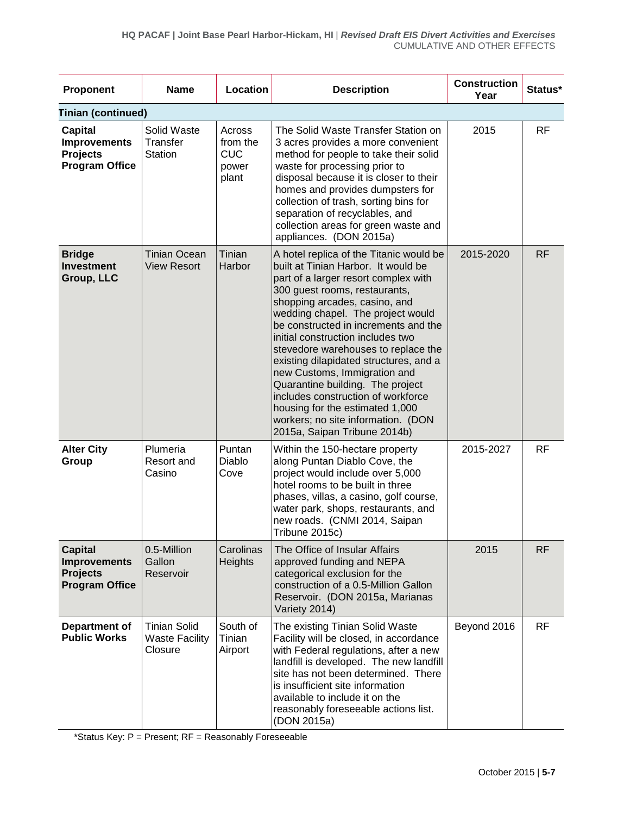| <b>Proponent</b>                                                                  | <b>Name</b>                                             | Location                                           | <b>Description</b>                                                                                                                                                                                                                                                                                                                                                                                                                                                                                                                                                                                             | <b>Construction</b><br>Year | Status*   |  |  |  |  |
|-----------------------------------------------------------------------------------|---------------------------------------------------------|----------------------------------------------------|----------------------------------------------------------------------------------------------------------------------------------------------------------------------------------------------------------------------------------------------------------------------------------------------------------------------------------------------------------------------------------------------------------------------------------------------------------------------------------------------------------------------------------------------------------------------------------------------------------------|-----------------------------|-----------|--|--|--|--|
| <b>Tinian (continued)</b>                                                         |                                                         |                                                    |                                                                                                                                                                                                                                                                                                                                                                                                                                                                                                                                                                                                                |                             |           |  |  |  |  |
| Capital<br><b>Improvements</b><br><b>Projects</b><br><b>Program Office</b>        | Solid Waste<br>Transfer<br><b>Station</b>               | Across<br>from the<br><b>CUC</b><br>power<br>plant | The Solid Waste Transfer Station on<br>3 acres provides a more convenient<br>method for people to take their solid<br>waste for processing prior to<br>disposal because it is closer to their<br>homes and provides dumpsters for<br>collection of trash, sorting bins for<br>separation of recyclables, and<br>collection areas for green waste and<br>appliances. (DON 2015a)                                                                                                                                                                                                                                | 2015                        | <b>RF</b> |  |  |  |  |
| <b>Bridge</b><br><b>Investment</b><br>Group, LLC                                  | Tinian Ocean<br><b>View Resort</b>                      | Tinian<br>Harbor                                   | A hotel replica of the Titanic would be<br>built at Tinian Harbor. It would be<br>part of a larger resort complex with<br>300 guest rooms, restaurants,<br>shopping arcades, casino, and<br>wedding chapel. The project would<br>be constructed in increments and the<br>initial construction includes two<br>stevedore warehouses to replace the<br>existing dilapidated structures, and a<br>new Customs, Immigration and<br>Quarantine building. The project<br>includes construction of workforce<br>housing for the estimated 1,000<br>workers; no site information. (DON<br>2015a, Saipan Tribune 2014b) | 2015-2020                   | <b>RF</b> |  |  |  |  |
| <b>Alter City</b><br>Group                                                        | Plumeria<br>Resort and<br>Casino                        | Puntan<br>Diablo<br>Cove                           | Within the 150-hectare property<br>along Puntan Diablo Cove, the<br>project would include over 5,000<br>hotel rooms to be built in three<br>phases, villas, a casino, golf course,<br>water park, shops, restaurants, and<br>new roads. (CNMI 2014, Saipan<br>Tribune 2015c)                                                                                                                                                                                                                                                                                                                                   | 2015-2027                   | RF        |  |  |  |  |
| <b>Capital</b><br><b>Improvements</b><br><b>Projects</b><br><b>Program Office</b> | 0.5-Million<br>Gallon<br>Reservoir                      | Carolinas<br>Heights                               | The Office of Insular Affairs<br>approved funding and NEPA<br>categorical exclusion for the<br>construction of a 0.5-Million Gallon<br>Reservoir. (DON 2015a, Marianas<br>Variety 2014)                                                                                                                                                                                                                                                                                                                                                                                                                        | 2015                        | <b>RF</b> |  |  |  |  |
| Department of<br><b>Public Works</b>                                              | <b>Tinian Solid</b><br><b>Waste Facility</b><br>Closure | South of<br>Tinian<br>Airport                      | The existing Tinian Solid Waste<br>Facility will be closed, in accordance<br>with Federal regulations, after a new<br>landfill is developed. The new landfill<br>site has not been determined. There<br>is insufficient site information<br>available to include it on the<br>reasonably foreseeable actions list.<br>(DON 2015a)                                                                                                                                                                                                                                                                              | Beyond 2016                 | <b>RF</b> |  |  |  |  |

\*Status Key: P = Present; RF = Reasonably Foreseeable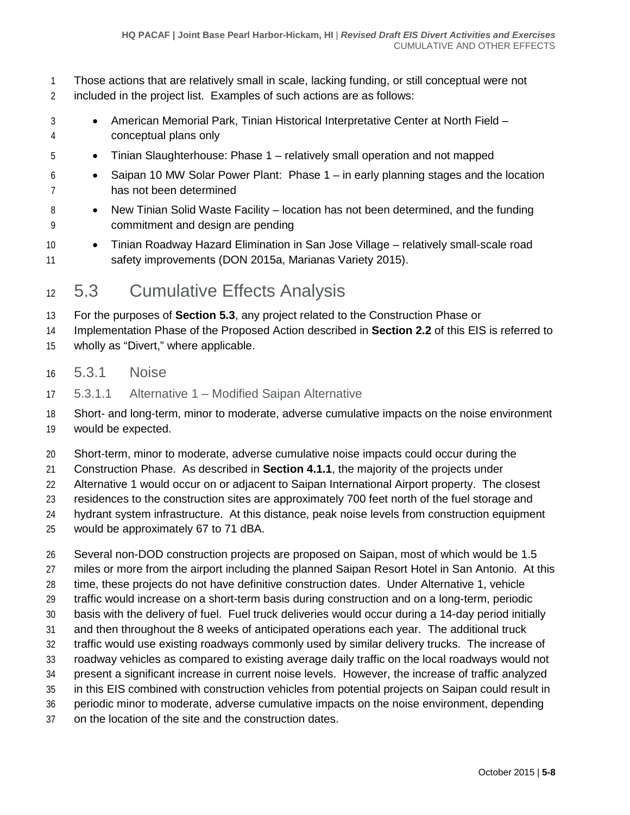- Those actions that are relatively small in scale, lacking funding, or still conceptual were not
- included in the project list. Examples of such actions are as follows:
- American Memorial Park, Tinian Historical Interpretative Center at North Field conceptual plans only
- Tinian Slaughterhouse: Phase 1 relatively small operation and not mapped
- Saipan 10 MW Solar Power Plant: Phase 1 in early planning stages and the location has not been determined
- 8 New Tinian Solid Waste Facility location has not been determined, and the funding commitment and design are pending
- Tinian Roadway Hazard Elimination in San Jose Village relatively small-scale road safety improvements (DON 2015a, Marianas Variety 2015).

## 5.3 Cumulative Effects Analysis

- For the purposes of **Section 5.3**, any project related to the Construction Phase or
- Implementation Phase of the Proposed Action described in **Section 2.2** of this EIS is referred to wholly as "Divert," where applicable.
- 5.3.1 Noise
- 5.3.1.1 Alternative 1 Modified Saipan Alternative

 Short- and long-term, minor to moderate, adverse cumulative impacts on the noise environment would be expected.

- Short-term, minor to moderate, adverse cumulative noise impacts could occur during the
- Construction Phase. As described in **Section 4.1.1**, the majority of the projects under
- Alternative 1 would occur on or adjacent to Saipan International Airport property. The closest
- residences to the construction sites are approximately 700 feet north of the fuel storage and
- hydrant system infrastructure. At this distance, peak noise levels from construction equipment
- would be approximately 67 to 71 dBA.
- Several non-DOD construction projects are proposed on Saipan, most of which would be 1.5
- miles or more from the airport including the planned Saipan Resort Hotel in San Antonio. At this
- time, these projects do not have definitive construction dates. Under Alternative 1, vehicle traffic would increase on a short-term basis during construction and on a long-term, periodic
- basis with the delivery of fuel. Fuel truck deliveries would occur during a 14-day period initially
- and then throughout the 8 weeks of anticipated operations each year. The additional truck
- traffic would use existing roadways commonly used by similar delivery trucks. The increase of
- roadway vehicles as compared to existing average daily traffic on the local roadways would not
- present a significant increase in current noise levels. However, the increase of traffic analyzed
- in this EIS combined with construction vehicles from potential projects on Saipan could result in
- periodic minor to moderate, adverse cumulative impacts on the noise environment, depending
- on the location of the site and the construction dates.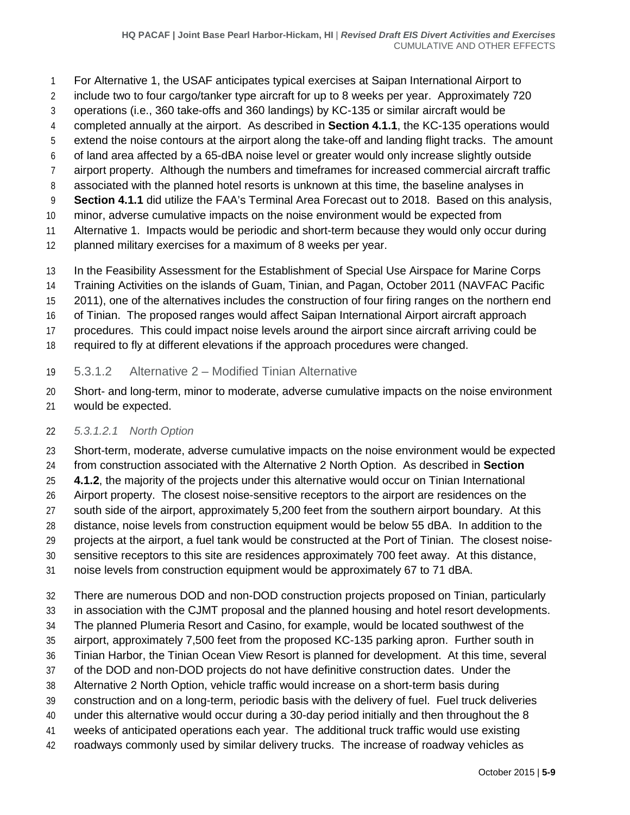- For Alternative 1, the USAF anticipates typical exercises at Saipan International Airport to
- include two to four cargo/tanker type aircraft for up to 8 weeks per year. Approximately 720
- operations (i.e., 360 take-offs and 360 landings) by KC-135 or similar aircraft would be
- completed annually at the airport. As described in **Section 4.1.1**, the KC-135 operations would
- extend the noise contours at the airport along the take-off and landing flight tracks. The amount
- of land area affected by a 65-dBA noise level or greater would only increase slightly outside
- airport property. Although the numbers and timeframes for increased commercial aircraft traffic
- associated with the planned hotel resorts is unknown at this time, the baseline analyses in
- **Section 4.1.1** did utilize the FAA's Terminal Area Forecast out to 2018. Based on this analysis,
- minor, adverse cumulative impacts on the noise environment would be expected from
- Alternative 1. Impacts would be periodic and short-term because they would only occur during
- planned military exercises for a maximum of 8 weeks per year.
- In the Feasibility Assessment for the Establishment of Special Use Airspace for Marine Corps
- Training Activities on the islands of Guam, Tinian, and Pagan, October 2011 (NAVFAC Pacific
- 15 2011), one of the alternatives includes the construction of four firing ranges on the northern end
- of Tinian. The proposed ranges would affect Saipan International Airport aircraft approach
- procedures. This could impact noise levels around the airport since aircraft arriving could be
- required to fly at different elevations if the approach procedures were changed.
- 5.3.1.2 Alternative 2 Modified Tinian Alternative
- Short- and long-term, minor to moderate, adverse cumulative impacts on the noise environment would be expected.
- *5.3.1.2.1 North Option*
- Short-term, moderate, adverse cumulative impacts on the noise environment would be expected from construction associated with the Alternative 2 North Option. As described in **Section 4.1.2**, the majority of the projects under this alternative would occur on Tinian International Airport property. The closest noise-sensitive receptors to the airport are residences on the south side of the airport, approximately 5,200 feet from the southern airport boundary. At this distance, noise levels from construction equipment would be below 55 dBA. In addition to the projects at the airport, a fuel tank would be constructed at the Port of Tinian. The closest noise- sensitive receptors to this site are residences approximately 700 feet away. At this distance, noise levels from construction equipment would be approximately 67 to 71 dBA.
- There are numerous DOD and non-DOD construction projects proposed on Tinian, particularly
- in association with the CJMT proposal and the planned housing and hotel resort developments.
- The planned Plumeria Resort and Casino, for example, would be located southwest of the
- airport, approximately 7,500 feet from the proposed KC-135 parking apron. Further south in
- Tinian Harbor, the Tinian Ocean View Resort is planned for development. At this time, several
- of the DOD and non-DOD projects do not have definitive construction dates. Under the
- Alternative 2 North Option, vehicle traffic would increase on a short-term basis during
- construction and on a long-term, periodic basis with the delivery of fuel. Fuel truck deliveries
- under this alternative would occur during a 30-day period initially and then throughout the 8
- weeks of anticipated operations each year. The additional truck traffic would use existing
- roadways commonly used by similar delivery trucks. The increase of roadway vehicles as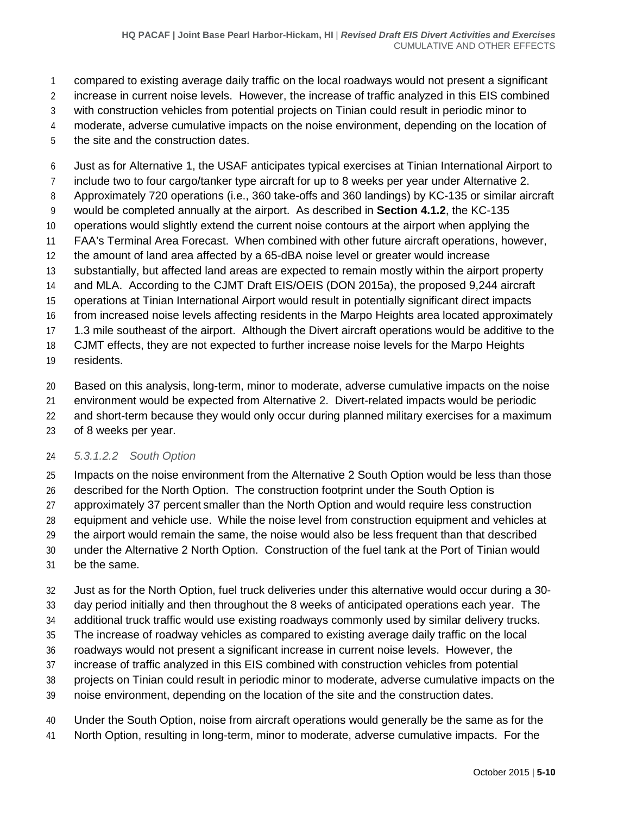compared to existing average daily traffic on the local roadways would not present a significant

2 increase in current noise levels. However, the increase of traffic analyzed in this EIS combined

- with construction vehicles from potential projects on Tinian could result in periodic minor to
- moderate, adverse cumulative impacts on the noise environment, depending on the location of
- the site and the construction dates.

 Just as for Alternative 1, the USAF anticipates typical exercises at Tinian International Airport to 7 include two to four cargo/tanker type aircraft for up to 8 weeks per year under Alternative 2. Approximately 720 operations (i.e., 360 take-offs and 360 landings) by KC-135 or similar aircraft would be completed annually at the airport. As described in **Section 4.1.2**, the KC-135 operations would slightly extend the current noise contours at the airport when applying the FAA's Terminal Area Forecast. When combined with other future aircraft operations, however, the amount of land area affected by a 65-dBA noise level or greater would increase substantially, but affected land areas are expected to remain mostly within the airport property and MLA. According to the CJMT Draft EIS/OEIS (DON 2015a), the proposed 9,244 aircraft operations at Tinian International Airport would result in potentially significant direct impacts from increased noise levels affecting residents in the Marpo Heights area located approximately 1.3 mile southeast of the airport. Although the Divert aircraft operations would be additive to the CJMT effects, they are not expected to further increase noise levels for the Marpo Heights

residents.

Based on this analysis, long-term, minor to moderate, adverse cumulative impacts on the noise

environment would be expected from Alternative 2. Divert-related impacts would be periodic

- and short-term because they would only occur during planned military exercises for a maximum
- of 8 weeks per year.

## *5.3.1.2.2 South Option*

Impacts on the noise environment from the Alternative 2 South Option would be less than those

described for the North Option. The construction footprint under the South Option is

approximately 37 percent smaller than the North Option and would require less construction

equipment and vehicle use. While the noise level from construction equipment and vehicles at

the airport would remain the same, the noise would also be less frequent than that described

- under the Alternative 2 North Option. Construction of the fuel tank at the Port of Tinian would
- be the same.

Just as for the North Option, fuel truck deliveries under this alternative would occur during a 30-

day period initially and then throughout the 8 weeks of anticipated operations each year. The

additional truck traffic would use existing roadways commonly used by similar delivery trucks.

- The increase of roadway vehicles as compared to existing average daily traffic on the local
- roadways would not present a significant increase in current noise levels. However, the increase of traffic analyzed in this EIS combined with construction vehicles from potential
- projects on Tinian could result in periodic minor to moderate, adverse cumulative impacts on the
- noise environment, depending on the location of the site and the construction dates.
- Under the South Option, noise from aircraft operations would generally be the same as for the
- North Option, resulting in long-term, minor to moderate, adverse cumulative impacts. For the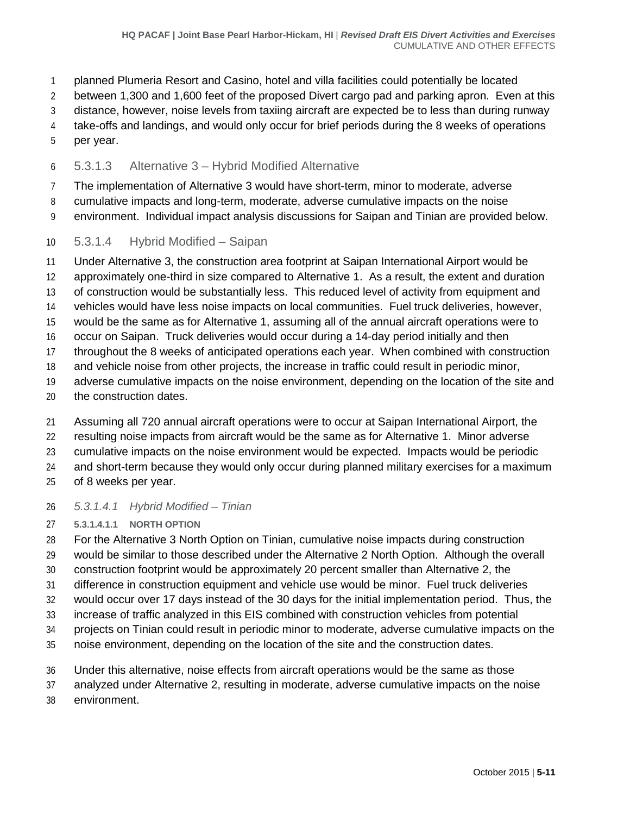- planned Plumeria Resort and Casino, hotel and villa facilities could potentially be located
- between 1,300 and 1,600 feet of the proposed Divert cargo pad and parking apron. Even at this
- distance, however, noise levels from taxiing aircraft are expected be to less than during runway
- take-offs and landings, and would only occur for brief periods during the 8 weeks of operations
- per year.

#### 5.3.1.3 Alternative 3 – Hybrid Modified Alternative

The implementation of Alternative 3 would have short-term, minor to moderate, adverse

- cumulative impacts and long-term, moderate, adverse cumulative impacts on the noise
- environment. Individual impact analysis discussions for Saipan and Tinian are provided below.

#### 5.3.1.4 Hybrid Modified – Saipan

- Under Alternative 3, the construction area footprint at Saipan International Airport would be
- approximately one-third in size compared to Alternative 1. As a result, the extent and duration
- of construction would be substantially less. This reduced level of activity from equipment and
- vehicles would have less noise impacts on local communities. Fuel truck deliveries, however,
- would be the same as for Alternative 1, assuming all of the annual aircraft operations were to
- occur on Saipan. Truck deliveries would occur during a 14-day period initially and then
- throughout the 8 weeks of anticipated operations each year. When combined with construction
- and vehicle noise from other projects, the increase in traffic could result in periodic minor,
- adverse cumulative impacts on the noise environment, depending on the location of the site and
- the construction dates.
- Assuming all 720 annual aircraft operations were to occur at Saipan International Airport, the
- resulting noise impacts from aircraft would be the same as for Alternative 1. Minor adverse
- cumulative impacts on the noise environment would be expected. Impacts would be periodic
- and short-term because they would only occur during planned military exercises for a maximum
- of 8 weeks per year.

## *5.3.1.4.1 Hybrid Modified – Tinian*

## **5.3.1.4.1.1 NORTH OPTION**

- For the Alternative 3 North Option on Tinian, cumulative noise impacts during construction
- would be similar to those described under the Alternative 2 North Option. Although the overall
- construction footprint would be approximately 20 percent smaller than Alternative 2, the
- difference in construction equipment and vehicle use would be minor. Fuel truck deliveries
- would occur over 17 days instead of the 30 days for the initial implementation period. Thus, the
- increase of traffic analyzed in this EIS combined with construction vehicles from potential
- projects on Tinian could result in periodic minor to moderate, adverse cumulative impacts on the
- noise environment, depending on the location of the site and the construction dates.
- Under this alternative, noise effects from aircraft operations would be the same as those
- analyzed under Alternative 2, resulting in moderate, adverse cumulative impacts on the noise
- environment.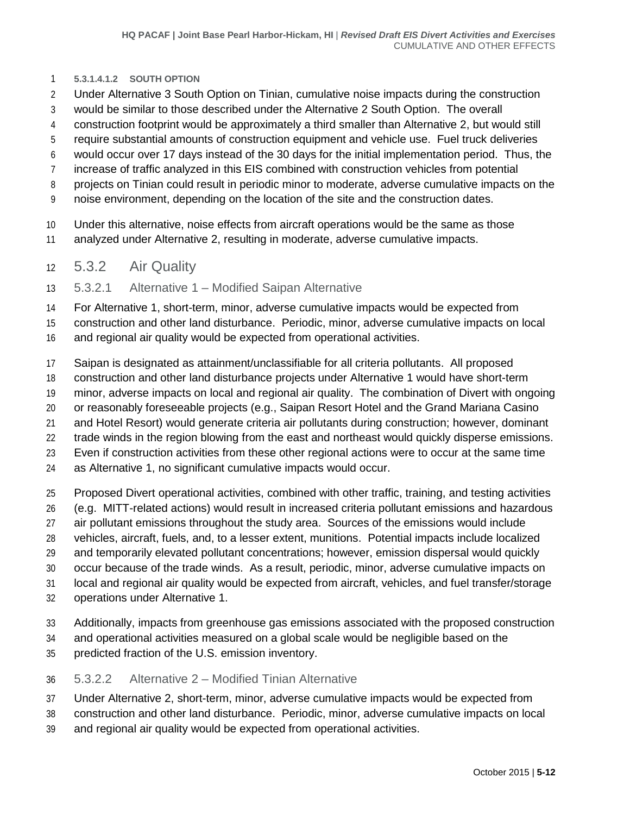#### **5.3.1.4.1.2 SOUTH OPTION**

- Under Alternative 3 South Option on Tinian, cumulative noise impacts during the construction
- would be similar to those described under the Alternative 2 South Option. The overall
- construction footprint would be approximately a third smaller than Alternative 2, but would still
- require substantial amounts of construction equipment and vehicle use. Fuel truck deliveries
- would occur over 17 days instead of the 30 days for the initial implementation period. Thus, the
- increase of traffic analyzed in this EIS combined with construction vehicles from potential
- projects on Tinian could result in periodic minor to moderate, adverse cumulative impacts on the
- noise environment, depending on the location of the site and the construction dates.
- Under this alternative, noise effects from aircraft operations would be the same as those analyzed under Alternative 2, resulting in moderate, adverse cumulative impacts.
- 5.3.2 Air Quality
- 5.3.2.1 Alternative 1 Modified Saipan Alternative

 For Alternative 1, short-term, minor, adverse cumulative impacts would be expected from construction and other land disturbance. Periodic, minor, adverse cumulative impacts on local and regional air quality would be expected from operational activities.

- Saipan is designated as attainment/unclassifiable for all criteria pollutants. All proposed
- construction and other land disturbance projects under Alternative 1 would have short-term
- minor, adverse impacts on local and regional air quality. The combination of Divert with ongoing
- or reasonably foreseeable projects (e.g., Saipan Resort Hotel and the Grand Mariana Casino
- and Hotel Resort) would generate criteria air pollutants during construction; however, dominant
- trade winds in the region blowing from the east and northeast would quickly disperse emissions.
- Even if construction activities from these other regional actions were to occur at the same time
- as Alternative 1, no significant cumulative impacts would occur.
- Proposed Divert operational activities, combined with other traffic, training, and testing activities
- (e.g. MITT-related actions) would result in increased criteria pollutant emissions and hazardous
- air pollutant emissions throughout the study area. Sources of the emissions would include
- vehicles, aircraft, fuels, and, to a lesser extent, munitions. Potential impacts include localized
- and temporarily elevated pollutant concentrations; however, emission dispersal would quickly
- occur because of the trade winds. As a result, periodic, minor, adverse cumulative impacts on
- local and regional air quality would be expected from aircraft, vehicles, and fuel transfer/storage
- operations under Alternative 1.
- Additionally, impacts from greenhouse gas emissions associated with the proposed construction
- and operational activities measured on a global scale would be negligible based on the predicted fraction of the U.S. emission inventory.
- 5.3.2.2 Alternative 2 Modified Tinian Alternative
- Under Alternative 2, short-term, minor, adverse cumulative impacts would be expected from
- construction and other land disturbance. Periodic, minor, adverse cumulative impacts on local
- and regional air quality would be expected from operational activities.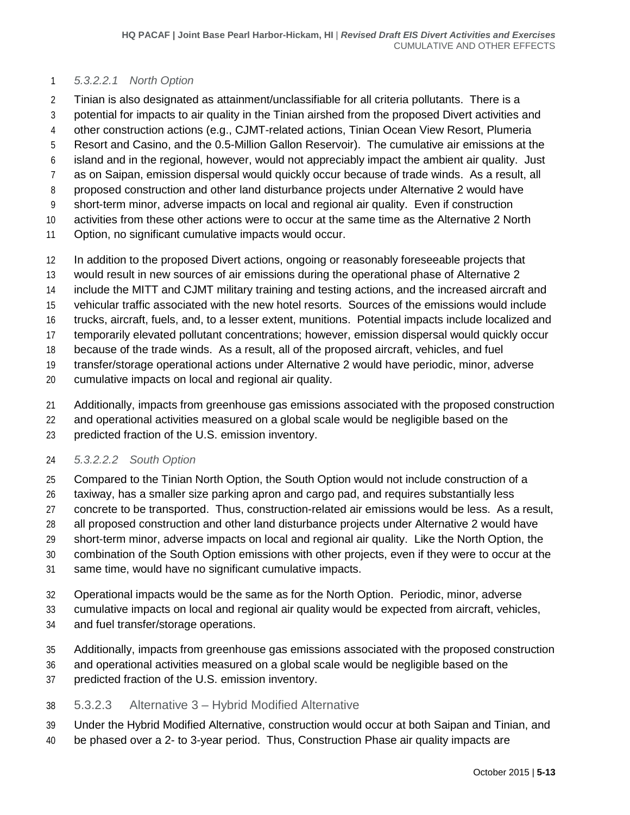#### *5.3.2.2.1 North Option*

 Tinian is also designated as attainment/unclassifiable for all criteria pollutants. There is a potential for impacts to air quality in the Tinian airshed from the proposed Divert activities and other construction actions (e.g., CJMT-related actions, Tinian Ocean View Resort, Plumeria Resort and Casino, and the 0.5-Million Gallon Reservoir). The cumulative air emissions at the island and in the regional, however, would not appreciably impact the ambient air quality. Just as on Saipan, emission dispersal would quickly occur because of trade winds. As a result, all proposed construction and other land disturbance projects under Alternative 2 would have short-term minor, adverse impacts on local and regional air quality. Even if construction activities from these other actions were to occur at the same time as the Alternative 2 North Option, no significant cumulative impacts would occur.

 In addition to the proposed Divert actions, ongoing or reasonably foreseeable projects that would result in new sources of air emissions during the operational phase of Alternative 2 include the MITT and CJMT military training and testing actions, and the increased aircraft and vehicular traffic associated with the new hotel resorts. Sources of the emissions would include trucks, aircraft, fuels, and, to a lesser extent, munitions. Potential impacts include localized and temporarily elevated pollutant concentrations; however, emission dispersal would quickly occur because of the trade winds. As a result, all of the proposed aircraft, vehicles, and fuel transfer/storage operational actions under Alternative 2 would have periodic, minor, adverse

- cumulative impacts on local and regional air quality.
- Additionally, impacts from greenhouse gas emissions associated with the proposed construction
- and operational activities measured on a global scale would be negligible based on the
- predicted fraction of the U.S. emission inventory.

#### *5.3.2.2.2 South Option*

- Compared to the Tinian North Option, the South Option would not include construction of a
- taxiway, has a smaller size parking apron and cargo pad, and requires substantially less
- concrete to be transported. Thus, construction-related air emissions would be less. As a result,
- all proposed construction and other land disturbance projects under Alternative 2 would have
- short-term minor, adverse impacts on local and regional air quality. Like the North Option, the
- combination of the South Option emissions with other projects, even if they were to occur at the
- same time, would have no significant cumulative impacts.
- Operational impacts would be the same as for the North Option. Periodic, minor, adverse
- cumulative impacts on local and regional air quality would be expected from aircraft, vehicles,
- and fuel transfer/storage operations.
- Additionally, impacts from greenhouse gas emissions associated with the proposed construction
- and operational activities measured on a global scale would be negligible based on the predicted fraction of the U.S. emission inventory.
- 5.3.2.3 Alternative 3 Hybrid Modified Alternative

Under the Hybrid Modified Alternative, construction would occur at both Saipan and Tinian, and

be phased over a 2- to 3-year period. Thus, Construction Phase air quality impacts are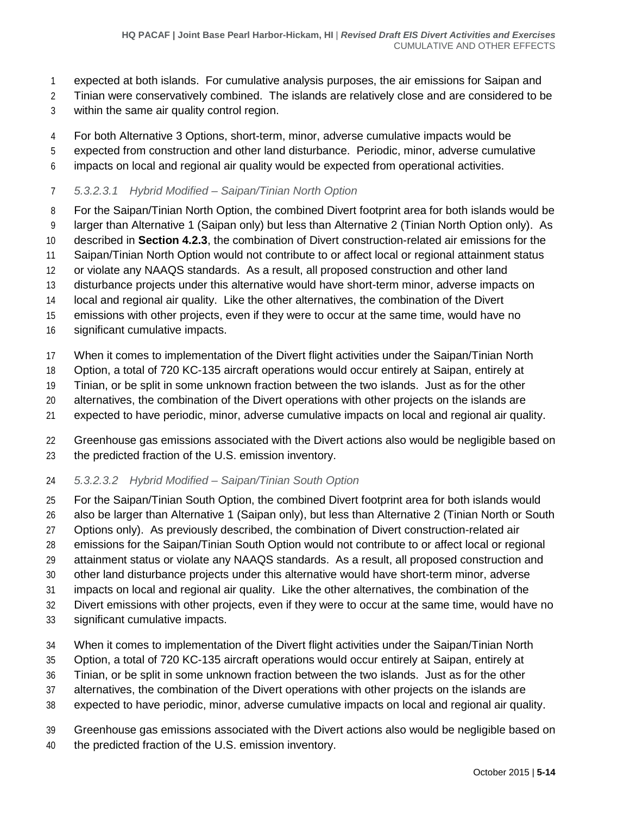expected at both islands. For cumulative analysis purposes, the air emissions for Saipan and

- Tinian were conservatively combined. The islands are relatively close and are considered to be
- within the same air quality control region.
- For both Alternative 3 Options, short-term, minor, adverse cumulative impacts would be
- expected from construction and other land disturbance. Periodic, minor, adverse cumulative
- impacts on local and regional air quality would be expected from operational activities.

#### *5.3.2.3.1 Hybrid Modified – Saipan/Tinian North Option*

- For the Saipan/Tinian North Option, the combined Divert footprint area for both islands would be larger than Alternative 1 (Saipan only) but less than Alternative 2 (Tinian North Option only). As described in **Section 4.2.3**, the combination of Divert construction-related air emissions for the Saipan/Tinian North Option would not contribute to or affect local or regional attainment status or violate any NAAQS standards. As a result, all proposed construction and other land disturbance projects under this alternative would have short-term minor, adverse impacts on local and regional air quality. Like the other alternatives, the combination of the Divert emissions with other projects, even if they were to occur at the same time, would have no
- significant cumulative impacts.
- When it comes to implementation of the Divert flight activities under the Saipan/Tinian North
- Option, a total of 720 KC-135 aircraft operations would occur entirely at Saipan, entirely at
- Tinian, or be split in some unknown fraction between the two islands. Just as for the other
- alternatives, the combination of the Divert operations with other projects on the islands are
- expected to have periodic, minor, adverse cumulative impacts on local and regional air quality.
- Greenhouse gas emissions associated with the Divert actions also would be negligible based on the predicted fraction of the U.S. emission inventory.

## *5.3.2.3.2 Hybrid Modified – Saipan/Tinian South Option*

- For the Saipan/Tinian South Option, the combined Divert footprint area for both islands would also be larger than Alternative 1 (Saipan only), but less than Alternative 2 (Tinian North or South Options only). As previously described, the combination of Divert construction-related air
- emissions for the Saipan/Tinian South Option would not contribute to or affect local or regional
- attainment status or violate any NAAQS standards. As a result, all proposed construction and
- other land disturbance projects under this alternative would have short-term minor, adverse
- impacts on local and regional air quality. Like the other alternatives, the combination of the
- Divert emissions with other projects, even if they were to occur at the same time, would have no
- significant cumulative impacts.
- When it comes to implementation of the Divert flight activities under the Saipan/Tinian North
- Option, a total of 720 KC-135 aircraft operations would occur entirely at Saipan, entirely at
- Tinian, or be split in some unknown fraction between the two islands. Just as for the other
- alternatives, the combination of the Divert operations with other projects on the islands are
- expected to have periodic, minor, adverse cumulative impacts on local and regional air quality.
- Greenhouse gas emissions associated with the Divert actions also would be negligible based on
- the predicted fraction of the U.S. emission inventory.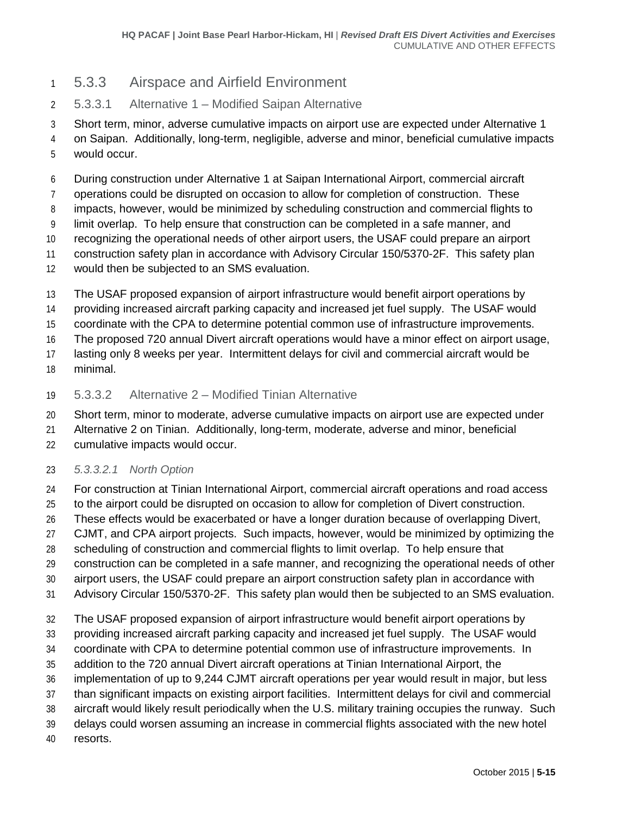## 5.3.3 Airspace and Airfield Environment

## 5.3.3.1 Alternative 1 – Modified Saipan Alternative

Short term, minor, adverse cumulative impacts on airport use are expected under Alternative 1

 on Saipan. Additionally, long-term, negligible, adverse and minor, beneficial cumulative impacts would occur.

During construction under Alternative 1 at Saipan International Airport, commercial aircraft

operations could be disrupted on occasion to allow for completion of construction. These

impacts, however, would be minimized by scheduling construction and commercial flights to

limit overlap. To help ensure that construction can be completed in a safe manner, and

recognizing the operational needs of other airport users, the USAF could prepare an airport

construction safety plan in accordance with Advisory Circular 150/5370-2F. This safety plan

would then be subjected to an SMS evaluation.

The USAF proposed expansion of airport infrastructure would benefit airport operations by

providing increased aircraft parking capacity and increased jet fuel supply. The USAF would

coordinate with the CPA to determine potential common use of infrastructure improvements.

The proposed 720 annual Divert aircraft operations would have a minor effect on airport usage,

lasting only 8 weeks per year. Intermittent delays for civil and commercial aircraft would be

minimal.

## 5.3.3.2 Alternative 2 – Modified Tinian Alternative

Short term, minor to moderate, adverse cumulative impacts on airport use are expected under

 Alternative 2 on Tinian. Additionally, long-term, moderate, adverse and minor, beneficial cumulative impacts would occur.

## *5.3.3.2.1 North Option*

For construction at Tinian International Airport, commercial aircraft operations and road access

to the airport could be disrupted on occasion to allow for completion of Divert construction.

- These effects would be exacerbated or have a longer duration because of overlapping Divert,
- CJMT, and CPA airport projects. Such impacts, however, would be minimized by optimizing the
- scheduling of construction and commercial flights to limit overlap. To help ensure that
- construction can be completed in a safe manner, and recognizing the operational needs of other
- airport users, the USAF could prepare an airport construction safety plan in accordance with
- Advisory Circular 150/5370-2F. This safety plan would then be subjected to an SMS evaluation.
- The USAF proposed expansion of airport infrastructure would benefit airport operations by

providing increased aircraft parking capacity and increased jet fuel supply. The USAF would

- coordinate with CPA to determine potential common use of infrastructure improvements. In
- addition to the 720 annual Divert aircraft operations at Tinian International Airport, the
- implementation of up to 9,244 CJMT aircraft operations per year would result in major, but less

than significant impacts on existing airport facilities. Intermittent delays for civil and commercial

aircraft would likely result periodically when the U.S. military training occupies the runway. Such

- delays could worsen assuming an increase in commercial flights associated with the new hotel
- resorts.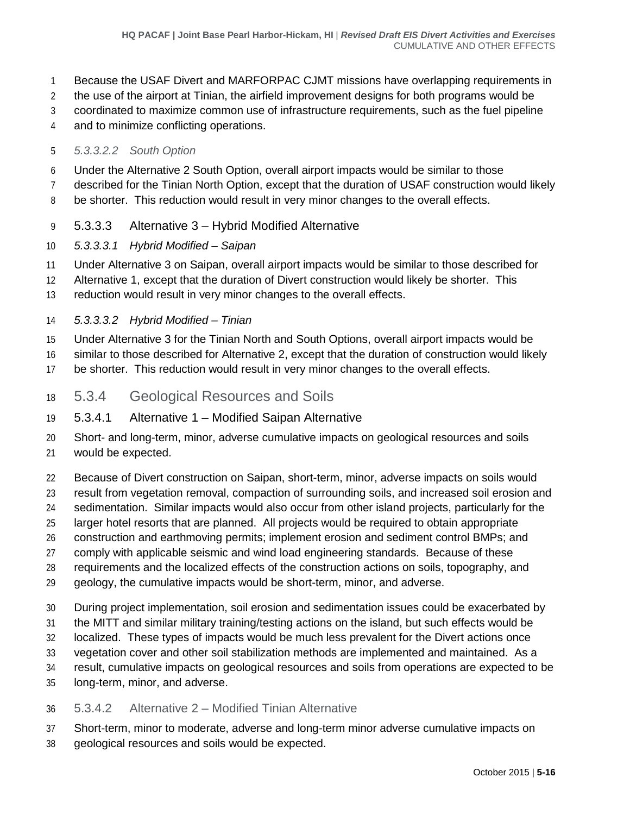- Because the USAF Divert and MARFORPAC CJMT missions have overlapping requirements in
- 2 the use of the airport at Tinian, the airfield improvement designs for both programs would be
- coordinated to maximize common use of infrastructure requirements, such as the fuel pipeline
- and to minimize conflicting operations.

#### *5.3.3.2.2 South Option*

- Under the Alternative 2 South Option, overall airport impacts would be similar to those
- described for the Tinian North Option, except that the duration of USAF construction would likely
- be shorter. This reduction would result in very minor changes to the overall effects.
- 5.3.3.3 Alternative 3 Hybrid Modified Alternative
- *5.3.3.3.1 Hybrid Modified – Saipan*
- Under Alternative 3 on Saipan, overall airport impacts would be similar to those described for
- Alternative 1, except that the duration of Divert construction would likely be shorter. This
- 13 reduction would result in very minor changes to the overall effects.

## *5.3.3.3.2 Hybrid Modified – Tinian*

- Under Alternative 3 for the Tinian North and South Options, overall airport impacts would be
- similar to those described for Alternative 2, except that the duration of construction would likely
- be shorter. This reduction would result in very minor changes to the overall effects.
- 5.3.4 Geological Resources and Soils
- 5.3.4.1 Alternative 1 Modified Saipan Alternative
- Short- and long-term, minor, adverse cumulative impacts on geological resources and soils
- would be expected.
- Because of Divert construction on Saipan, short-term, minor, adverse impacts on soils would
- result from vegetation removal, compaction of surrounding soils, and increased soil erosion and
- sedimentation. Similar impacts would also occur from other island projects, particularly for the
- larger hotel resorts that are planned. All projects would be required to obtain appropriate
- construction and earthmoving permits; implement erosion and sediment control BMPs; and
- comply with applicable seismic and wind load engineering standards. Because of these
- requirements and the localized effects of the construction actions on soils, topography, and
- geology, the cumulative impacts would be short-term, minor, and adverse.
- During project implementation, soil erosion and sedimentation issues could be exacerbated by
- the MITT and similar military training/testing actions on the island, but such effects would be
- localized. These types of impacts would be much less prevalent for the Divert actions once
- vegetation cover and other soil stabilization methods are implemented and maintained. As a
- result, cumulative impacts on geological resources and soils from operations are expected to be
- long-term, minor, and adverse.
- 5.3.4.2 Alternative 2 Modified Tinian Alternative
- Short-term, minor to moderate, adverse and long-term minor adverse cumulative impacts on geological resources and soils would be expected.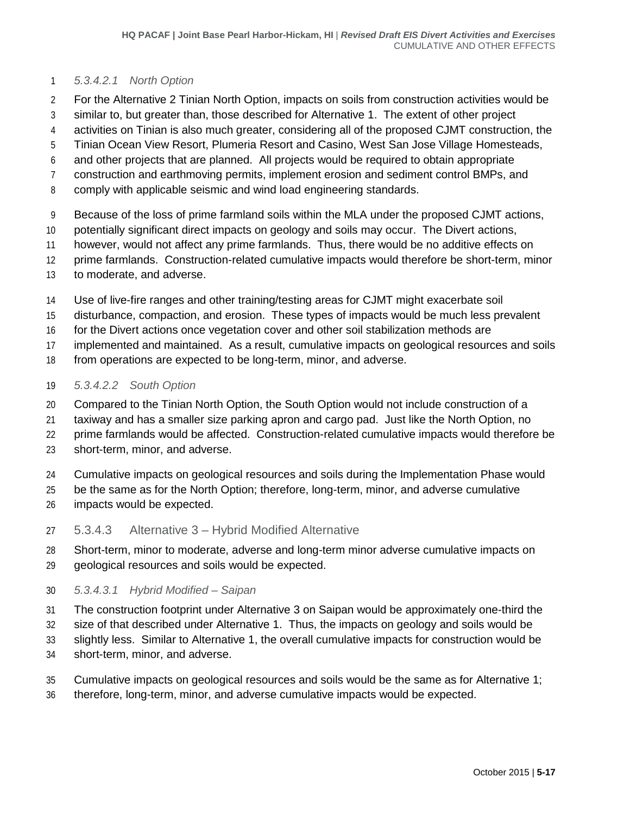#### *5.3.4.2.1 North Option*

- For the Alternative 2 Tinian North Option, impacts on soils from construction activities would be
- similar to, but greater than, those described for Alternative 1. The extent of other project
- 4 activities on Tinian is also much greater, considering all of the proposed CJMT construction, the
- Tinian Ocean View Resort, Plumeria Resort and Casino, West San Jose Village Homesteads,
- and other projects that are planned. All projects would be required to obtain appropriate
- construction and earthmoving permits, implement erosion and sediment control BMPs, and
- comply with applicable seismic and wind load engineering standards.
- 9 Because of the loss of prime farmland soils within the MLA under the proposed CJMT actions,
- potentially significant direct impacts on geology and soils may occur. The Divert actions,
- however, would not affect any prime farmlands. Thus, there would be no additive effects on
- prime farmlands. Construction-related cumulative impacts would therefore be short-term, minor
- to moderate, and adverse.
- Use of live-fire ranges and other training/testing areas for CJMT might exacerbate soil
- disturbance, compaction, and erosion. These types of impacts would be much less prevalent
- for the Divert actions once vegetation cover and other soil stabilization methods are
- implemented and maintained. As a result, cumulative impacts on geological resources and soils
- from operations are expected to be long-term, minor, and adverse.

#### *5.3.4.2.2 South Option*

- Compared to the Tinian North Option, the South Option would not include construction of a
- taxiway and has a smaller size parking apron and cargo pad. Just like the North Option, no
- prime farmlands would be affected. Construction-related cumulative impacts would therefore be
- short-term, minor, and adverse.
- Cumulative impacts on geological resources and soils during the Implementation Phase would
- be the same as for the North Option; therefore, long-term, minor, and adverse cumulative impacts would be expected.
- 5.3.4.3 Alternative 3 Hybrid Modified Alternative
- Short-term, minor to moderate, adverse and long-term minor adverse cumulative impacts on geological resources and soils would be expected.

#### *5.3.4.3.1 Hybrid Modified – Saipan*

- The construction footprint under Alternative 3 on Saipan would be approximately one-third the
- size of that described under Alternative 1. Thus, the impacts on geology and soils would be
- slightly less. Similar to Alternative 1, the overall cumulative impacts for construction would be short-term, minor, and adverse.
- Cumulative impacts on geological resources and soils would be the same as for Alternative 1;
- therefore, long-term, minor, and adverse cumulative impacts would be expected.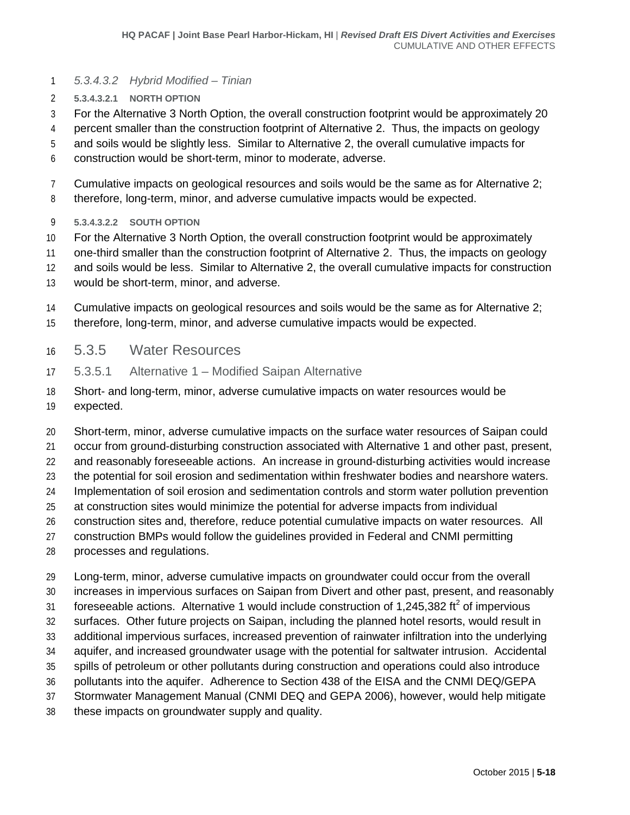- *5.3.4.3.2 Hybrid Modified – Tinian*
- **5.3.4.3.2.1 NORTH OPTION**
- For the Alternative 3 North Option, the overall construction footprint would be approximately 20
- percent smaller than the construction footprint of Alternative 2. Thus, the impacts on geology
- and soils would be slightly less. Similar to Alternative 2, the overall cumulative impacts for
- construction would be short-term, minor to moderate, adverse.
- Cumulative impacts on geological resources and soils would be the same as for Alternative 2; therefore, long-term, minor, and adverse cumulative impacts would be expected.
- **5.3.4.3.2.2 SOUTH OPTION**
- For the Alternative 3 North Option, the overall construction footprint would be approximately
- one-third smaller than the construction footprint of Alternative 2. Thus, the impacts on geology
- and soils would be less. Similar to Alternative 2, the overall cumulative impacts for construction
- would be short-term, minor, and adverse.
- Cumulative impacts on geological resources and soils would be the same as for Alternative 2; therefore, long-term, minor, and adverse cumulative impacts would be expected.
- 5.3.5 Water Resources
- 5.3.5.1 Alternative 1 Modified Saipan Alternative
- Short- and long-term, minor, adverse cumulative impacts on water resources would be expected.
- Short-term, minor, adverse cumulative impacts on the surface water resources of Saipan could occur from ground-disturbing construction associated with Alternative 1 and other past, present, and reasonably foreseeable actions. An increase in ground-disturbing activities would increase the potential for soil erosion and sedimentation within freshwater bodies and nearshore waters. Implementation of soil erosion and sedimentation controls and storm water pollution prevention at construction sites would minimize the potential for adverse impacts from individual construction sites and, therefore, reduce potential cumulative impacts on water resources. All construction BMPs would follow the guidelines provided in Federal and CNMI permitting processes and regulations.
- Long-term, minor, adverse cumulative impacts on groundwater could occur from the overall increases in impervious surfaces on Saipan from Divert and other past, present, and reasonably 31 foreseeable actions. Alternative 1 would include construction of 1,245,382 ft<sup>2</sup> of impervious surfaces. Other future projects on Saipan, including the planned hotel resorts, would result in additional impervious surfaces, increased prevention of rainwater infiltration into the underlying aquifer, and increased groundwater usage with the potential for saltwater intrusion. Accidental spills of petroleum or other pollutants during construction and operations could also introduce pollutants into the aquifer. Adherence to Section 438 of the EISA and the CNMI DEQ/GEPA Stormwater Management Manual (CNMI DEQ and GEPA 2006), however, would help mitigate these impacts on groundwater supply and quality.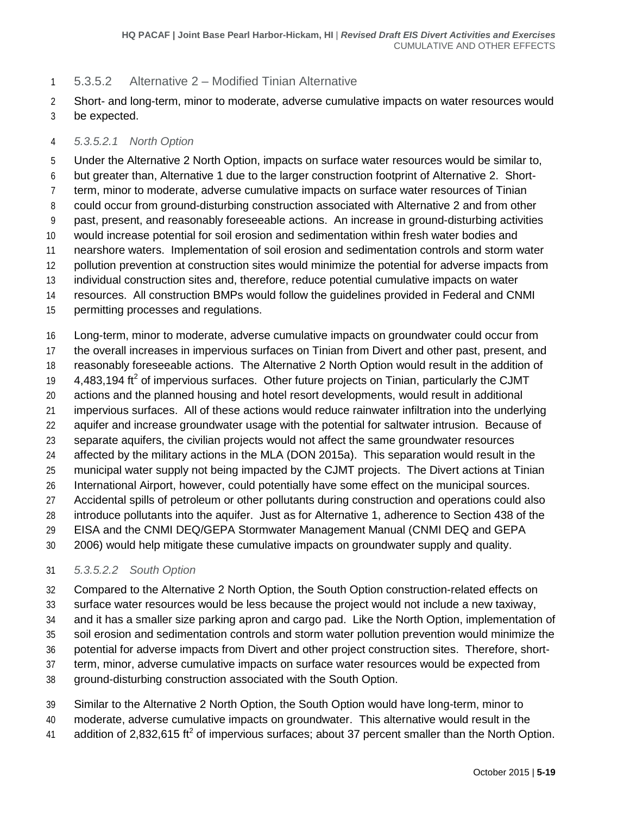#### 5.3.5.2 Alternative 2 – Modified Tinian Alternative

 Short- and long-term, minor to moderate, adverse cumulative impacts on water resources would be expected.

#### *5.3.5.2.1 North Option*

 Under the Alternative 2 North Option, impacts on surface water resources would be similar to, but greater than, Alternative 1 due to the larger construction footprint of Alternative 2. Short- term, minor to moderate, adverse cumulative impacts on surface water resources of Tinian could occur from ground-disturbing construction associated with Alternative 2 and from other past, present, and reasonably foreseeable actions. An increase in ground-disturbing activities would increase potential for soil erosion and sedimentation within fresh water bodies and nearshore waters. Implementation of soil erosion and sedimentation controls and storm water pollution prevention at construction sites would minimize the potential for adverse impacts from individual construction sites and, therefore, reduce potential cumulative impacts on water resources. All construction BMPs would follow the guidelines provided in Federal and CNMI permitting processes and regulations.

 Long-term, minor to moderate, adverse cumulative impacts on groundwater could occur from the overall increases in impervious surfaces on Tinian from Divert and other past, present, and reasonably foreseeable actions. The Alternative 2 North Option would result in the addition of  $-4.483.194$  ft<sup>2</sup> of impervious surfaces. Other future projects on Tinian, particularly the CJMT actions and the planned housing and hotel resort developments, would result in additional impervious surfaces. All of these actions would reduce rainwater infiltration into the underlying aquifer and increase groundwater usage with the potential for saltwater intrusion. Because of separate aquifers, the civilian projects would not affect the same groundwater resources affected by the military actions in the MLA (DON 2015a). This separation would result in the municipal water supply not being impacted by the CJMT projects. The Divert actions at Tinian International Airport, however, could potentially have some effect on the municipal sources. Accidental spills of petroleum or other pollutants during construction and operations could also introduce pollutants into the aquifer. Just as for Alternative 1, adherence to Section 438 of the

- EISA and the CNMI DEQ/GEPA Stormwater Management Manual (CNMI DEQ and GEPA
- 2006) would help mitigate these cumulative impacts on groundwater supply and quality.

#### *5.3.5.2.2 South Option*

 Compared to the Alternative 2 North Option, the South Option construction-related effects on surface water resources would be less because the project would not include a new taxiway, and it has a smaller size parking apron and cargo pad. Like the North Option, implementation of soil erosion and sedimentation controls and storm water pollution prevention would minimize the potential for adverse impacts from Divert and other project construction sites. Therefore, short- term, minor, adverse cumulative impacts on surface water resources would be expected from ground-disturbing construction associated with the South Option.

 Similar to the Alternative 2 North Option, the South Option would have long-term, minor to moderate, adverse cumulative impacts on groundwater. This alternative would result in the 41 addition of 2,832,615 ft<sup>2</sup> of impervious surfaces; about 37 percent smaller than the North Option.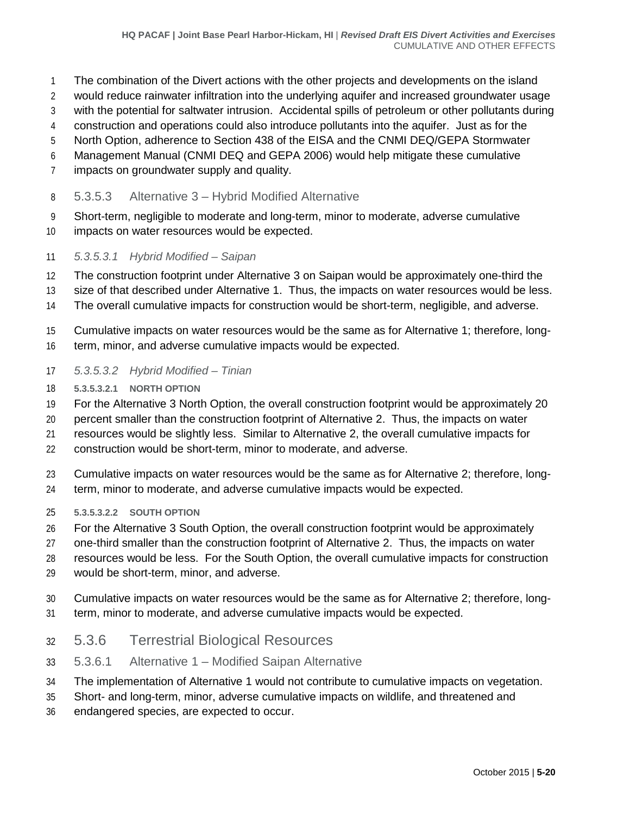- The combination of the Divert actions with the other projects and developments on the island
- would reduce rainwater infiltration into the underlying aquifer and increased groundwater usage
- with the potential for saltwater intrusion. Accidental spills of petroleum or other pollutants during
- construction and operations could also introduce pollutants into the aquifer. Just as for the
- North Option, adherence to Section 438 of the EISA and the CNMI DEQ/GEPA Stormwater
- Management Manual (CNMI DEQ and GEPA 2006) would help mitigate these cumulative
- impacts on groundwater supply and quality.
- 5.3.5.3 Alternative 3 Hybrid Modified Alternative
- Short-term, negligible to moderate and long-term, minor to moderate, adverse cumulative impacts on water resources would be expected.
- *5.3.5.3.1 Hybrid Modified – Saipan*
- The construction footprint under Alternative 3 on Saipan would be approximately one-third the
- size of that described under Alternative 1. Thus, the impacts on water resources would be less. The overall cumulative impacts for construction would be short-term, negligible, and adverse.
- Cumulative impacts on water resources would be the same as for Alternative 1; therefore, long-term, minor, and adverse cumulative impacts would be expected.
- *5.3.5.3.2 Hybrid Modified – Tinian*
- **5.3.5.3.2.1 NORTH OPTION**
- For the Alternative 3 North Option, the overall construction footprint would be approximately 20
- percent smaller than the construction footprint of Alternative 2. Thus, the impacts on water
- resources would be slightly less. Similar to Alternative 2, the overall cumulative impacts for
- construction would be short-term, minor to moderate, and adverse.
- Cumulative impacts on water resources would be the same as for Alternative 2; therefore, long-
- term, minor to moderate, and adverse cumulative impacts would be expected.
- **5.3.5.3.2.2 SOUTH OPTION**
- For the Alternative 3 South Option, the overall construction footprint would be approximately
- one-third smaller than the construction footprint of Alternative 2. Thus, the impacts on water
- resources would be less. For the South Option, the overall cumulative impacts for construction
- would be short-term, minor, and adverse.
- Cumulative impacts on water resources would be the same as for Alternative 2; therefore, long-term, minor to moderate, and adverse cumulative impacts would be expected.
- 5.3.6 Terrestrial Biological Resources
- 5.3.6.1 Alternative 1 Modified Saipan Alternative
- The implementation of Alternative 1 would not contribute to cumulative impacts on vegetation.
- Short- and long-term, minor, adverse cumulative impacts on wildlife, and threatened and
- endangered species, are expected to occur.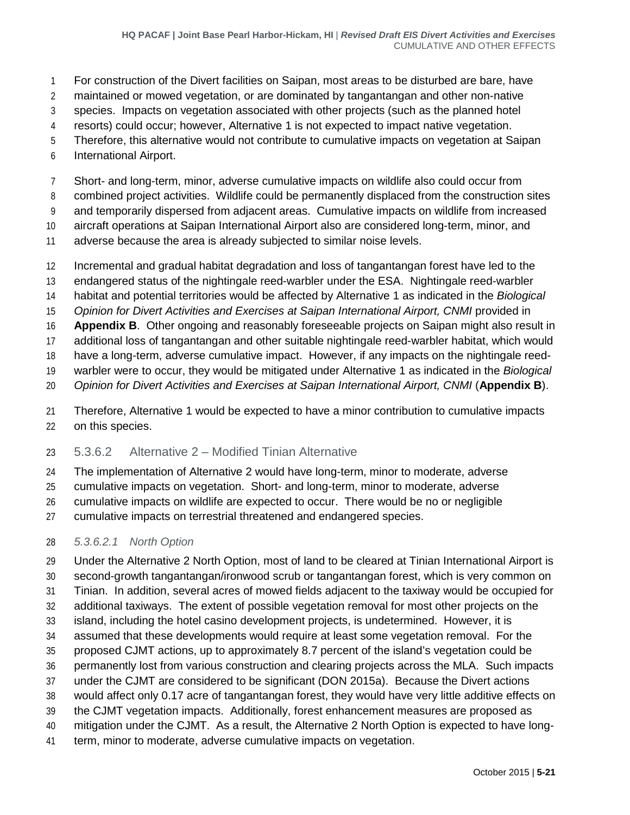- For construction of the Divert facilities on Saipan, most areas to be disturbed are bare, have
- maintained or mowed vegetation, or are dominated by tangantangan and other non-native
- species. Impacts on vegetation associated with other projects (such as the planned hotel
- resorts) could occur; however, Alternative 1 is not expected to impact native vegetation.
- Therefore, this alternative would not contribute to cumulative impacts on vegetation at Saipan
- International Airport.
- Short- and long-term, minor, adverse cumulative impacts on wildlife also could occur from
- combined project activities. Wildlife could be permanently displaced from the construction sites
- and temporarily dispersed from adjacent areas. Cumulative impacts on wildlife from increased
- aircraft operations at Saipan International Airport also are considered long-term, minor, and
- adverse because the area is already subjected to similar noise levels.
- Incremental and gradual habitat degradation and loss of tangantangan forest have led to the
- endangered status of the nightingale reed-warbler under the ESA. Nightingale reed-warbler
- habitat and potential territories would be affected by Alternative 1 as indicated in the *Biological*
- *Opinion for Divert Activities and Exercises at Saipan International Airport, CNMI* provided in
- **Appendix B**. Other ongoing and reasonably foreseeable projects on Saipan might also result in
- additional loss of tangantangan and other suitable nightingale reed-warbler habitat, which would
- have a long-term, adverse cumulative impact. However, if any impacts on the nightingale reed-
- warbler were to occur, they would be mitigated under Alternative 1 as indicated in the *Biological*
- *Opinion for Divert Activities and Exercises at Saipan International Airport, CNMI* (**Appendix B**).
- Therefore, Alternative 1 would be expected to have a minor contribution to cumulative impacts on this species.

## 5.3.6.2 Alternative 2 – Modified Tinian Alternative

- The implementation of Alternative 2 would have long-term, minor to moderate, adverse
- cumulative impacts on vegetation. Short- and long-term, minor to moderate, adverse
- cumulative impacts on wildlife are expected to occur. There would be no or negligible
- cumulative impacts on terrestrial threatened and endangered species.

## *5.3.6.2.1 North Option*

- Under the Alternative 2 North Option, most of land to be cleared at Tinian International Airport is second-growth tangantangan/ironwood scrub or tangantangan forest, which is very common on Tinian. In addition, several acres of mowed fields adjacent to the taxiway would be occupied for additional taxiways. The extent of possible vegetation removal for most other projects on the island, including the hotel casino development projects, is undetermined. However, it is assumed that these developments would require at least some vegetation removal. For the proposed CJMT actions, up to approximately 8.7 percent of the island's vegetation could be permanently lost from various construction and clearing projects across the MLA. Such impacts under the CJMT are considered to be significant (DON 2015a). Because the Divert actions would affect only 0.17 acre of tangantangan forest, they would have very little additive effects on the CJMT vegetation impacts. Additionally, forest enhancement measures are proposed as mitigation under the CJMT. As a result, the Alternative 2 North Option is expected to have long-
- term, minor to moderate, adverse cumulative impacts on vegetation.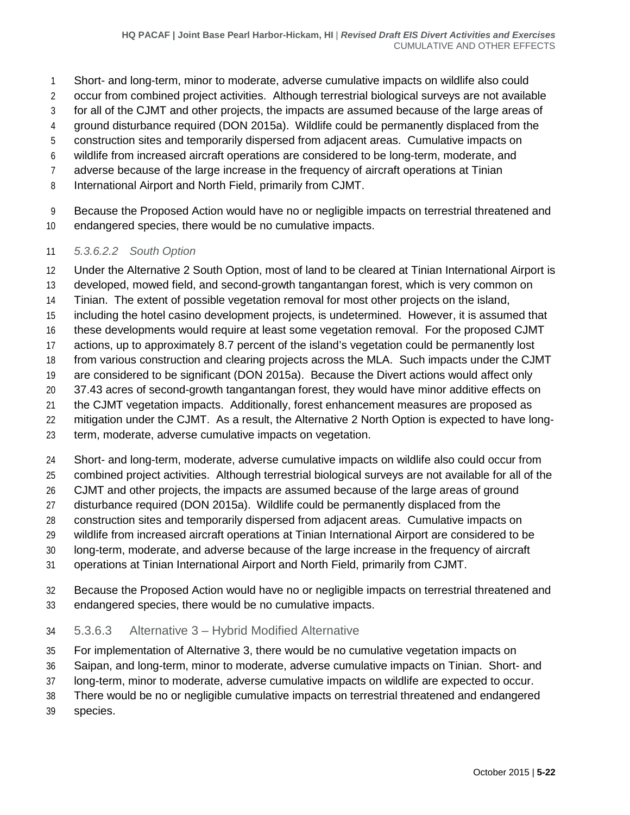- Short- and long-term, minor to moderate, adverse cumulative impacts on wildlife also could
- 2 occur from combined project activities. Although terrestrial biological surveys are not available
- for all of the CJMT and other projects, the impacts are assumed because of the large areas of
- ground disturbance required (DON 2015a). Wildlife could be permanently displaced from the
- construction sites and temporarily dispersed from adjacent areas. Cumulative impacts on
- wildlife from increased aircraft operations are considered to be long-term, moderate, and
- adverse because of the large increase in the frequency of aircraft operations at Tinian
- International Airport and North Field, primarily from CJMT.

9 Because the Proposed Action would have no or negligible impacts on terrestrial threatened and endangered species, there would be no cumulative impacts.

#### *5.3.6.2.2 South Option*

Under the Alternative 2 South Option, most of land to be cleared at Tinian International Airport is

- developed, mowed field, and second-growth tangantangan forest, which is very common on
- Tinian. The extent of possible vegetation removal for most other projects on the island,
- including the hotel casino development projects, is undetermined. However, it is assumed that
- these developments would require at least some vegetation removal. For the proposed CJMT
- actions, up to approximately 8.7 percent of the island's vegetation could be permanently lost
- from various construction and clearing projects across the MLA. Such impacts under the CJMT
- are considered to be significant (DON 2015a). Because the Divert actions would affect only
- 37.43 acres of second-growth tangantangan forest, they would have minor additive effects on
- the CJMT vegetation impacts. Additionally, forest enhancement measures are proposed as
- mitigation under the CJMT. As a result, the Alternative 2 North Option is expected to have long-
- term, moderate, adverse cumulative impacts on vegetation.
- Short- and long-term, moderate, adverse cumulative impacts on wildlife also could occur from
- combined project activities. Although terrestrial biological surveys are not available for all of the
- CJMT and other projects, the impacts are assumed because of the large areas of ground
- disturbance required (DON 2015a). Wildlife could be permanently displaced from the
- construction sites and temporarily dispersed from adjacent areas. Cumulative impacts on
- wildlife from increased aircraft operations at Tinian International Airport are considered to be
- long-term, moderate, and adverse because of the large increase in the frequency of aircraft
- operations at Tinian International Airport and North Field, primarily from CJMT.
- Because the Proposed Action would have no or negligible impacts on terrestrial threatened and endangered species, there would be no cumulative impacts.

## 5.3.6.3 Alternative 3 – Hybrid Modified Alternative

- For implementation of Alternative 3, there would be no cumulative vegetation impacts on
- Saipan, and long-term, minor to moderate, adverse cumulative impacts on Tinian. Short- and
- long-term, minor to moderate, adverse cumulative impacts on wildlife are expected to occur.
- There would be no or negligible cumulative impacts on terrestrial threatened and endangered
- species.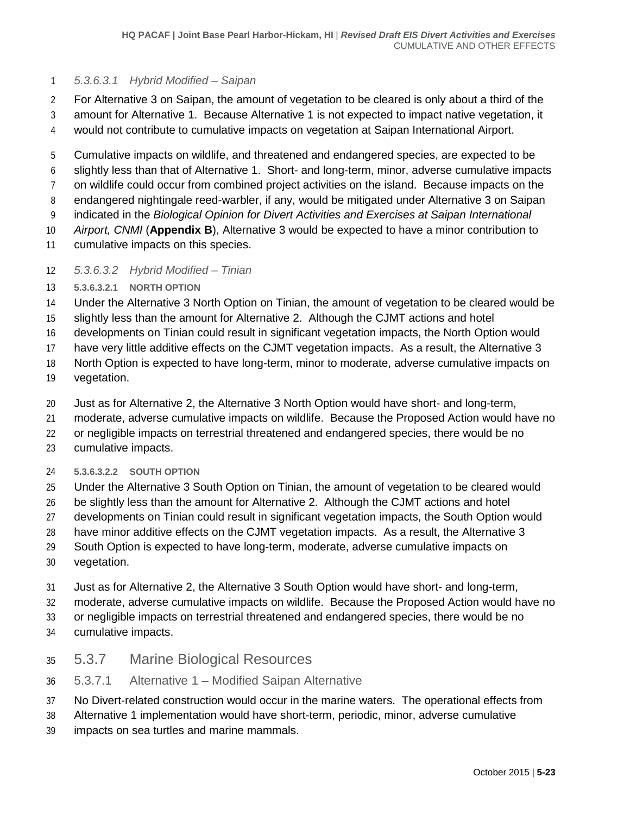#### *5.3.6.3.1 Hybrid Modified – Saipan*

 For Alternative 3 on Saipan, the amount of vegetation to be cleared is only about a third of the amount for Alternative 1. Because Alternative 1 is not expected to impact native vegetation, it would not contribute to cumulative impacts on vegetation at Saipan International Airport.

 Cumulative impacts on wildlife, and threatened and endangered species, are expected to be slightly less than that of Alternative 1. Short- and long-term, minor, adverse cumulative impacts on wildlife could occur from combined project activities on the island. Because impacts on the endangered nightingale reed-warbler, if any, would be mitigated under Alternative 3 on Saipan indicated in the *Biological Opinion for Divert Activities and Exercises at Saipan International Airport, CNMI* (**Appendix B**), Alternative 3 would be expected to have a minor contribution to cumulative impacts on this species.

- *5.3.6.3.2 Hybrid Modified – Tinian*
- **5.3.6.3.2.1 NORTH OPTION**
- Under the Alternative 3 North Option on Tinian, the amount of vegetation to be cleared would be
- slightly less than the amount for Alternative 2. Although the CJMT actions and hotel
- developments on Tinian could result in significant vegetation impacts, the North Option would
- have very little additive effects on the CJMT vegetation impacts. As a result, the Alternative 3
- North Option is expected to have long-term, minor to moderate, adverse cumulative impacts on
- vegetation.
- Just as for Alternative 2, the Alternative 3 North Option would have short- and long-term,
- moderate, adverse cumulative impacts on wildlife. Because the Proposed Action would have no
- or negligible impacts on terrestrial threatened and endangered species, there would be no
- cumulative impacts.

#### **5.3.6.3.2.2 SOUTH OPTION**

- Under the Alternative 3 South Option on Tinian, the amount of vegetation to be cleared would
- be slightly less than the amount for Alternative 2. Although the CJMT actions and hotel
- developments on Tinian could result in significant vegetation impacts, the South Option would
- 28 have minor additive effects on the CJMT vegetation impacts. As a result, the Alternative 3
- South Option is expected to have long-term, moderate, adverse cumulative impacts on
- vegetation.
- Just as for Alternative 2, the Alternative 3 South Option would have short- and long-term,
- moderate, adverse cumulative impacts on wildlife. Because the Proposed Action would have no
- or negligible impacts on terrestrial threatened and endangered species, there would be no
- cumulative impacts.
- 5.3.7 Marine Biological Resources
- 5.3.7.1 Alternative 1 Modified Saipan Alternative
- No Divert-related construction would occur in the marine waters. The operational effects from
- Alternative 1 implementation would have short-term, periodic, minor, adverse cumulative
- impacts on sea turtles and marine mammals.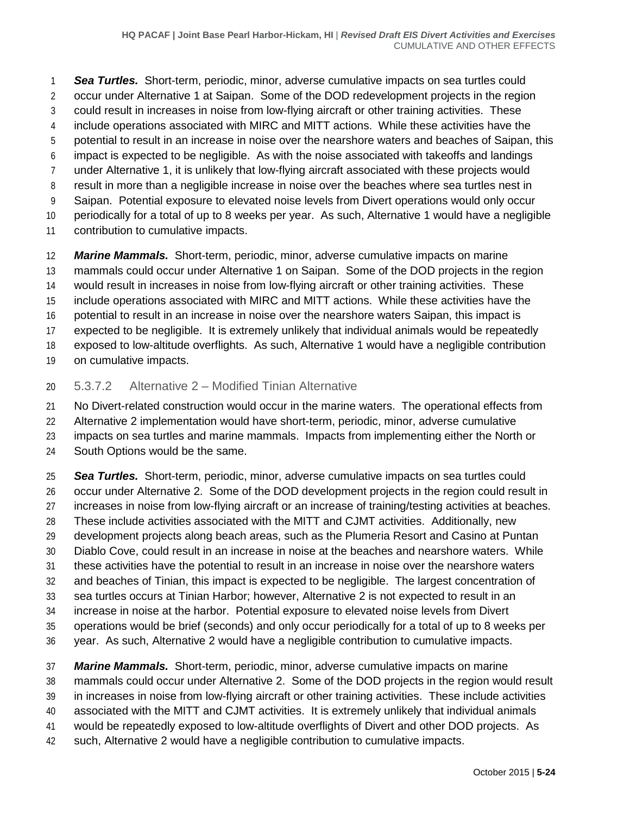*Sea Turtles.* Short-term, periodic, minor, adverse cumulative impacts on sea turtles could occur under Alternative 1 at Saipan. Some of the DOD redevelopment projects in the region could result in increases in noise from low-flying aircraft or other training activities. These include operations associated with MIRC and MITT actions. While these activities have the potential to result in an increase in noise over the nearshore waters and beaches of Saipan, this impact is expected to be negligible. As with the noise associated with takeoffs and landings under Alternative 1, it is unlikely that low-flying aircraft associated with these projects would result in more than a negligible increase in noise over the beaches where sea turtles nest in 9 Saipan. Potential exposure to elevated noise levels from Divert operations would only occur periodically for a total of up to 8 weeks per year. As such, Alternative 1 would have a negligible contribution to cumulative impacts.

 *Marine Mammals.* Short-term, periodic, minor, adverse cumulative impacts on marine mammals could occur under Alternative 1 on Saipan. Some of the DOD projects in the region would result in increases in noise from low-flying aircraft or other training activities. These include operations associated with MIRC and MITT actions. While these activities have the potential to result in an increase in noise over the nearshore waters Saipan, this impact is expected to be negligible. It is extremely unlikely that individual animals would be repeatedly exposed to low-altitude overflights. As such, Alternative 1 would have a negligible contribution on cumulative impacts.

#### 5.3.7.2 Alternative 2 – Modified Tinian Alternative

 No Divert-related construction would occur in the marine waters. The operational effects from Alternative 2 implementation would have short-term, periodic, minor, adverse cumulative

impacts on sea turtles and marine mammals. Impacts from implementing either the North or

South Options would be the same.

 *Sea Turtles.* Short-term, periodic, minor, adverse cumulative impacts on sea turtles could occur under Alternative 2. Some of the DOD development projects in the region could result in increases in noise from low-flying aircraft or an increase of training/testing activities at beaches. These include activities associated with the MITT and CJMT activities. Additionally, new development projects along beach areas, such as the Plumeria Resort and Casino at Puntan Diablo Cove, could result in an increase in noise at the beaches and nearshore waters. While these activities have the potential to result in an increase in noise over the nearshore waters and beaches of Tinian, this impact is expected to be negligible. The largest concentration of sea turtles occurs at Tinian Harbor; however, Alternative 2 is not expected to result in an increase in noise at the harbor. Potential exposure to elevated noise levels from Divert operations would be brief (seconds) and only occur periodically for a total of up to 8 weeks per year. As such, Alternative 2 would have a negligible contribution to cumulative impacts.

 *Marine Mammals.* Short-term, periodic, minor, adverse cumulative impacts on marine mammals could occur under Alternative 2. Some of the DOD projects in the region would result in increases in noise from low-flying aircraft or other training activities. These include activities associated with the MITT and CJMT activities. It is extremely unlikely that individual animals would be repeatedly exposed to low-altitude overflights of Divert and other DOD projects. As such, Alternative 2 would have a negligible contribution to cumulative impacts.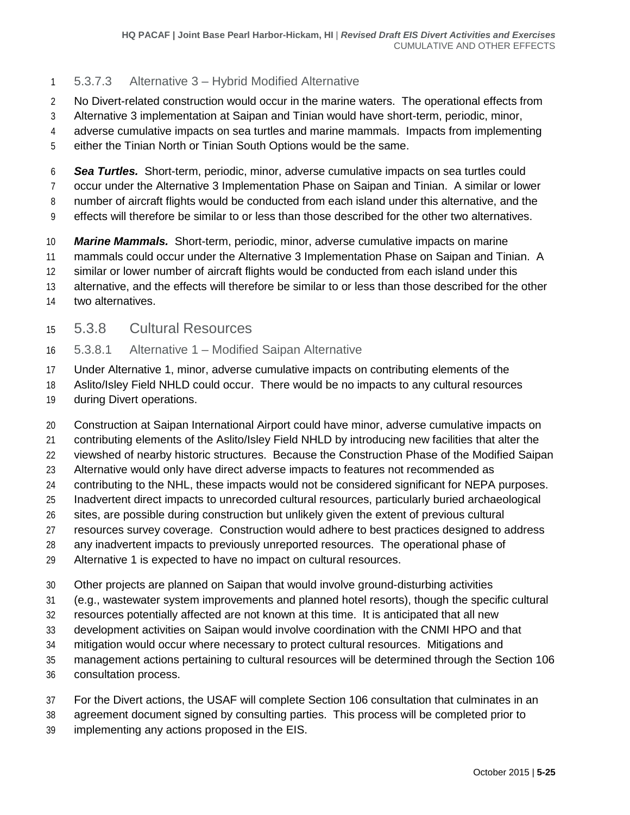#### 5.3.7.3 Alternative 3 – Hybrid Modified Alternative

- 2 No Divert-related construction would occur in the marine waters. The operational effects from
- Alternative 3 implementation at Saipan and Tinian would have short-term, periodic, minor,
- adverse cumulative impacts on sea turtles and marine mammals. Impacts from implementing
- either the Tinian North or Tinian South Options would be the same.
- *Sea Turtles.* Short-term, periodic, minor, adverse cumulative impacts on sea turtles could
- occur under the Alternative 3 Implementation Phase on Saipan and Tinian. A similar or lower
- number of aircraft flights would be conducted from each island under this alternative, and the
- effects will therefore be similar to or less than those described for the other two alternatives.
- *Marine Mammals.* Short-term, periodic, minor, adverse cumulative impacts on marine mammals could occur under the Alternative 3 Implementation Phase on Saipan and Tinian. A similar or lower number of aircraft flights would be conducted from each island under this alternative, and the effects will therefore be similar to or less than those described for the other two alternatives.
- 5.3.8 Cultural Resources
- 5.3.8.1 Alternative 1 Modified Saipan Alternative
- Under Alternative 1, minor, adverse cumulative impacts on contributing elements of the
- Aslito/Isley Field NHLD could occur. There would be no impacts to any cultural resources during Divert operations.
- Construction at Saipan International Airport could have minor, adverse cumulative impacts on contributing elements of the Aslito/Isley Field NHLD by introducing new facilities that alter the viewshed of nearby historic structures. Because the Construction Phase of the Modified Saipan Alternative would only have direct adverse impacts to features not recommended as contributing to the NHL, these impacts would not be considered significant for NEPA purposes. Inadvertent direct impacts to unrecorded cultural resources, particularly buried archaeological sites, are possible during construction but unlikely given the extent of previous cultural resources survey coverage. Construction would adhere to best practices designed to address any inadvertent impacts to previously unreported resources. The operational phase of Alternative 1 is expected to have no impact on cultural resources. Other projects are planned on Saipan that would involve ground-disturbing activities
- (e.g., wastewater system improvements and planned hotel resorts), though the specific cultural
- resources potentially affected are not known at this time. It is anticipated that all new
- development activities on Saipan would involve coordination with the CNMI HPO and that
- mitigation would occur where necessary to protect cultural resources. Mitigations and
- management actions pertaining to cultural resources will be determined through the Section 106
- consultation process.
- For the Divert actions, the USAF will complete Section 106 consultation that culminates in an
- agreement document signed by consulting parties. This process will be completed prior to
- implementing any actions proposed in the EIS.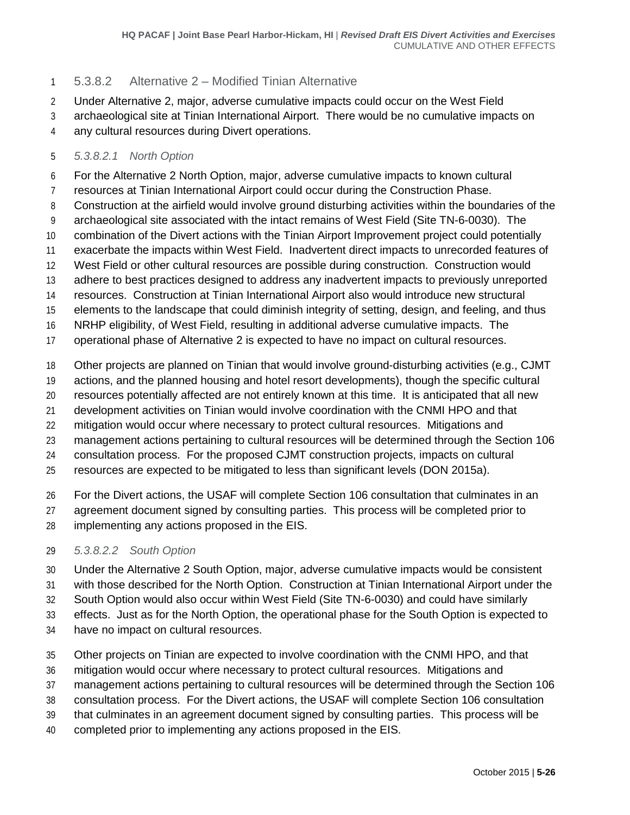#### 5.3.8.2 Alternative 2 – Modified Tinian Alternative

Under Alternative 2, major, adverse cumulative impacts could occur on the West Field

 archaeological site at Tinian International Airport. There would be no cumulative impacts on any cultural resources during Divert operations.

#### *5.3.8.2.1 North Option*

- For the Alternative 2 North Option, major, adverse cumulative impacts to known cultural
- resources at Tinian International Airport could occur during the Construction Phase.
- Construction at the airfield would involve ground disturbing activities within the boundaries of the
- archaeological site associated with the intact remains of West Field (Site TN-6-0030). The
- combination of the Divert actions with the Tinian Airport Improvement project could potentially
- exacerbate the impacts within West Field. Inadvertent direct impacts to unrecorded features of
- West Field or other cultural resources are possible during construction. Construction would
- adhere to best practices designed to address any inadvertent impacts to previously unreported
- resources. Construction at Tinian International Airport also would introduce new structural
- elements to the landscape that could diminish integrity of setting, design, and feeling, and thus
- NRHP eligibility, of West Field, resulting in additional adverse cumulative impacts. The
- operational phase of Alternative 2 is expected to have no impact on cultural resources.
- Other projects are planned on Tinian that would involve ground-disturbing activities (e.g., CJMT
- actions, and the planned housing and hotel resort developments), though the specific cultural
- resources potentially affected are not entirely known at this time. It is anticipated that all new
- development activities on Tinian would involve coordination with the CNMI HPO and that
- mitigation would occur where necessary to protect cultural resources. Mitigations and
- management actions pertaining to cultural resources will be determined through the Section 106
- consultation process. For the proposed CJMT construction projects, impacts on cultural
- resources are expected to be mitigated to less than significant levels (DON 2015a).
- For the Divert actions, the USAF will complete Section 106 consultation that culminates in an 27 agreement document signed by consulting parties. This process will be completed prior to implementing any actions proposed in the EIS.

#### *5.3.8.2.2 South Option*

- Under the Alternative 2 South Option, major, adverse cumulative impacts would be consistent with those described for the North Option. Construction at Tinian International Airport under the South Option would also occur within West Field (Site TN-6-0030) and could have similarly effects. Just as for the North Option, the operational phase for the South Option is expected to have no impact on cultural resources.
- Other projects on Tinian are expected to involve coordination with the CNMI HPO, and that
- mitigation would occur where necessary to protect cultural resources. Mitigations and
- management actions pertaining to cultural resources will be determined through the Section 106
- consultation process. For the Divert actions, the USAF will complete Section 106 consultation
- that culminates in an agreement document signed by consulting parties. This process will be
- completed prior to implementing any actions proposed in the EIS.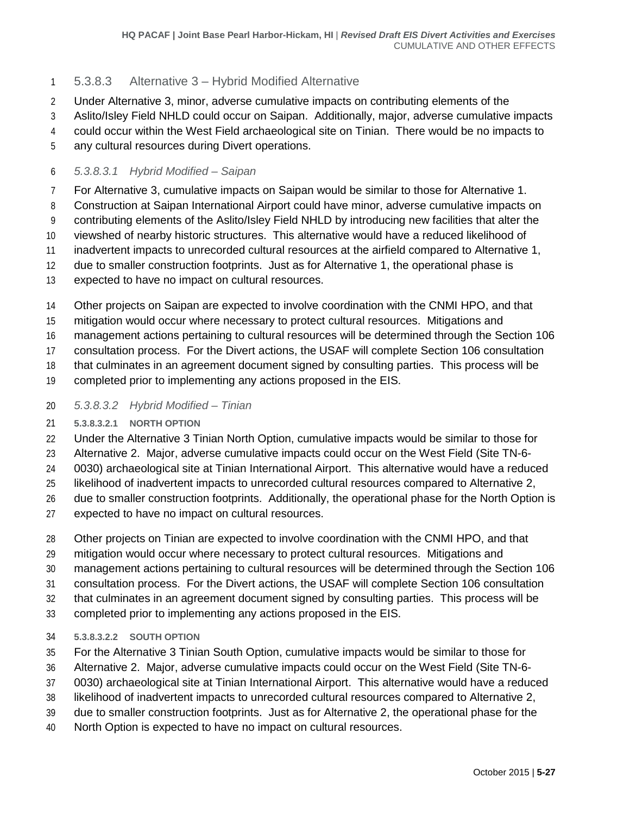#### 5.3.8.3 Alternative 3 – Hybrid Modified Alternative

- Under Alternative 3, minor, adverse cumulative impacts on contributing elements of the
- Aslito/Isley Field NHLD could occur on Saipan. Additionally, major, adverse cumulative impacts
- could occur within the West Field archaeological site on Tinian. There would be no impacts to
- any cultural resources during Divert operations.

#### *5.3.8.3.1 Hybrid Modified – Saipan*

- For Alternative 3, cumulative impacts on Saipan would be similar to those for Alternative 1.
- Construction at Saipan International Airport could have minor, adverse cumulative impacts on
- contributing elements of the Aslito/Isley Field NHLD by introducing new facilities that alter the
- viewshed of nearby historic structures. This alternative would have a reduced likelihood of
- inadvertent impacts to unrecorded cultural resources at the airfield compared to Alternative 1,
- due to smaller construction footprints. Just as for Alternative 1, the operational phase is
- expected to have no impact on cultural resources.
- Other projects on Saipan are expected to involve coordination with the CNMI HPO, and that
- mitigation would occur where necessary to protect cultural resources. Mitigations and
- management actions pertaining to cultural resources will be determined through the Section 106
- consultation process. For the Divert actions, the USAF will complete Section 106 consultation
- that culminates in an agreement document signed by consulting parties. This process will be
- completed prior to implementing any actions proposed in the EIS.

#### *5.3.8.3.2 Hybrid Modified – Tinian*

- **5.3.8.3.2.1 NORTH OPTION**
- Under the Alternative 3 Tinian North Option, cumulative impacts would be similar to those for
- 23 Alternative 2. Major, adverse cumulative impacts could occur on the West Field (Site TN-6-
- 0030) archaeological site at Tinian International Airport. This alternative would have a reduced
- likelihood of inadvertent impacts to unrecorded cultural resources compared to Alternative 2,
- due to smaller construction footprints. Additionally, the operational phase for the North Option is
- expected to have no impact on cultural resources.
- Other projects on Tinian are expected to involve coordination with the CNMI HPO, and that
- mitigation would occur where necessary to protect cultural resources. Mitigations and
- management actions pertaining to cultural resources will be determined through the Section 106
- consultation process. For the Divert actions, the USAF will complete Section 106 consultation
- that culminates in an agreement document signed by consulting parties. This process will be
- completed prior to implementing any actions proposed in the EIS.

## **5.3.8.3.2.2 SOUTH OPTION**

- For the Alternative 3 Tinian South Option, cumulative impacts would be similar to those for
- Alternative 2. Major, adverse cumulative impacts could occur on the West Field (Site TN-6-
- 0030) archaeological site at Tinian International Airport. This alternative would have a reduced
- likelihood of inadvertent impacts to unrecorded cultural resources compared to Alternative 2,
- due to smaller construction footprints. Just as for Alternative 2, the operational phase for the
- North Option is expected to have no impact on cultural resources.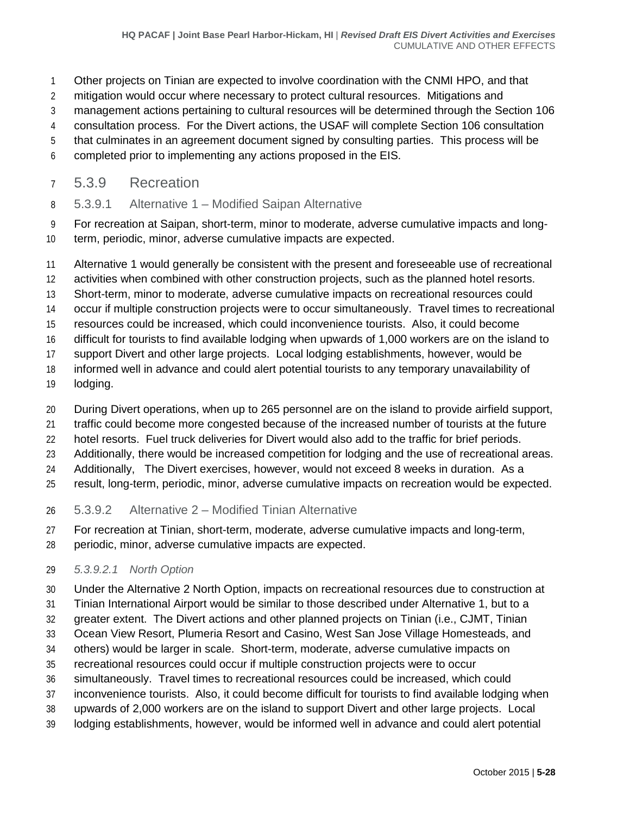- Other projects on Tinian are expected to involve coordination with the CNMI HPO, and that
- 2 mitigation would occur where necessary to protect cultural resources. Mitigations and
- management actions pertaining to cultural resources will be determined through the Section 106
- consultation process. For the Divert actions, the USAF will complete Section 106 consultation
- that culminates in an agreement document signed by consulting parties. This process will be
- completed prior to implementing any actions proposed in the EIS.

## 5.3.9 Recreation

5.3.9.1 Alternative 1 – Modified Saipan Alternative

 For recreation at Saipan, short-term, minor to moderate, adverse cumulative impacts and long-term, periodic, minor, adverse cumulative impacts are expected.

- Alternative 1 would generally be consistent with the present and foreseeable use of recreational
- activities when combined with other construction projects, such as the planned hotel resorts.
- Short-term, minor to moderate, adverse cumulative impacts on recreational resources could
- occur if multiple construction projects were to occur simultaneously. Travel times to recreational
- resources could be increased, which could inconvenience tourists. Also, it could become
- difficult for tourists to find available lodging when upwards of 1,000 workers are on the island to
- support Divert and other large projects. Local lodging establishments, however, would be
- informed well in advance and could alert potential tourists to any temporary unavailability of lodging.
- During Divert operations, when up to 265 personnel are on the island to provide airfield support,
- traffic could become more congested because of the increased number of tourists at the future
- hotel resorts. Fuel truck deliveries for Divert would also add to the traffic for brief periods.
- Additionally, there would be increased competition for lodging and the use of recreational areas.
- Additionally, The Divert exercises, however, would not exceed 8 weeks in duration. As a
- result, long-term, periodic, minor, adverse cumulative impacts on recreation would be expected.
- 5.3.9.2 Alternative 2 Modified Tinian Alternative
- For recreation at Tinian, short-term, moderate, adverse cumulative impacts and long-term,
- periodic, minor, adverse cumulative impacts are expected.

## *5.3.9.2.1 North Option*

- Under the Alternative 2 North Option, impacts on recreational resources due to construction at
- Tinian International Airport would be similar to those described under Alternative 1, but to a
- greater extent. The Divert actions and other planned projects on Tinian (i.e., CJMT, Tinian
- Ocean View Resort, Plumeria Resort and Casino, West San Jose Village Homesteads, and
- others) would be larger in scale. Short-term, moderate, adverse cumulative impacts on
- recreational resources could occur if multiple construction projects were to occur
- simultaneously. Travel times to recreational resources could be increased, which could
- inconvenience tourists. Also, it could become difficult for tourists to find available lodging when
- upwards of 2,000 workers are on the island to support Divert and other large projects. Local
- lodging establishments, however, would be informed well in advance and could alert potential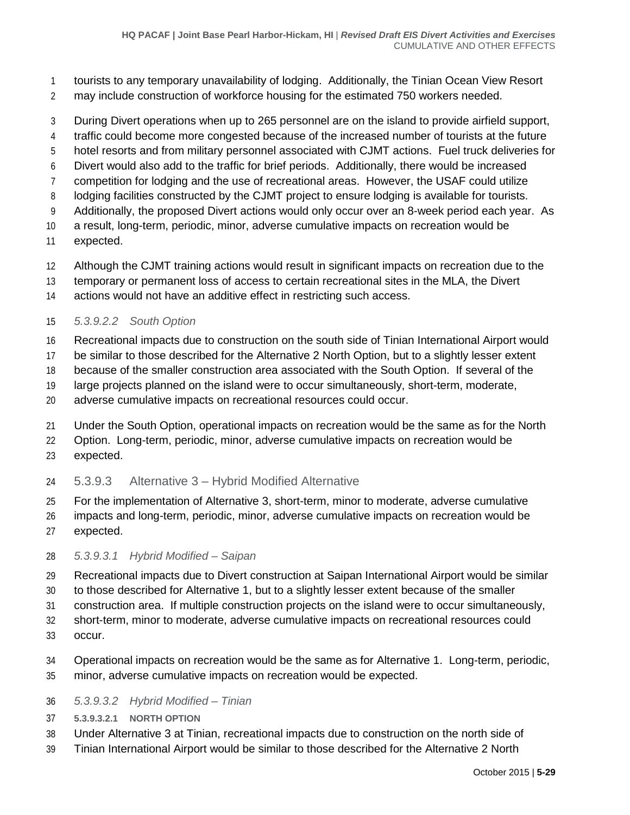- tourists to any temporary unavailability of lodging. Additionally, the Tinian Ocean View Resort
- 2 may include construction of workforce housing for the estimated 750 workers needed.
- During Divert operations when up to 265 personnel are on the island to provide airfield support,
- traffic could become more congested because of the increased number of tourists at the future
- hotel resorts and from military personnel associated with CJMT actions. Fuel truck deliveries for
- Divert would also add to the traffic for brief periods. Additionally, there would be increased
- 7 competition for lodging and the use of recreational areas. However, the USAF could utilize
- 8 lodging facilities constructed by the CJMT project to ensure lodging is available for tourists.
- Additionally, the proposed Divert actions would only occur over an 8-week period each year. As
- a result, long-term, periodic, minor, adverse cumulative impacts on recreation would be
- expected.
- Although the CJMT training actions would result in significant impacts on recreation due to the
- temporary or permanent loss of access to certain recreational sites in the MLA, the Divert
- actions would not have an additive effect in restricting such access.

#### *5.3.9.2.2 South Option*

- Recreational impacts due to construction on the south side of Tinian International Airport would
- be similar to those described for the Alternative 2 North Option, but to a slightly lesser extent
- because of the smaller construction area associated with the South Option. If several of the
- large projects planned on the island were to occur simultaneously, short-term, moderate,
- adverse cumulative impacts on recreational resources could occur.
- Under the South Option, operational impacts on recreation would be the same as for the North
- Option. Long-term, periodic, minor, adverse cumulative impacts on recreation would be
- expected.

## 5.3.9.3 Alternative 3 – Hybrid Modified Alternative

- For the implementation of Alternative 3, short-term, minor to moderate, adverse cumulative
- impacts and long-term, periodic, minor, adverse cumulative impacts on recreation would be
- expected.

## *5.3.9.3.1 Hybrid Modified – Saipan*

- Recreational impacts due to Divert construction at Saipan International Airport would be similar
- to those described for Alternative 1, but to a slightly lesser extent because of the smaller
- construction area. If multiple construction projects on the island were to occur simultaneously,
- short-term, minor to moderate, adverse cumulative impacts on recreational resources could
- occur.
- Operational impacts on recreation would be the same as for Alternative 1. Long-term, periodic, minor, adverse cumulative impacts on recreation would be expected.

#### *5.3.9.3.2 Hybrid Modified – Tinian*

- **5.3.9.3.2.1 NORTH OPTION**
- Under Alternative 3 at Tinian, recreational impacts due to construction on the north side of
- Tinian International Airport would be similar to those described for the Alternative 2 North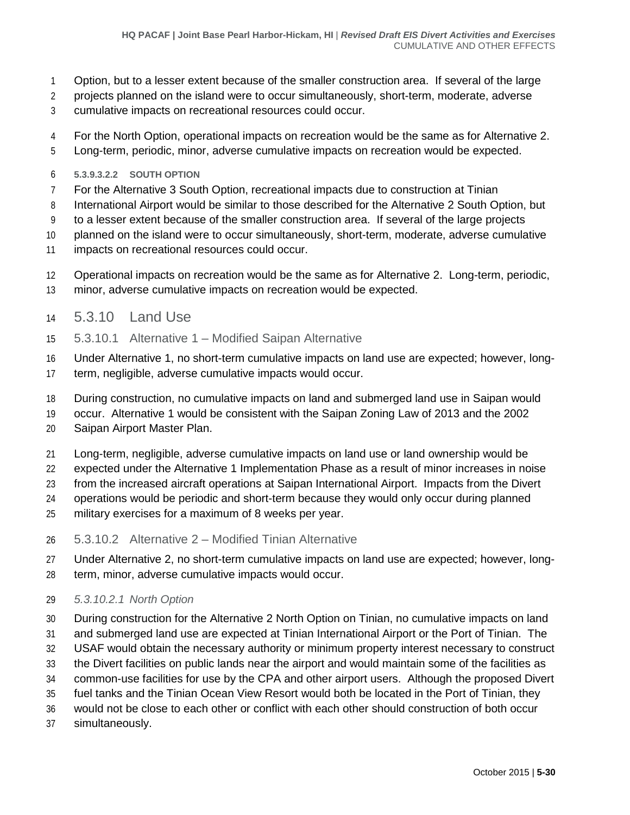- Option, but to a lesser extent because of the smaller construction area. If several of the large
- 2 projects planned on the island were to occur simultaneously, short-term, moderate, adverse
- cumulative impacts on recreational resources could occur.
- For the North Option, operational impacts on recreation would be the same as for Alternative 2. Long-term, periodic, minor, adverse cumulative impacts on recreation would be expected.
- **5.3.9.3.2.2 SOUTH OPTION**
- For the Alternative 3 South Option, recreational impacts due to construction at Tinian
- International Airport would be similar to those described for the Alternative 2 South Option, but
- to a lesser extent because of the smaller construction area. If several of the large projects
- planned on the island were to occur simultaneously, short-term, moderate, adverse cumulative
- impacts on recreational resources could occur.
- Operational impacts on recreation would be the same as for Alternative 2. Long-term, periodic, minor, adverse cumulative impacts on recreation would be expected.

#### 5.3.10 Land Use

- 5.3.10.1 Alternative 1 Modified Saipan Alternative
- Under Alternative 1, no short-term cumulative impacts on land use are expected; however, long-term, negligible, adverse cumulative impacts would occur.
- During construction, no cumulative impacts on land and submerged land use in Saipan would
- occur. Alternative 1 would be consistent with the Saipan Zoning Law of 2013 and the 2002
- Saipan Airport Master Plan.
- Long-term, negligible, adverse cumulative impacts on land use or land ownership would be
- expected under the Alternative 1 Implementation Phase as a result of minor increases in noise
- from the increased aircraft operations at Saipan International Airport. Impacts from the Divert
- operations would be periodic and short-term because they would only occur during planned
- military exercises for a maximum of 8 weeks per year.
- 5.3.10.2 Alternative 2 Modified Tinian Alternative
- Under Alternative 2, no short-term cumulative impacts on land use are expected; however, long-term, minor, adverse cumulative impacts would occur.
- *5.3.10.2.1 North Option*
- During construction for the Alternative 2 North Option on Tinian, no cumulative impacts on land
- and submerged land use are expected at Tinian International Airport or the Port of Tinian. The
- USAF would obtain the necessary authority or minimum property interest necessary to construct
- the Divert facilities on public lands near the airport and would maintain some of the facilities as
- common-use facilities for use by the CPA and other airport users. Although the proposed Divert
- fuel tanks and the Tinian Ocean View Resort would both be located in the Port of Tinian, they
- would not be close to each other or conflict with each other should construction of both occur
- simultaneously.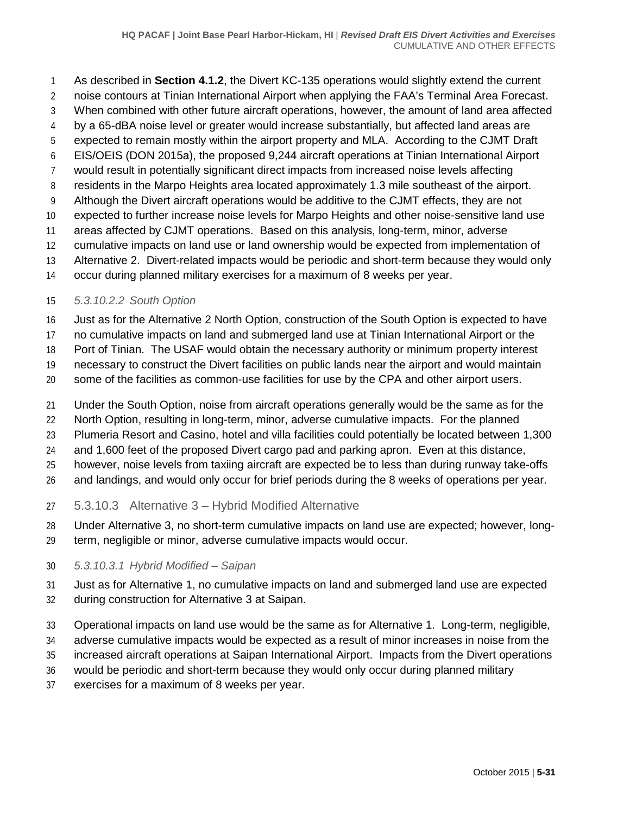- As described in **Section 4.1.2**, the Divert KC-135 operations would slightly extend the current
- noise contours at Tinian International Airport when applying the FAA's Terminal Area Forecast.
- When combined with other future aircraft operations, however, the amount of land area affected
- by a 65-dBA noise level or greater would increase substantially, but affected land areas are
- expected to remain mostly within the airport property and MLA. According to the CJMT Draft
- EIS/OEIS (DON 2015a), the proposed 9,244 aircraft operations at Tinian International Airport
- would result in potentially significant direct impacts from increased noise levels affecting
- residents in the Marpo Heights area located approximately 1.3 mile southeast of the airport.
- Although the Divert aircraft operations would be additive to the CJMT effects, they are not expected to further increase noise levels for Marpo Heights and other noise-sensitive land use
- areas affected by CJMT operations. Based on this analysis, long-term, minor, adverse
- cumulative impacts on land use or land ownership would be expected from implementation of
- Alternative 2. Divert-related impacts would be periodic and short-term because they would only
- occur during planned military exercises for a maximum of 8 weeks per year.

#### *5.3.10.2.2 South Option*

- Just as for the Alternative 2 North Option, construction of the South Option is expected to have
- no cumulative impacts on land and submerged land use at Tinian International Airport or the
- Port of Tinian. The USAF would obtain the necessary authority or minimum property interest
- necessary to construct the Divert facilities on public lands near the airport and would maintain
- some of the facilities as common-use facilities for use by the CPA and other airport users.
- Under the South Option, noise from aircraft operations generally would be the same as for the
- North Option, resulting in long-term, minor, adverse cumulative impacts. For the planned
- Plumeria Resort and Casino, hotel and villa facilities could potentially be located between 1,300
- and 1,600 feet of the proposed Divert cargo pad and parking apron. Even at this distance,
- however, noise levels from taxiing aircraft are expected be to less than during runway take-offs
- and landings, and would only occur for brief periods during the 8 weeks of operations per year.
- 5.3.10.3 Alternative 3 Hybrid Modified Alternative
- Under Alternative 3, no short-term cumulative impacts on land use are expected; however, long-term, negligible or minor, adverse cumulative impacts would occur.

#### *5.3.10.3.1 Hybrid Modified – Saipan*

- Just as for Alternative 1, no cumulative impacts on land and submerged land use are expected during construction for Alternative 3 at Saipan.
- Operational impacts on land use would be the same as for Alternative 1. Long-term, negligible,
- adverse cumulative impacts would be expected as a result of minor increases in noise from the
- increased aircraft operations at Saipan International Airport. Impacts from the Divert operations
- would be periodic and short-term because they would only occur during planned military
- exercises for a maximum of 8 weeks per year.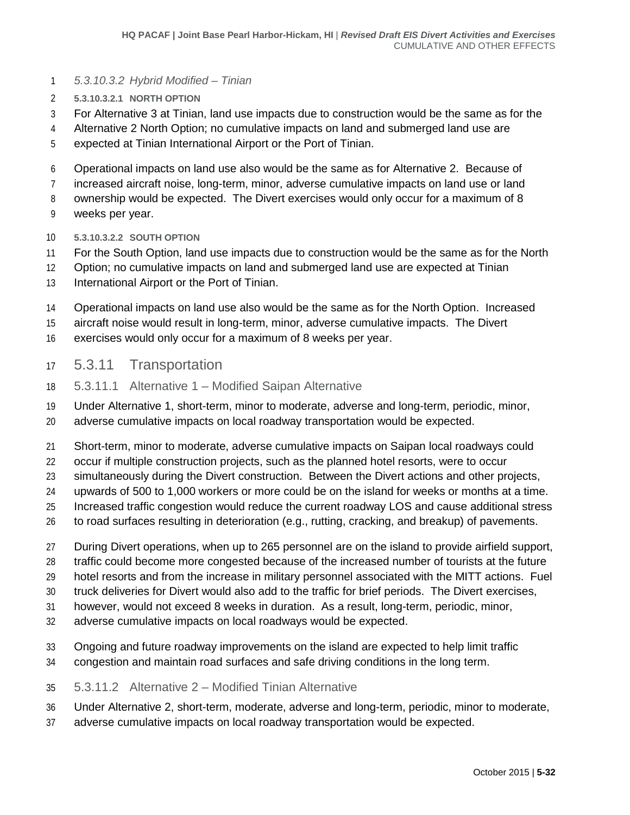- *5.3.10.3.2 Hybrid Modified – Tinian*
- **5.3.10.3.2.1 NORTH OPTION**
- For Alternative 3 at Tinian, land use impacts due to construction would be the same as for the
- Alternative 2 North Option; no cumulative impacts on land and submerged land use are
- expected at Tinian International Airport or the Port of Tinian.
- Operational impacts on land use also would be the same as for Alternative 2. Because of
- increased aircraft noise, long-term, minor, adverse cumulative impacts on land use or land
- ownership would be expected. The Divert exercises would only occur for a maximum of 8
- weeks per year.
- **5.3.10.3.2.2 SOUTH OPTION**
- For the South Option, land use impacts due to construction would be the same as for the North
- Option; no cumulative impacts on land and submerged land use are expected at Tinian
- 13 International Airport or the Port of Tinian.
- Operational impacts on land use also would be the same as for the North Option. Increased
- aircraft noise would result in long-term, minor, adverse cumulative impacts. The Divert
- exercises would only occur for a maximum of 8 weeks per year.

## 5.3.11 Transportation

- 5.3.11.1 Alternative 1 Modified Saipan Alternative
- Under Alternative 1, short-term, minor to moderate, adverse and long-term, periodic, minor,
- adverse cumulative impacts on local roadway transportation would be expected.
- Short-term, minor to moderate, adverse cumulative impacts on Saipan local roadways could
- occur if multiple construction projects, such as the planned hotel resorts, were to occur
- simultaneously during the Divert construction. Between the Divert actions and other projects,
- upwards of 500 to 1,000 workers or more could be on the island for weeks or months at a time.
- Increased traffic congestion would reduce the current roadway LOS and cause additional stress
- to road surfaces resulting in deterioration (e.g., rutting, cracking, and breakup) of pavements.
- During Divert operations, when up to 265 personnel are on the island to provide airfield support,
- traffic could become more congested because of the increased number of tourists at the future
- hotel resorts and from the increase in military personnel associated with the MITT actions. Fuel
- truck deliveries for Divert would also add to the traffic for brief periods. The Divert exercises,
- however, would not exceed 8 weeks in duration. As a result, long-term, periodic, minor,
- adverse cumulative impacts on local roadways would be expected.
- Ongoing and future roadway improvements on the island are expected to help limit traffic
- congestion and maintain road surfaces and safe driving conditions in the long term.
- 5.3.11.2 Alternative 2 Modified Tinian Alternative
- Under Alternative 2, short-term, moderate, adverse and long-term, periodic, minor to moderate,
- adverse cumulative impacts on local roadway transportation would be expected.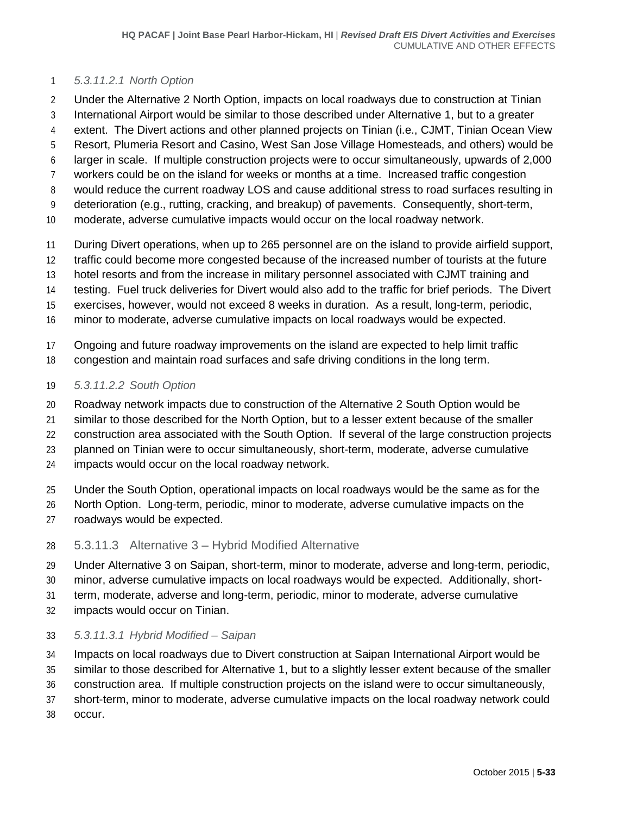#### *5.3.11.2.1 North Option*

- Under the Alternative 2 North Option, impacts on local roadways due to construction at Tinian
- International Airport would be similar to those described under Alternative 1, but to a greater
- extent. The Divert actions and other planned projects on Tinian (i.e., CJMT, Tinian Ocean View
- Resort, Plumeria Resort and Casino, West San Jose Village Homesteads, and others) would be
- larger in scale. If multiple construction projects were to occur simultaneously, upwards of 2,000
- workers could be on the island for weeks or months at a time. Increased traffic congestion
- would reduce the current roadway LOS and cause additional stress to road surfaces resulting in
- deterioration (e.g., rutting, cracking, and breakup) of pavements. Consequently, short-term,
- moderate, adverse cumulative impacts would occur on the local roadway network.
- During Divert operations, when up to 265 personnel are on the island to provide airfield support,
- traffic could become more congested because of the increased number of tourists at the future
- hotel resorts and from the increase in military personnel associated with CJMT training and
- testing. Fuel truck deliveries for Divert would also add to the traffic for brief periods. The Divert
- exercises, however, would not exceed 8 weeks in duration. As a result, long-term, periodic,
- minor to moderate, adverse cumulative impacts on local roadways would be expected.
- Ongoing and future roadway improvements on the island are expected to help limit traffic
- congestion and maintain road surfaces and safe driving conditions in the long term.
- *5.3.11.2.2 South Option*
- Roadway network impacts due to construction of the Alternative 2 South Option would be
- similar to those described for the North Option, but to a lesser extent because of the smaller
- construction area associated with the South Option. If several of the large construction projects
- planned on Tinian were to occur simultaneously, short-term, moderate, adverse cumulative
- impacts would occur on the local roadway network.
- Under the South Option, operational impacts on local roadways would be the same as for the
- North Option. Long-term, periodic, minor to moderate, adverse cumulative impacts on the
- roadways would be expected.
- 5.3.11.3 Alternative 3 Hybrid Modified Alternative
- Under Alternative 3 on Saipan, short-term, minor to moderate, adverse and long-term, periodic, minor, adverse cumulative impacts on local roadways would be expected. Additionally, short-
- term, moderate, adverse and long-term, periodic, minor to moderate, adverse cumulative
- impacts would occur on Tinian.

## *5.3.11.3.1 Hybrid Modified – Saipan*

- Impacts on local roadways due to Divert construction at Saipan International Airport would be
- similar to those described for Alternative 1, but to a slightly lesser extent because of the smaller
- construction area. If multiple construction projects on the island were to occur simultaneously,
- short-term, minor to moderate, adverse cumulative impacts on the local roadway network could occur.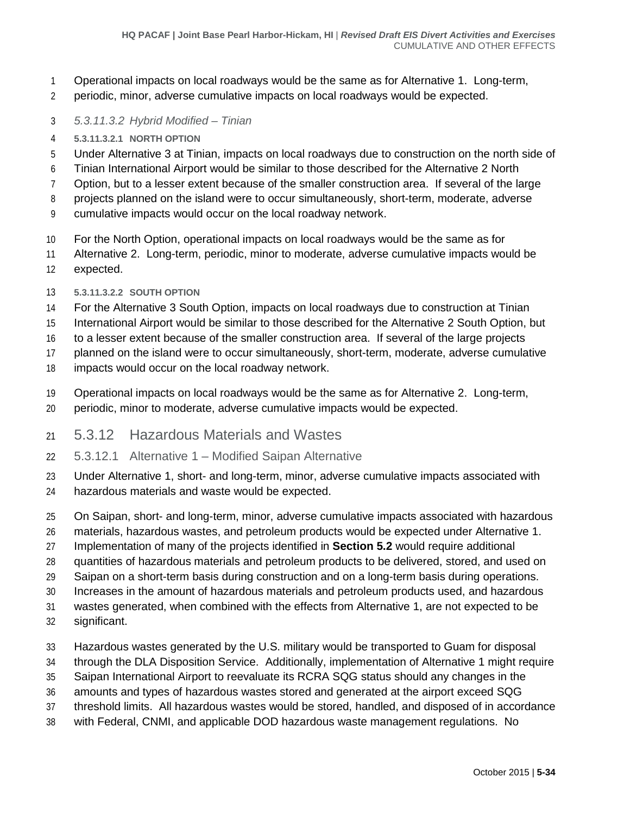- Operational impacts on local roadways would be the same as for Alternative 1. Long-term,
- periodic, minor, adverse cumulative impacts on local roadways would be expected.
- *5.3.11.3.2 Hybrid Modified – Tinian*
- **5.3.11.3.2.1 NORTH OPTION**
- Under Alternative 3 at Tinian, impacts on local roadways due to construction on the north side of
- Tinian International Airport would be similar to those described for the Alternative 2 North
- Option, but to a lesser extent because of the smaller construction area. If several of the large
- projects planned on the island were to occur simultaneously, short-term, moderate, adverse
- cumulative impacts would occur on the local roadway network.
- For the North Option, operational impacts on local roadways would be the same as for
- Alternative 2. Long-term, periodic, minor to moderate, adverse cumulative impacts would be expected.
- **5.3.11.3.2.2 SOUTH OPTION**
- For the Alternative 3 South Option, impacts on local roadways due to construction at Tinian
- International Airport would be similar to those described for the Alternative 2 South Option, but
- to a lesser extent because of the smaller construction area. If several of the large projects
- planned on the island were to occur simultaneously, short-term, moderate, adverse cumulative
- impacts would occur on the local roadway network.
- Operational impacts on local roadways would be the same as for Alternative 2. Long-term,
- periodic, minor to moderate, adverse cumulative impacts would be expected.
- 5.3.12 Hazardous Materials and Wastes
- 5.3.12.1 Alternative 1 Modified Saipan Alternative
- Under Alternative 1, short- and long-term, minor, adverse cumulative impacts associated with
- hazardous materials and waste would be expected.
- On Saipan, short- and long-term, minor, adverse cumulative impacts associated with hazardous
- materials, hazardous wastes, and petroleum products would be expected under Alternative 1.
- Implementation of many of the projects identified in **Section 5.2** would require additional
- quantities of hazardous materials and petroleum products to be delivered, stored, and used on
- Saipan on a short-term basis during construction and on a long-term basis during operations.
- Increases in the amount of hazardous materials and petroleum products used, and hazardous
- wastes generated, when combined with the effects from Alternative 1, are not expected to be
- significant.
- Hazardous wastes generated by the U.S. military would be transported to Guam for disposal
- through the DLA Disposition Service. Additionally, implementation of Alternative 1 might require
- Saipan International Airport to reevaluate its RCRA SQG status should any changes in the
- amounts and types of hazardous wastes stored and generated at the airport exceed SQG
- threshold limits. All hazardous wastes would be stored, handled, and disposed of in accordance
- with Federal, CNMI, and applicable DOD hazardous waste management regulations. No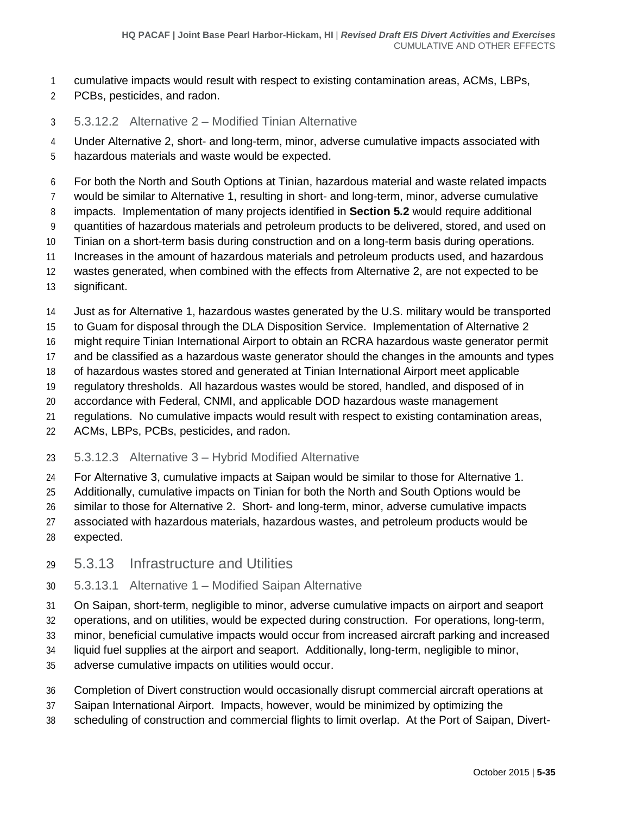cumulative impacts would result with respect to existing contamination areas, ACMs, LBPs,

- PCBs, pesticides, and radon.
- 5.3.12.2 Alternative 2 Modified Tinian Alternative

4 Under Alternative 2, short- and long-term, minor, adverse cumulative impacts associated with hazardous materials and waste would be expected.

For both the North and South Options at Tinian, hazardous material and waste related impacts

would be similar to Alternative 1, resulting in short- and long-term, minor, adverse cumulative

impacts. Implementation of many projects identified in **Section 5.2** would require additional

 quantities of hazardous materials and petroleum products to be delivered, stored, and used on Tinian on a short-term basis during construction and on a long-term basis during operations.

Increases in the amount of hazardous materials and petroleum products used, and hazardous

wastes generated, when combined with the effects from Alternative 2, are not expected to be

significant.

Just as for Alternative 1, hazardous wastes generated by the U.S. military would be transported

to Guam for disposal through the DLA Disposition Service. Implementation of Alternative 2

might require Tinian International Airport to obtain an RCRA hazardous waste generator permit

17 and be classified as a hazardous waste generator should the changes in the amounts and types

of hazardous wastes stored and generated at Tinian International Airport meet applicable

regulatory thresholds. All hazardous wastes would be stored, handled, and disposed of in

accordance with Federal, CNMI, and applicable DOD hazardous waste management

regulations. No cumulative impacts would result with respect to existing contamination areas,

ACMs, LBPs, PCBs, pesticides, and radon.

## 5.3.12.3 Alternative 3 – Hybrid Modified Alternative

For Alternative 3, cumulative impacts at Saipan would be similar to those for Alternative 1.

Additionally, cumulative impacts on Tinian for both the North and South Options would be

similar to those for Alternative 2. Short- and long-term, minor, adverse cumulative impacts

associated with hazardous materials, hazardous wastes, and petroleum products would be

expected.

## 5.3.13 Infrastructure and Utilities

## 5.3.13.1 Alternative 1 – Modified Saipan Alternative

On Saipan, short-term, negligible to minor, adverse cumulative impacts on airport and seaport

operations, and on utilities, would be expected during construction. For operations, long-term,

minor, beneficial cumulative impacts would occur from increased aircraft parking and increased

liquid fuel supplies at the airport and seaport. Additionally, long-term, negligible to minor,

- adverse cumulative impacts on utilities would occur.
- Completion of Divert construction would occasionally disrupt commercial aircraft operations at
- Saipan International Airport. Impacts, however, would be minimized by optimizing the
- scheduling of construction and commercial flights to limit overlap. At the Port of Saipan, Divert-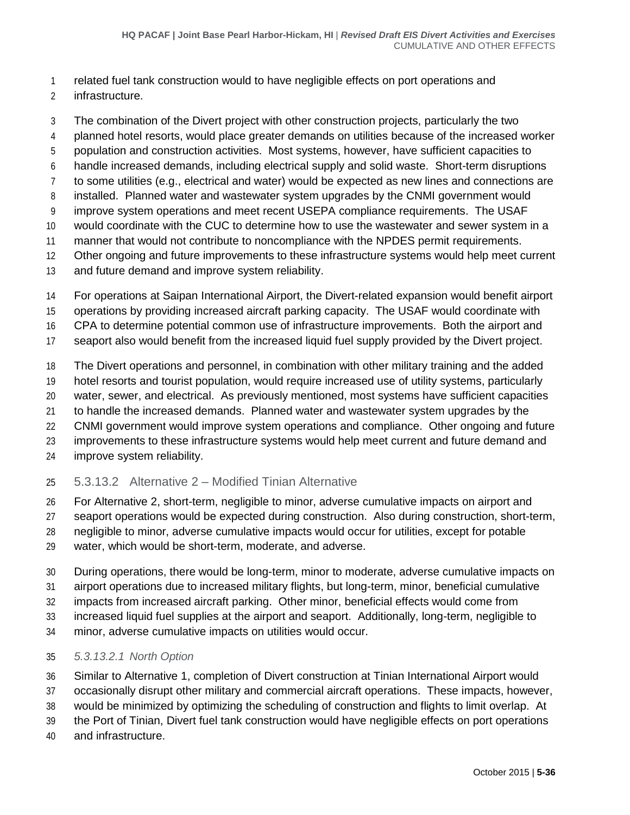- related fuel tank construction would to have negligible effects on port operations and
- infrastructure.
- The combination of the Divert project with other construction projects, particularly the two
- planned hotel resorts, would place greater demands on utilities because of the increased worker
- population and construction activities. Most systems, however, have sufficient capacities to
- handle increased demands, including electrical supply and solid waste. Short-term disruptions
- 7 to some utilities (e.g., electrical and water) would be expected as new lines and connections are
- installed. Planned water and wastewater system upgrades by the CNMI government would
- improve system operations and meet recent USEPA compliance requirements. The USAF
- would coordinate with the CUC to determine how to use the wastewater and sewer system in a
- manner that would not contribute to noncompliance with the NPDES permit requirements.
- Other ongoing and future improvements to these infrastructure systems would help meet current
- 13 and future demand and improve system reliability.
- For operations at Saipan International Airport, the Divert-related expansion would benefit airport
- operations by providing increased aircraft parking capacity. The USAF would coordinate with
- CPA to determine potential common use of infrastructure improvements. Both the airport and
- seaport also would benefit from the increased liquid fuel supply provided by the Divert project.
- The Divert operations and personnel, in combination with other military training and the added
- hotel resorts and tourist population, would require increased use of utility systems, particularly
- water, sewer, and electrical. As previously mentioned, most systems have sufficient capacities
- to handle the increased demands. Planned water and wastewater system upgrades by the
- CNMI government would improve system operations and compliance. Other ongoing and future
- 23 improvements to these infrastructure systems would help meet current and future demand and
- improve system reliability.

## 5.3.13.2 Alternative 2 – Modified Tinian Alternative

- For Alternative 2, short-term, negligible to minor, adverse cumulative impacts on airport and
- seaport operations would be expected during construction. Also during construction, short-term,
- negligible to minor, adverse cumulative impacts would occur for utilities, except for potable
- water, which would be short-term, moderate, and adverse.
- During operations, there would be long-term, minor to moderate, adverse cumulative impacts on
- airport operations due to increased military flights, but long-term, minor, beneficial cumulative
- impacts from increased aircraft parking. Other minor, beneficial effects would come from
- increased liquid fuel supplies at the airport and seaport. Additionally, long-term, negligible to
- minor, adverse cumulative impacts on utilities would occur.
- *5.3.13.2.1 North Option*
- Similar to Alternative 1, completion of Divert construction at Tinian International Airport would
- occasionally disrupt other military and commercial aircraft operations. These impacts, however,
- would be minimized by optimizing the scheduling of construction and flights to limit overlap. At
- the Port of Tinian, Divert fuel tank construction would have negligible effects on port operations
- and infrastructure.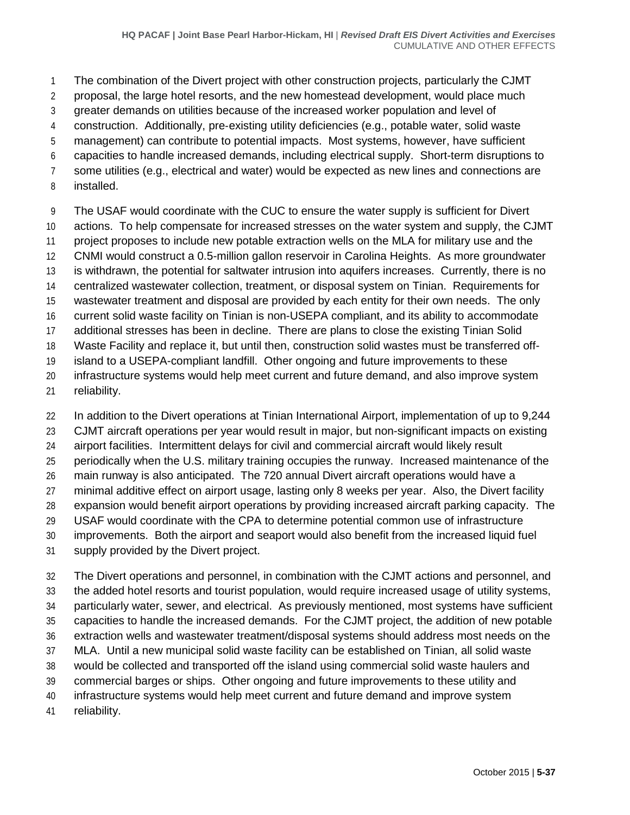The combination of the Divert project with other construction projects, particularly the CJMT proposal, the large hotel resorts, and the new homestead development, would place much

- greater demands on utilities because of the increased worker population and level of
- construction. Additionally, pre‐existing utility deficiencies (e.g., potable water, solid waste
- management) can contribute to potential impacts. Most systems, however, have sufficient
- capacities to handle increased demands, including electrical supply. Short-term disruptions to
- some utilities (e.g., electrical and water) would be expected as new lines and connections are
- installed.

 The USAF would coordinate with the CUC to ensure the water supply is sufficient for Divert actions. To help compensate for increased stresses on the water system and supply, the CJMT project proposes to include new potable extraction wells on the MLA for military use and the CNMI would construct a 0.5-million gallon reservoir in Carolina Heights. As more groundwater is withdrawn, the potential for saltwater intrusion into aquifers increases. Currently, there is no centralized wastewater collection, treatment, or disposal system on Tinian. Requirements for wastewater treatment and disposal are provided by each entity for their own needs. The only current solid waste facility on Tinian is non-USEPA compliant, and its ability to accommodate additional stresses has been in decline. There are plans to close the existing Tinian Solid Waste Facility and replace it, but until then, construction solid wastes must be transferred off- island to a USEPA-compliant landfill. Other ongoing and future improvements to these infrastructure systems would help meet current and future demand, and also improve system reliability.

- In addition to the Divert operations at Tinian International Airport, implementation of up to 9,244
- CJMT aircraft operations per year would result in major, but non-significant impacts on existing
- airport facilities. Intermittent delays for civil and commercial aircraft would likely result
- periodically when the U.S. military training occupies the runway. Increased maintenance of the
- main runway is also anticipated. The 720 annual Divert aircraft operations would have a
- minimal additive effect on airport usage, lasting only 8 weeks per year. Also, the Divert facility
- expansion would benefit airport operations by providing increased aircraft parking capacity. The
- USAF would coordinate with the CPA to determine potential common use of infrastructure
- improvements. Both the airport and seaport would also benefit from the increased liquid fuel
- supply provided by the Divert project.

 The Divert operations and personnel, in combination with the CJMT actions and personnel, and the added hotel resorts and tourist population, would require increased usage of utility systems, particularly water, sewer, and electrical. As previously mentioned, most systems have sufficient capacities to handle the increased demands. For the CJMT project, the addition of new potable extraction wells and wastewater treatment/disposal systems should address most needs on the MLA. Until a new municipal solid waste facility can be established on Tinian, all solid waste would be collected and transported off the island using commercial solid waste haulers and commercial barges or ships. Other ongoing and future improvements to these utility and infrastructure systems would help meet current and future demand and improve system reliability.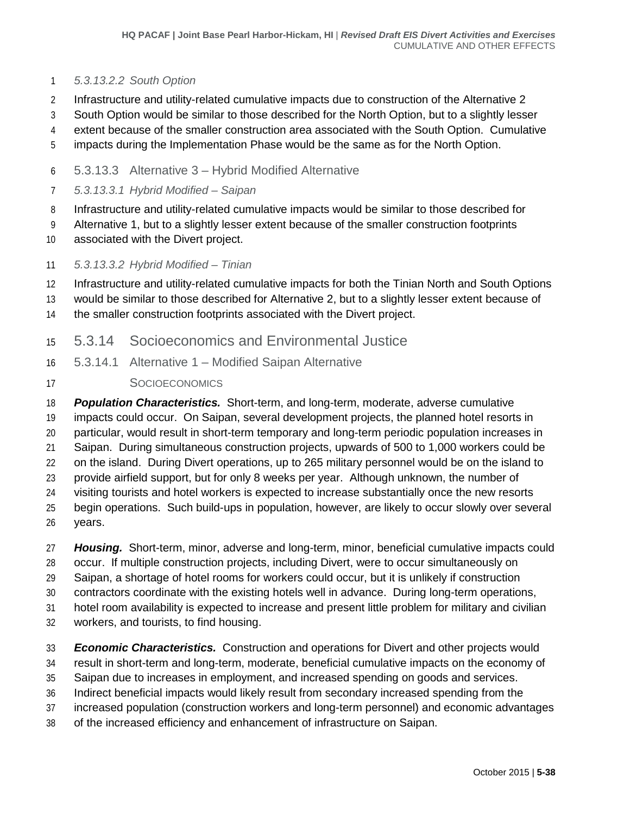#### *5.3.13.2.2 South Option*

- Infrastructure and utility-related cumulative impacts due to construction of the Alternative 2
- South Option would be similar to those described for the North Option, but to a slightly lesser

extent because of the smaller construction area associated with the South Option. Cumulative

impacts during the Implementation Phase would be the same as for the North Option.

5.3.13.3 Alternative 3 – Hybrid Modified Alternative

*5.3.13.3.1 Hybrid Modified – Saipan*

Infrastructure and utility-related cumulative impacts would be similar to those described for

- Alternative 1, but to a slightly lesser extent because of the smaller construction footprints associated with the Divert project.
- *5.3.13.3.2 Hybrid Modified – Tinian*
- Infrastructure and utility-related cumulative impacts for both the Tinian North and South Options

would be similar to those described for Alternative 2, but to a slightly lesser extent because of

14 the smaller construction footprints associated with the Divert project.

- 5.3.14 Socioeconomics and Environmental Justice
- 5.3.14.1 Alternative 1 Modified Saipan Alternative
- SOCIOECONOMICS

 *Population Characteristics.* Short-term, and long-term, moderate, adverse cumulative impacts could occur. On Saipan, several development projects, the planned hotel resorts in particular, would result in short-term temporary and long-term periodic population increases in Saipan. During simultaneous construction projects, upwards of 500 to 1,000 workers could be on the island. During Divert operations, up to 265 military personnel would be on the island to provide airfield support, but for only 8 weeks per year. Although unknown, the number of visiting tourists and hotel workers is expected to increase substantially once the new resorts begin operations. Such build-ups in population, however, are likely to occur slowly over several years.

 *Housing.* Short-term, minor, adverse and long-term, minor, beneficial cumulative impacts could occur. If multiple construction projects, including Divert, were to occur simultaneously on Saipan, a shortage of hotel rooms for workers could occur, but it is unlikely if construction

contractors coordinate with the existing hotels well in advance. During long-term operations,

hotel room availability is expected to increase and present little problem for military and civilian

- workers, and tourists, to find housing.
- *Economic Characteristics.* Construction and operations for Divert and other projects would

result in short-term and long-term, moderate, beneficial cumulative impacts on the economy of

- Saipan due to increases in employment, and increased spending on goods and services.
- Indirect beneficial impacts would likely result from secondary increased spending from the
- increased population (construction workers and long-term personnel) and economic advantages
- of the increased efficiency and enhancement of infrastructure on Saipan.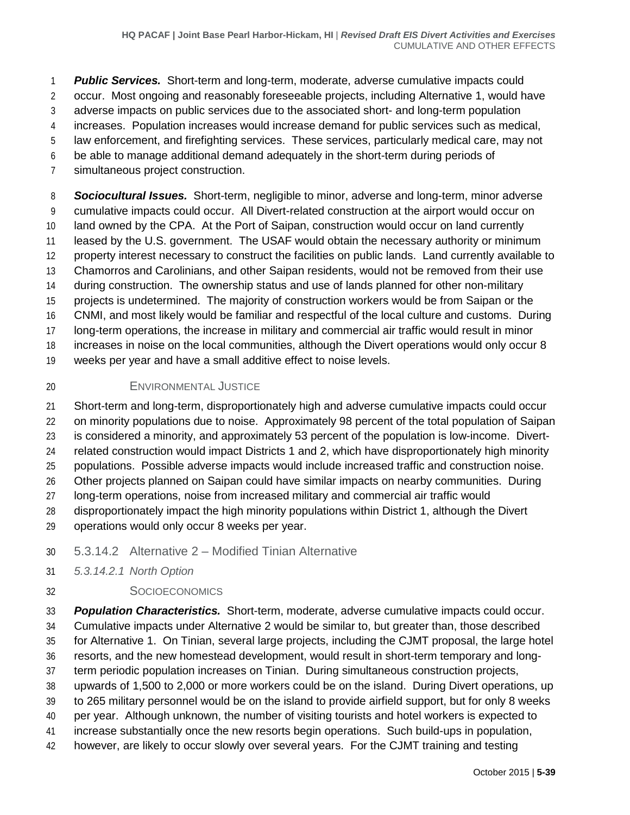*Public Services.* Short-term and long-term, moderate, adverse cumulative impacts could occur. Most ongoing and reasonably foreseeable projects, including Alternative 1, would have adverse impacts on public services due to the associated short- and long-term population increases. Population increases would increase demand for public services such as medical, law enforcement, and firefighting services. These services, particularly medical care, may not be able to manage additional demand adequately in the short-term during periods of

simultaneous project construction.

 *Sociocultural Issues.* Short-term, negligible to minor, adverse and long-term, minor adverse cumulative impacts could occur. All Divert-related construction at the airport would occur on land owned by the CPA. At the Port of Saipan, construction would occur on land currently leased by the U.S. government. The USAF would obtain the necessary authority or minimum property interest necessary to construct the facilities on public lands. Land currently available to Chamorros and Carolinians, and other Saipan residents, would not be removed from their use during construction. The ownership status and use of lands planned for other non-military projects is undetermined. The majority of construction workers would be from Saipan or the CNMI, and most likely would be familiar and respectful of the local culture and customs. During long-term operations, the increase in military and commercial air traffic would result in minor increases in noise on the local communities, although the Divert operations would only occur 8

- weeks per year and have a small additive effect to noise levels.
- ENVIRONMENTAL JUSTICE

 Short-term and long-term, disproportionately high and adverse cumulative impacts could occur on minority populations due to noise. Approximately 98 percent of the total population of Saipan is considered a minority, and approximately 53 percent of the population is low-income. Divert- related construction would impact Districts 1 and 2, which have disproportionately high minority populations. Possible adverse impacts would include increased traffic and construction noise. Other projects planned on Saipan could have similar impacts on nearby communities. During long-term operations, noise from increased military and commercial air traffic would disproportionately impact the high minority populations within District 1, although the Divert operations would only occur 8 weeks per year.

- 5.3.14.2 Alternative 2 Modified Tinian Alternative
- *5.3.14.2.1 North Option*
- SOCIOECONOMICS

 *Population Characteristics.* Short-term, moderate, adverse cumulative impacts could occur. Cumulative impacts under Alternative 2 would be similar to, but greater than, those described for Alternative 1. On Tinian, several large projects, including the CJMT proposal, the large hotel resorts, and the new homestead development, would result in short-term temporary and long- term periodic population increases on Tinian. During simultaneous construction projects, upwards of 1,500 to 2,000 or more workers could be on the island. During Divert operations, up to 265 military personnel would be on the island to provide airfield support, but for only 8 weeks per year. Although unknown, the number of visiting tourists and hotel workers is expected to increase substantially once the new resorts begin operations. Such build-ups in population, however, are likely to occur slowly over several years. For the CJMT training and testing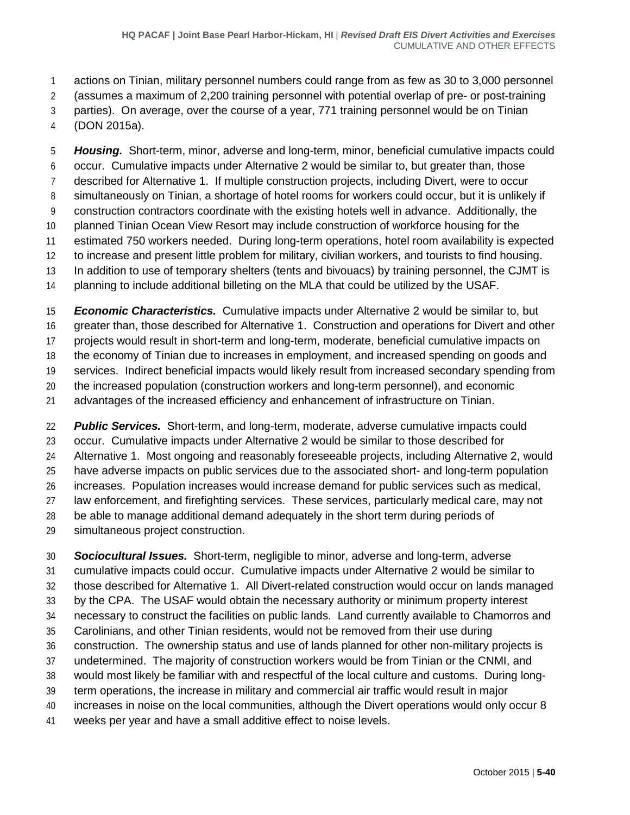actions on Tinian, military personnel numbers could range from as few as 30 to 3,000 personnel

(assumes a maximum of 2,200 training personnel with potential overlap of pre- or post-training

- parties). On average, over the course of a year, 771 training personnel would be on Tinian
- (DON 2015a).

 *Housing.* Short-term, minor, adverse and long-term, minor, beneficial cumulative impacts could occur. Cumulative impacts under Alternative 2 would be similar to, but greater than, those described for Alternative 1. If multiple construction projects, including Divert, were to occur simultaneously on Tinian, a shortage of hotel rooms for workers could occur, but it is unlikely if construction contractors coordinate with the existing hotels well in advance. Additionally, the planned Tinian Ocean View Resort may include construction of workforce housing for the estimated 750 workers needed. During long-term operations, hotel room availability is expected to increase and present little problem for military, civilian workers, and tourists to find housing. In addition to use of temporary shelters (tents and bivouacs) by training personnel, the CJMT is planning to include additional billeting on the MLA that could be utilized by the USAF.

 *Economic Characteristics.* Cumulative impacts under Alternative 2 would be similar to, but greater than, those described for Alternative 1. Construction and operations for Divert and other projects would result in short-term and long-term, moderate, beneficial cumulative impacts on the economy of Tinian due to increases in employment, and increased spending on goods and services. Indirect beneficial impacts would likely result from increased secondary spending from the increased population (construction workers and long-term personnel), and economic advantages of the increased efficiency and enhancement of infrastructure on Tinian.

 *Public Services.* Short-term, and long-term, moderate, adverse cumulative impacts could occur. Cumulative impacts under Alternative 2 would be similar to those described for Alternative 1. Most ongoing and reasonably foreseeable projects, including Alternative 2, would have adverse impacts on public services due to the associated short- and long-term population increases. Population increases would increase demand for public services such as medical, law enforcement, and firefighting services. These services, particularly medical care, may not be able to manage additional demand adequately in the short term during periods of simultaneous project construction.

 *Sociocultural Issues.* Short-term, negligible to minor, adverse and long-term, adverse cumulative impacts could occur. Cumulative impacts under Alternative 2 would be similar to those described for Alternative 1. All Divert-related construction would occur on lands managed by the CPA. The USAF would obtain the necessary authority or minimum property interest necessary to construct the facilities on public lands. Land currently available to Chamorros and Carolinians, and other Tinian residents, would not be removed from their use during construction. The ownership status and use of lands planned for other non-military projects is undetermined. The majority of construction workers would be from Tinian or the CNMI, and would most likely be familiar with and respectful of the local culture and customs. During long- term operations, the increase in military and commercial air traffic would result in major increases in noise on the local communities, although the Divert operations would only occur 8 weeks per year and have a small additive effect to noise levels.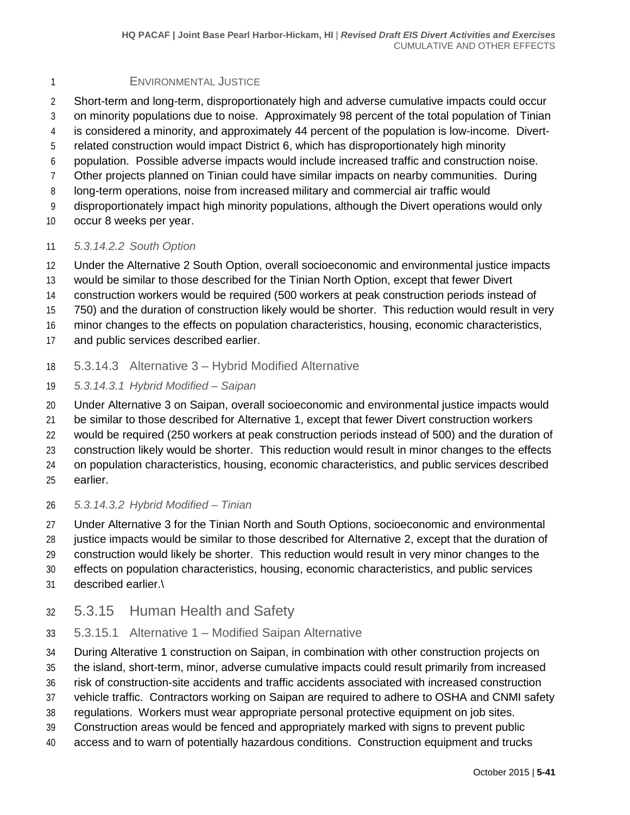#### ENVIRONMENTAL JUSTICE

- 2 Short-term and long-term, disproportionately high and adverse cumulative impacts could occur
- on minority populations due to noise. Approximately 98 percent of the total population of Tinian
- is considered a minority, and approximately 44 percent of the population is low-income. Divert-
- related construction would impact District 6, which has disproportionately high minority
- population. Possible adverse impacts would include increased traffic and construction noise.
- Other projects planned on Tinian could have similar impacts on nearby communities. During
- long-term operations, noise from increased military and commercial air traffic would
- disproportionately impact high minority populations, although the Divert operations would only
- occur 8 weeks per year.

#### *5.3.14.2.2 South Option*

- Under the Alternative 2 South Option, overall socioeconomic and environmental justice impacts
- would be similar to those described for the Tinian North Option, except that fewer Divert
- construction workers would be required (500 workers at peak construction periods instead of
- 750) and the duration of construction likely would be shorter. This reduction would result in very
- minor changes to the effects on population characteristics, housing, economic characteristics,
- 17 and public services described earlier.
- 5.3.14.3 Alternative 3 Hybrid Modified Alternative
- *5.3.14.3.1 Hybrid Modified – Saipan*
- Under Alternative 3 on Saipan, overall socioeconomic and environmental justice impacts would
- be similar to those described for Alternative 1, except that fewer Divert construction workers
- would be required (250 workers at peak construction periods instead of 500) and the duration of
- construction likely would be shorter. This reduction would result in minor changes to the effects
- on population characteristics, housing, economic characteristics, and public services described
- earlier.

### *5.3.14.3.2 Hybrid Modified – Tinian*

- Under Alternative 3 for the Tinian North and South Options, socioeconomic and environmental justice impacts would be similar to those described for Alternative 2, except that the duration of
- construction would likely be shorter. This reduction would result in very minor changes to the
- effects on population characteristics, housing, economic characteristics, and public services
- described earlier.\
- 5.3.15 Human Health and Safety

### 5.3.15.1 Alternative 1 – Modified Saipan Alternative

- During Alterative 1 construction on Saipan, in combination with other construction projects on
- the island, short-term, minor, adverse cumulative impacts could result primarily from increased
- risk of construction-site accidents and traffic accidents associated with increased construction
- vehicle traffic. Contractors working on Saipan are required to adhere to OSHA and CNMI safety
- regulations. Workers must wear appropriate personal protective equipment on job sites.
- Construction areas would be fenced and appropriately marked with signs to prevent public
- access and to warn of potentially hazardous conditions. Construction equipment and trucks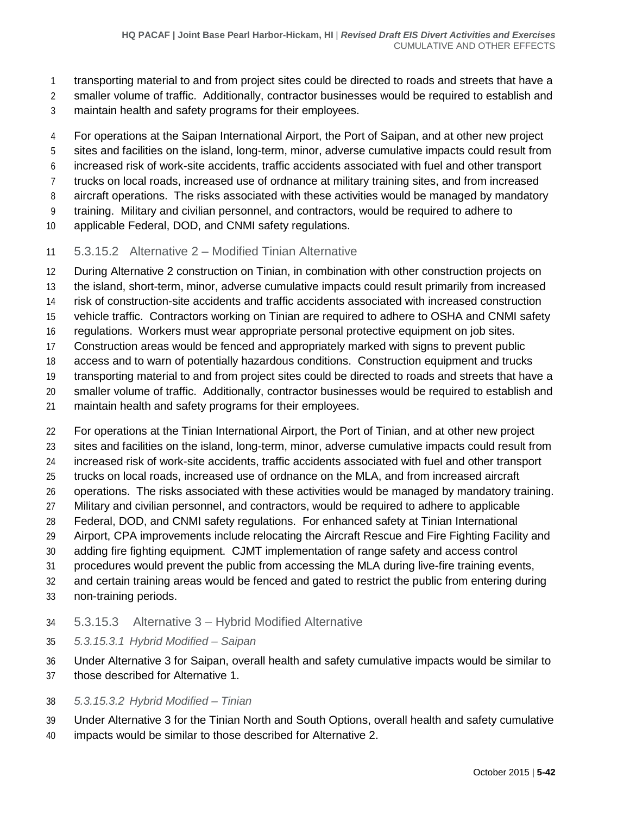- transporting material to and from project sites could be directed to roads and streets that have a
- 2 smaller volume of traffic. Additionally, contractor businesses would be required to establish and
- maintain health and safety programs for their employees.

 For operations at the Saipan International Airport, the Port of Saipan, and at other new project sites and facilities on the island, long-term, minor, adverse cumulative impacts could result from increased risk of work-site accidents, traffic accidents associated with fuel and other transport trucks on local roads, increased use of ordnance at military training sites, and from increased aircraft operations. The risks associated with these activities would be managed by mandatory

training. Military and civilian personnel, and contractors, would be required to adhere to

applicable Federal, DOD, and CNMI safety regulations.

#### 5.3.15.2 Alternative 2 – Modified Tinian Alternative

During Alternative 2 construction on Tinian, in combination with other construction projects on

- the island, short-term, minor, adverse cumulative impacts could result primarily from increased
- risk of construction-site accidents and traffic accidents associated with increased construction
- vehicle traffic. Contractors working on Tinian are required to adhere to OSHA and CNMI safety
- regulations. Workers must wear appropriate personal protective equipment on job sites.
- Construction areas would be fenced and appropriately marked with signs to prevent public
- access and to warn of potentially hazardous conditions. Construction equipment and trucks
- transporting material to and from project sites could be directed to roads and streets that have a
- smaller volume of traffic. Additionally, contractor businesses would be required to establish and
- maintain health and safety programs for their employees.
- For operations at the Tinian International Airport, the Port of Tinian, and at other new project
- sites and facilities on the island, long-term, minor, adverse cumulative impacts could result from
- increased risk of work-site accidents, traffic accidents associated with fuel and other transport
- trucks on local roads, increased use of ordnance on the MLA, and from increased aircraft
- operations. The risks associated with these activities would be managed by mandatory training.
- Military and civilian personnel, and contractors, would be required to adhere to applicable
- Federal, DOD, and CNMI safety regulations. For enhanced safety at Tinian International Airport, CPA improvements include relocating the Aircraft Rescue and Fire Fighting Facility and
- adding fire fighting equipment. CJMT implementation of range safety and access control
- procedures would prevent the public from accessing the MLA during live-fire training events,
- and certain training areas would be fenced and gated to restrict the public from entering during
- 
- non-training periods.
- 5.3.15.3 Alternative 3 Hybrid Modified Alternative
- *5.3.15.3.1 Hybrid Modified – Saipan*
- Under Alternative 3 for Saipan, overall health and safety cumulative impacts would be similar to
- those described for Alternative 1.
- *5.3.15.3.2 Hybrid Modified – Tinian*
- Under Alternative 3 for the Tinian North and South Options, overall health and safety cumulative
- impacts would be similar to those described for Alternative 2.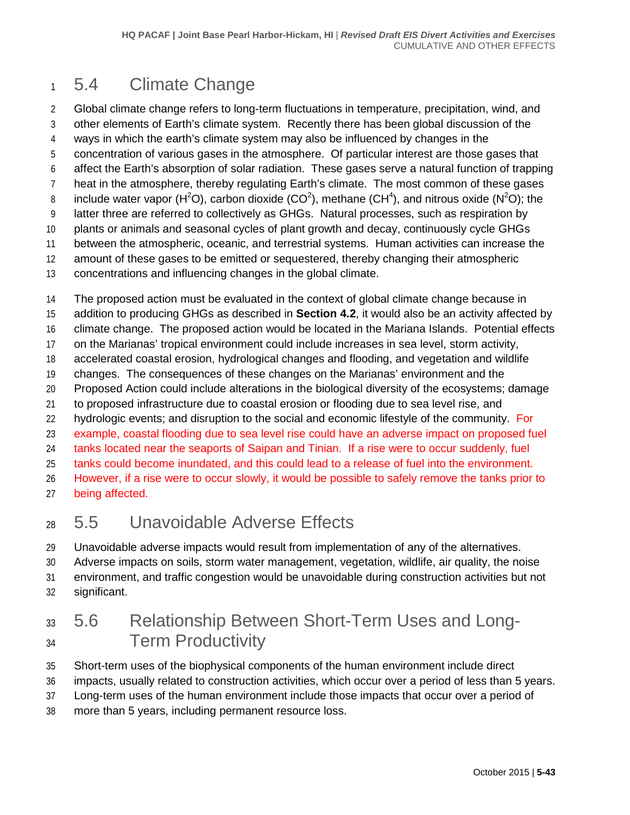## 5.4 Climate Change

 Global climate change refers to long-term fluctuations in temperature, precipitation, wind, and other elements of Earth's climate system. Recently there has been global discussion of the ways in which the earth's climate system may also be influenced by changes in the concentration of various gases in the atmosphere. Of particular interest are those gases that affect the Earth's absorption of solar radiation. These gases serve a natural function of trapping heat in the atmosphere, thereby regulating Earth's climate. The most common of these gases 8 include water vapor (H<sup>2</sup>O), carbon dioxide (CO<sup>2</sup>), methane (CH<sup>4</sup>), and nitrous oxide (N<sup>2</sup>O); the latter three are referred to collectively as GHGs. Natural processes, such as respiration by plants or animals and seasonal cycles of plant growth and decay, continuously cycle GHGs between the atmospheric, oceanic, and terrestrial systems. Human activities can increase the amount of these gases to be emitted or sequestered, thereby changing their atmospheric concentrations and influencing changes in the global climate.

 The proposed action must be evaluated in the context of global climate change because in addition to producing GHGs as described in **Section 4.2**, it would also be an activity affected by

climate change. The proposed action would be located in the Mariana Islands. Potential effects

on the Marianas' tropical environment could include increases in sea level, storm activity,

accelerated coastal erosion, hydrological changes and flooding, and vegetation and wildlife

changes. The consequences of these changes on the Marianas' environment and the

Proposed Action could include alterations in the biological diversity of the ecosystems; damage

to proposed infrastructure due to coastal erosion or flooding due to sea level rise, and

hydrologic events; and disruption to the social and economic lifestyle of the community. For

 example, coastal flooding due to sea level rise could have an adverse impact on proposed fuel tanks located near the seaports of Saipan and Tinian. If a rise were to occur suddenly, fuel

tanks could become inundated, and this could lead to a release of fuel into the environment.

However, if a rise were to occur slowly, it would be possible to safely remove the tanks prior to

being affected.

## 5.5 Unavoidable Adverse Effects

Unavoidable adverse impacts would result from implementation of any of the alternatives.

Adverse impacts on soils, storm water management, vegetation, wildlife, air quality, the noise

 environment, and traffic congestion would be unavoidable during construction activities but not significant.

## 5.6 Relationship Between Short-Term Uses and Long-Term Productivity

Short-term uses of the biophysical components of the human environment include direct

impacts, usually related to construction activities, which occur over a period of less than 5 years.

Long-term uses of the human environment include those impacts that occur over a period of

more than 5 years, including permanent resource loss.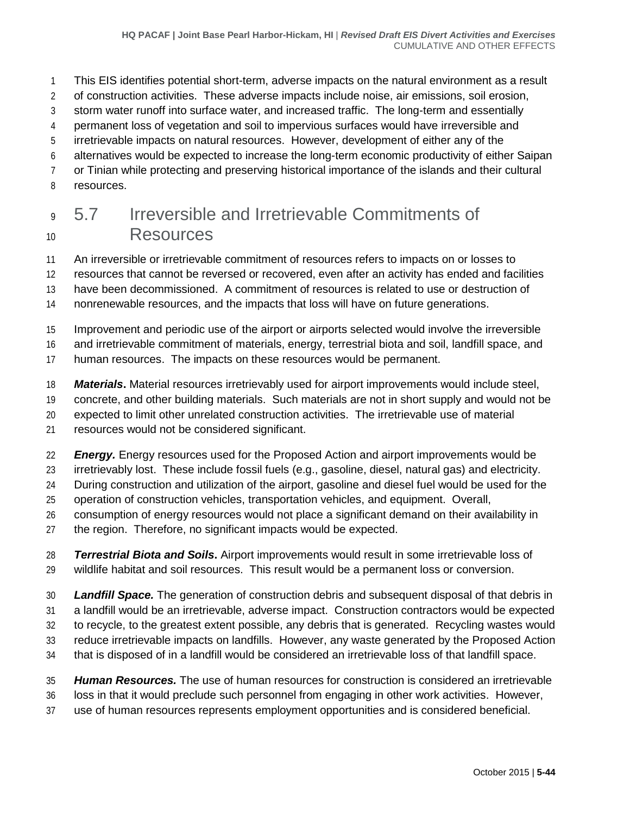This EIS identifies potential short-term, adverse impacts on the natural environment as a result

of construction activities. These adverse impacts include noise, air emissions, soil erosion,

- storm water runoff into surface water, and increased traffic. The long-term and essentially
- permanent loss of vegetation and soil to impervious surfaces would have irreversible and
- irretrievable impacts on natural resources. However, development of either any of the
- alternatives would be expected to increase the long-term economic productivity of either Saipan
- or Tinian while protecting and preserving historical importance of the islands and their cultural
- resources.

## 5.7 Irreversible and Irretrievable Commitments of Resources

An irreversible or irretrievable commitment of resources refers to impacts on or losses to

resources that cannot be reversed or recovered, even after an activity has ended and facilities

have been decommissioned. A commitment of resources is related to use or destruction of

nonrenewable resources, and the impacts that loss will have on future generations.

Improvement and periodic use of the airport or airports selected would involve the irreversible

and irretrievable commitment of materials, energy, terrestrial biota and soil, landfill space, and

human resources. The impacts on these resources would be permanent.

- *Materials***.** Material resources irretrievably used for airport improvements would include steel,
- concrete, and other building materials. Such materials are not in short supply and would not be
- expected to limit other unrelated construction activities. The irretrievable use of material
- resources would not be considered significant.

*Energy.* Energy resources used for the Proposed Action and airport improvements would be

irretrievably lost. These include fossil fuels (e.g., gasoline, diesel, natural gas) and electricity.

During construction and utilization of the airport, gasoline and diesel fuel would be used for the

operation of construction vehicles, transportation vehicles, and equipment. Overall,

consumption of energy resources would not place a significant demand on their availability in

the region. Therefore, no significant impacts would be expected.

 *Terrestrial Biota and Soils***.** Airport improvements would result in some irretrievable loss of wildlife habitat and soil resources. This result would be a permanent loss or conversion.

 *Landfill Space.* The generation of construction debris and subsequent disposal of that debris in a landfill would be an irretrievable, adverse impact. Construction contractors would be expected

to recycle, to the greatest extent possible, any debris that is generated. Recycling wastes would

reduce irretrievable impacts on landfills. However, any waste generated by the Proposed Action

- that is disposed of in a landfill would be considered an irretrievable loss of that landfill space.
- *Human Resources.* The use of human resources for construction is considered an irretrievable
- loss in that it would preclude such personnel from engaging in other work activities. However,
- use of human resources represents employment opportunities and is considered beneficial.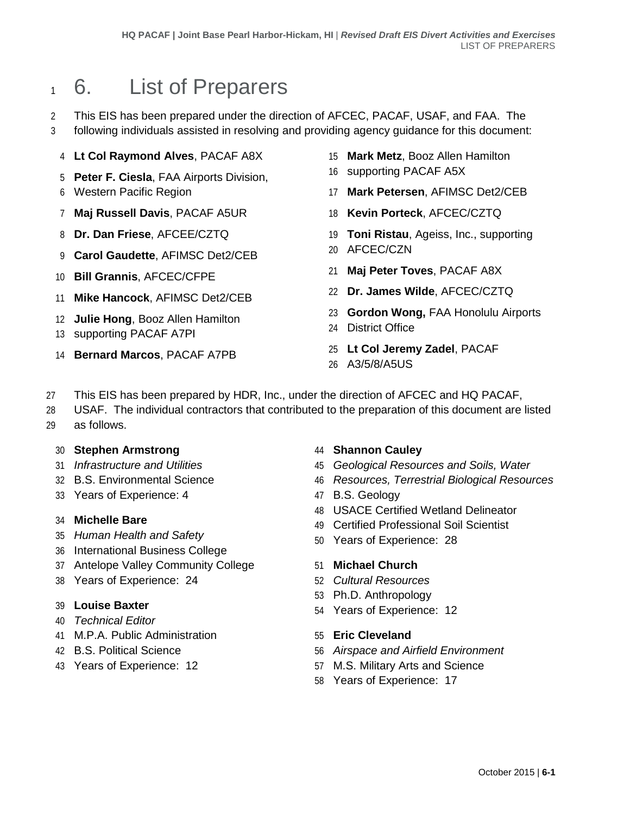## 6. List of Preparers

- This EIS has been prepared under the direction of AFCEC, PACAF, USAF, and FAA. The
- following individuals assisted in resolving and providing agency guidance for this document:
	- **Lt Col Raymond Alves**, PACAF A8X
	- **Peter F. Ciesla**, FAA Airports Division,
	- Western Pacific Region
	- **Maj Russell Davis**, PACAF A5UR
	- **Dr. Dan Friese**, AFCEE/CZTQ
	- **Carol Gaudette**, AFIMSC Det2/CEB
- **Bill Grannis**, AFCEC/CFPE
- **Mike Hancock**, AFIMSC Det2/CEB
- **Julie Hong**, Booz Allen Hamilton
- supporting PACAF A7PI
- **Bernard Marcos**, PACAF A7PB
- **Mark Metz**, Booz Allen Hamilton
- supporting PACAF A5X
- **Mark Petersen**, AFIMSC Det2/CEB
- **Kevin Porteck**, AFCEC/CZTQ
- **Toni Ristau**, Ageiss, Inc., supporting AFCEC/CZN
- 
- **Maj Peter Toves**, PACAF A8X
- **Dr. James Wilde**, AFCEC/CZTQ
- **Gordon Wong,** FAA Honolulu Airports
- District Office
- **Lt Col Jeremy Zadel**, PACAF
- A3/5/8/A5US
- This EIS has been prepared by HDR, Inc., under the direction of AFCEC and HQ PACAF,
- USAF. The individual contractors that contributed to the preparation of this document are listed
- as follows.

#### **Stephen Armstrong**

- *Infrastructure and Utilities*
- B.S. Environmental Science
- Years of Experience: 4

#### **Michelle Bare**

- *Human Health and Safety*
- International Business College
- Antelope Valley Community College
- Years of Experience: 24

#### **Louise Baxter**

- *Technical Editor*
- M.P.A. Public Administration
- B.S. Political Science
- Years of Experience: 12

#### **Shannon Cauley**

- *Geological Resources and Soils, Water*
- *Resources, Terrestrial Biological Resources*
- B.S. Geology
- USACE Certified Wetland Delineator
- Certified Professional Soil Scientist
- Years of Experience: 28

#### **Michael Church**

- *Cultural Resources*
- Ph.D. Anthropology
- Years of Experience: 12
- **Eric Cleveland**
- *Airspace and Airfield Environment*
- M.S. Military Arts and Science
- Years of Experience: 17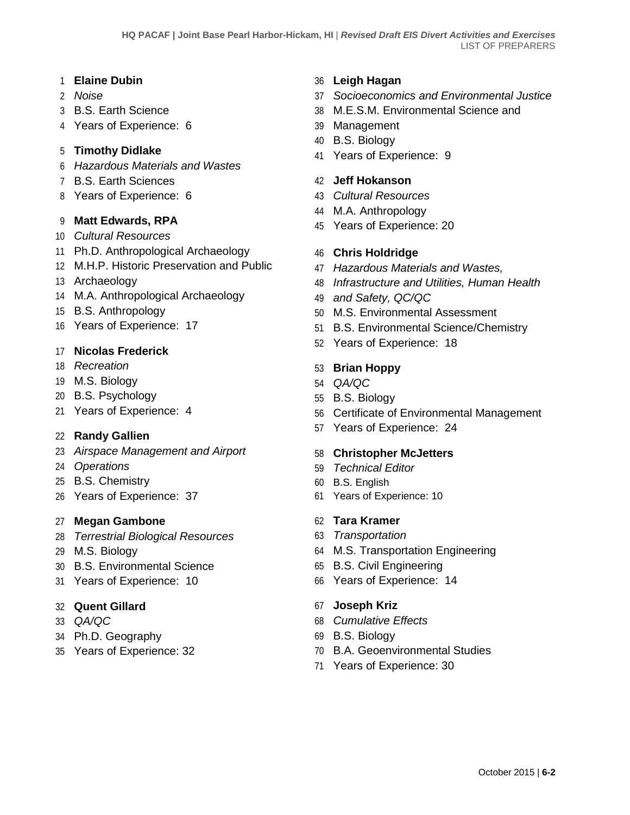#### **Elaine Dubin**

- *Noise*
- B.S. Earth Science
- Years of Experience: 6
- **Timothy Didlake**
- *Hazardous Materials and Wastes*
- B.S. Earth Sciences
- Years of Experience: 6

### **Matt Edwards, RPA**

- *Cultural Resources*
- Ph.D. Anthropological Archaeology
- M.H.P. Historic Preservation and Public
- Archaeology
- M.A. Anthropological Archaeology
- B.S. Anthropology
- Years of Experience: 17

#### **Nicolas Frederick**

- *Recreation*
- M.S. Biology
- B.S. Psychology
- Years of Experience: 4

### **Randy Gallien**

- *Airspace Management and Airport*
- *Operations*
- B.S. Chemistry
- Years of Experience: 37

#### **Megan Gambone**

- *Terrestrial Biological Resources*
- M.S. Biology
- B.S. Environmental Science
- Years of Experience: 10

### **Quent Gillard**

- *QA/QC*
- Ph.D. Geography
- Years of Experience: 32

#### **Leigh Hagan**

- *Socioeconomics and Environmental Justice*
- M.E.S.M. Environmental Science and
- Management
- B.S. Biology
- Years of Experience: 9

#### **Jeff Hokanson**

- *Cultural Resources*
- M.A. Anthropology
- Years of Experience: 20

#### **Chris Holdridge**

- *Hazardous Materials and Wastes,*
- *Infrastructure and Utilities, Human Health*
- *and Safety, QC/QC*
- M.S. Environmental Assessment
- B.S. Environmental Science/Chemistry
- Years of Experience: 18

#### **Brian Hoppy**

- *QA/QC*
- B.S. Biology
- Certificate of Environmental Management
- Years of Experience: 24

#### **Christopher McJetters**

- *Technical Editor*
- B.S. English
- Years of Experience: 10

#### **Tara Kramer**

- *Transportation*
- M.S. Transportation Engineering
- B.S. Civil Engineering
- Years of Experience: 14

#### **Joseph Kriz**

- *Cumulative Effects*
- B.S. Biology
- B.A. Geoenvironmental Studies
- Years of Experience: 30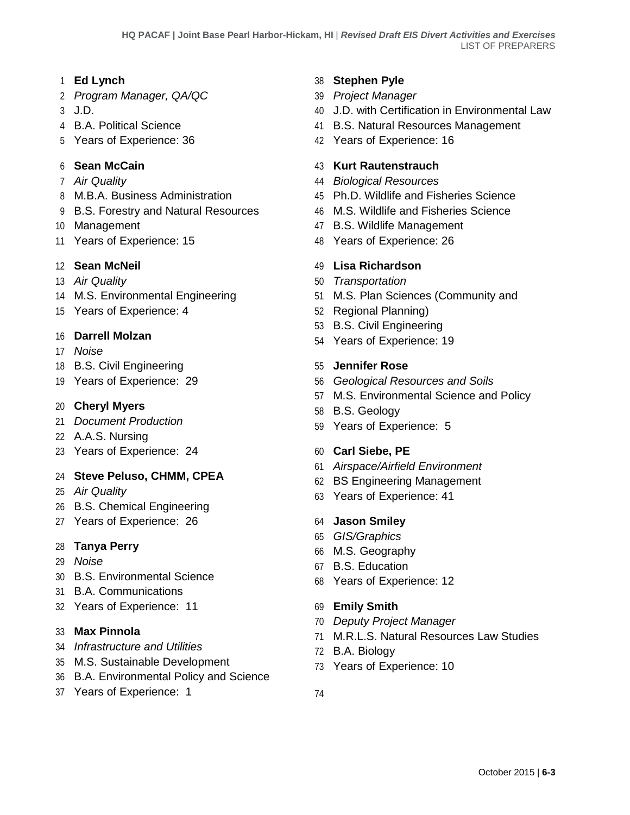### **Ed Lynch**

- *Program Manager, QA/QC*
- J.D.
- B.A. Political Science
- Years of Experience: 36

#### **Sean McCain**

- *Air Quality*
- M.B.A. Business Administration
- B.S. Forestry and Natural Resources
- Management
- Years of Experience: 15

#### **Sean McNeil**

- *Air Quality*
- M.S. Environmental Engineering
- Years of Experience: 4

### **Darrell Molzan**

- *Noise*
- B.S. Civil Engineering
- Years of Experience: 29

#### **Cheryl Myers**

- *Document Production*
- A.A.S. Nursing
- Years of Experience: 24

### **Steve Peluso, CHMM, CPEA**

- *Air Quality*
- B.S. Chemical Engineering
- Years of Experience: 26

### **Tanya Perry**

- *Noise*
- B.S. Environmental Science
- B.A. Communications
- Years of Experience: 11

#### **Max Pinnola**

- *Infrastructure and Utilities*
- M.S. Sustainable Development
- B.A. Environmental Policy and Science
- Years of Experience: 1

#### **Stephen Pyle**

- *Project Manager*
- J.D. with Certification in Environmental Law
- B.S. Natural Resources Management
- Years of Experience: 16

#### **Kurt Rautenstrauch**

- *Biological Resources*
- Ph.D. Wildlife and Fisheries Science
- M.S. Wildlife and Fisheries Science
- B.S. Wildlife Management
- Years of Experience: 26

#### **Lisa Richardson**

- *Transportation*
- M.S. Plan Sciences (Community and
- Regional Planning)
- B.S. Civil Engineering
- Years of Experience: 19

#### **Jennifer Rose**

- *Geological Resources and Soils*
- M.S. Environmental Science and Policy
- B.S. Geology
- Years of Experience: 5

#### **Carl Siebe, PE**

- *Airspace/Airfield Environment*
- BS Engineering Management
- Years of Experience: 41

#### **Jason Smiley**

- *GIS/Graphics*
- M.S. Geography
- B.S. Education
- Years of Experience: 12

#### **Emily Smith**

- *Deputy Project Manager*
- M.R.L.S. Natural Resources Law Studies
- B.A. Biology
- Years of Experience: 10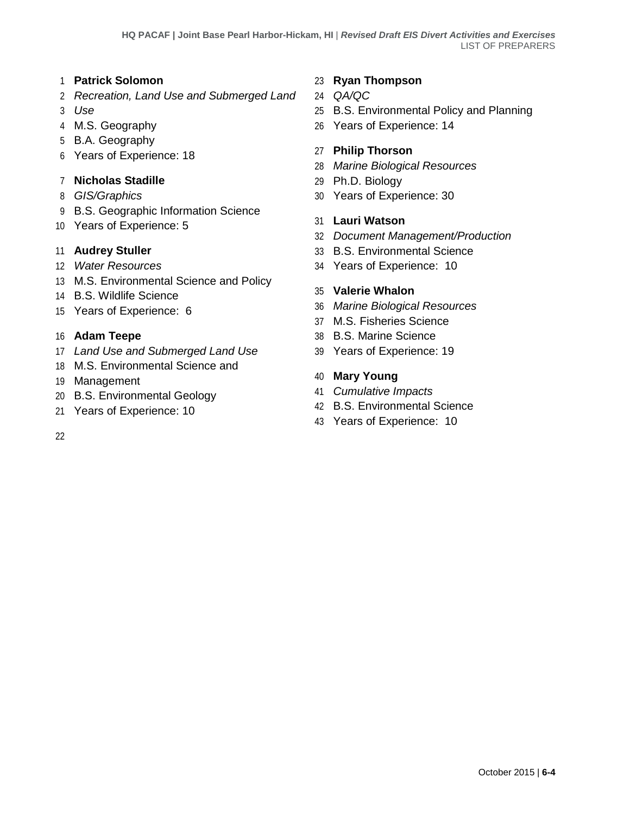- **Patrick Solomon**
- *Recreation, Land Use and Submerged Land*
- *Use*
- M.S. Geography
- B.A. Geography
- Years of Experience: 18
- **Nicholas Stadille**
- *GIS/Graphics*
- B.S. Geographic Information Science
- Years of Experience: 5

#### **Audrey Stuller**

- *Water Resources*
- M.S. Environmental Science and Policy
- B.S. Wildlife Science
- Years of Experience: 6

#### **Adam Teepe**

- *Land Use and Submerged Land Use*
- M.S. Environmental Science and
- Management
- B.S. Environmental Geology
- Years of Experience: 10
- 

#### **Ryan Thompson**

- *QA/QC*
- B.S. Environmental Policy and Planning
- Years of Experience: 14
- **Philip Thorson**
- *Marine Biological Resources*
- Ph.D. Biology
- Years of Experience: 30

#### **Lauri Watson**

- *Document Management/Production*
- B.S. Environmental Science
- Years of Experience: 10

#### **Valerie Whalon**

- *Marine Biological Resources*
- M.S. Fisheries Science
- B.S. Marine Science
- Years of Experience: 19

#### **Mary Young**

- *Cumulative Impacts*
- B.S. Environmental Science
- Years of Experience: 10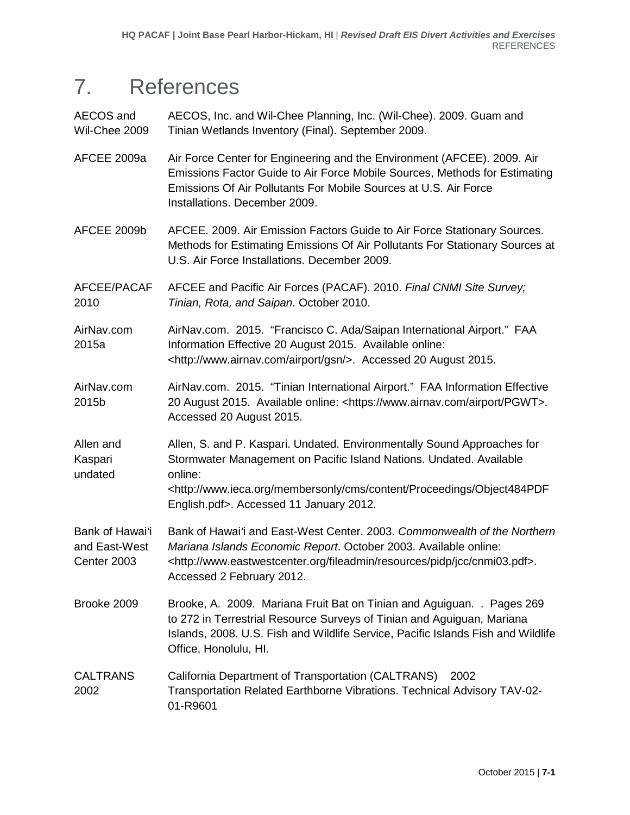# 7. References

| AECOS and<br>Wil-Chee 2009                     | AECOS, Inc. and Wil-Chee Planning, Inc. (Wil-Chee). 2009. Guam and<br>Tinian Wetlands Inventory (Final). September 2009.                                                                                                                                                                                  |
|------------------------------------------------|-----------------------------------------------------------------------------------------------------------------------------------------------------------------------------------------------------------------------------------------------------------------------------------------------------------|
| AFCEE 2009a                                    | Air Force Center for Engineering and the Environment (AFCEE). 2009. Air<br>Emissions Factor Guide to Air Force Mobile Sources, Methods for Estimating<br>Emissions Of Air Pollutants For Mobile Sources at U.S. Air Force<br>Installations. December 2009.                                                |
| AFCEE 2009b                                    | AFCEE. 2009. Air Emission Factors Guide to Air Force Stationary Sources.<br>Methods for Estimating Emissions Of Air Pollutants For Stationary Sources at<br>U.S. Air Force Installations. December 2009.                                                                                                  |
| AFCEE/PACAF<br>2010                            | AFCEE and Pacific Air Forces (PACAF). 2010. Final CNMI Site Survey;<br>Tinian, Rota, and Saipan. October 2010.                                                                                                                                                                                            |
| AirNav.com<br>2015a                            | AirNav.com. 2015. "Francisco C. Ada/Saipan International Airport." FAA<br>Information Effective 20 August 2015. Available online:<br><http: airport="" gsn="" www.airnav.com=""></http:> . Accessed 20 August 2015.                                                                                       |
| AirNav.com<br>2015b                            | AirNav.com. 2015. "Tinian International Airport." FAA Information Effective<br>20 August 2015. Available online: <https: airport="" pgwt="" www.airnav.com="">.<br/>Accessed 20 August 2015.</https:>                                                                                                     |
| Allen and<br>Kaspari<br>undated                | Allen, S. and P. Kaspari. Undated. Environmentally Sound Approaches for<br>Stormwater Management on Pacific Island Nations. Undated. Available<br>online:<br><http: cms="" content="" membersonly="" object484pdf<br="" proceedings="" www.ieca.org="">English.pdf&gt;. Accessed 11 January 2012.</http:> |
| Bank of Hawai'<br>and East-West<br>Center 2003 | Bank of Hawai i and East-West Center. 2003. Commonwealth of the Northern<br>Mariana Islands Economic Report. October 2003. Available online:<br><http: cnmi03.pdf="" fileadmin="" jcc="" pidp="" resources="" www.eastwestcenter.org="">.<br/>Accessed 2 February 2012.</http:>                           |
| Brooke 2009                                    | Brooke, A. 2009. Mariana Fruit Bat on Tinian and Aguiguan. . Pages 269<br>to 272 in Terrestrial Resource Surveys of Tinian and Aguiguan, Mariana<br>Islands, 2008. U.S. Fish and Wildlife Service, Pacific Islands Fish and Wildlife<br>Office, Honolulu, HI.                                             |
| <b>CALTRANS</b><br>2002                        | California Department of Transportation (CALTRANS)<br>2002<br>Transportation Related Earthborne Vibrations. Technical Advisory TAV-02-<br>01-R9601                                                                                                                                                        |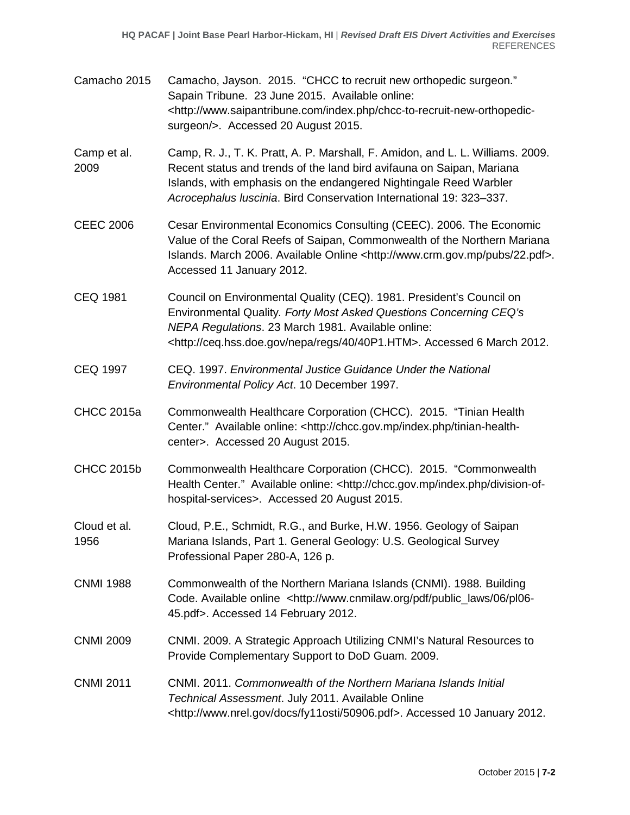- Camacho 2015 Camacho, Jayson. 2015. "CHCC to recruit new orthopedic surgeon." Sapain Tribune. 23 June 2015. Available online: <http://www.saipantribune.com/index.php/chcc-to-recruit-new-orthopedicsurgeon/>. Accessed 20 August 2015.
- Camp et al. 2009 Camp, R. J., T. K. Pratt, A. P. Marshall, F. Amidon, and L. L. Williams. 2009. Recent status and trends of the land bird avifauna on Saipan, Mariana Islands, with emphasis on the endangered Nightingale Reed Warbler *Acrocephalus luscinia*. Bird Conservation International 19: 323–337.
- CEEC 2006 Cesar Environmental Economics Consulting (CEEC). 2006. The Economic Value of the Coral Reefs of Saipan, Commonwealth of the Northern Mariana Islands. March 2006. Available Online <http://www.crm.gov.mp/pubs/22.pdf>. Accessed 11 January 2012.
- CEQ 1981 Council on Environmental Quality (CEQ). 1981. President's Council on Environmental Quality*. Forty Most Asked Questions Concerning CEQ's NEPA Regulations*. 23 March 1981. Available online: <http://ceq.hss.doe.gov/nepa/regs/40/40P1.HTM>. Accessed 6 March 2012.
- CEQ 1997 CEQ. 1997. *Environmental Justice Guidance Under the National Environmental Policy Act*. 10 December 1997.
- CHCC 2015a Commonwealth Healthcare Corporation (CHCC). 2015. "Tinian Health Center." Available online: <http://chcc.gov.mp/index.php/tinian-healthcenter>. Accessed 20 August 2015.
- CHCC 2015b Commonwealth Healthcare Corporation (CHCC). 2015. "Commonwealth Health Center." Available online: <http://chcc.gov.mp/index.php/division-ofhospital-services>. Accessed 20 August 2015.
- Cloud et al. 1956 Cloud, P.E., Schmidt, R.G., and Burke, H.W. 1956. Geology of Saipan Mariana Islands, Part 1. General Geology: U.S. Geological Survey Professional Paper 280-A, 126 p.
- CNMI 1988 Commonwealth of the Northern Mariana Islands (CNMI). 1988. Building Code. Available online <http://www.cnmilaw.org/pdf/public\_laws/06/pl06- 45.pdf>. Accessed 14 February 2012.
- CNMI 2009 CNMI. 2009. A Strategic Approach Utilizing CNMI's Natural Resources to Provide Complementary Support to DoD Guam. 2009.
- CNMI 2011 CNMI. 2011. *Commonwealth of the Northern Mariana Islands Initial Technical Assessment*. July 2011. Available Online <http://www.nrel.gov/docs/fy11osti/50906.pdf>. Accessed 10 January 2012.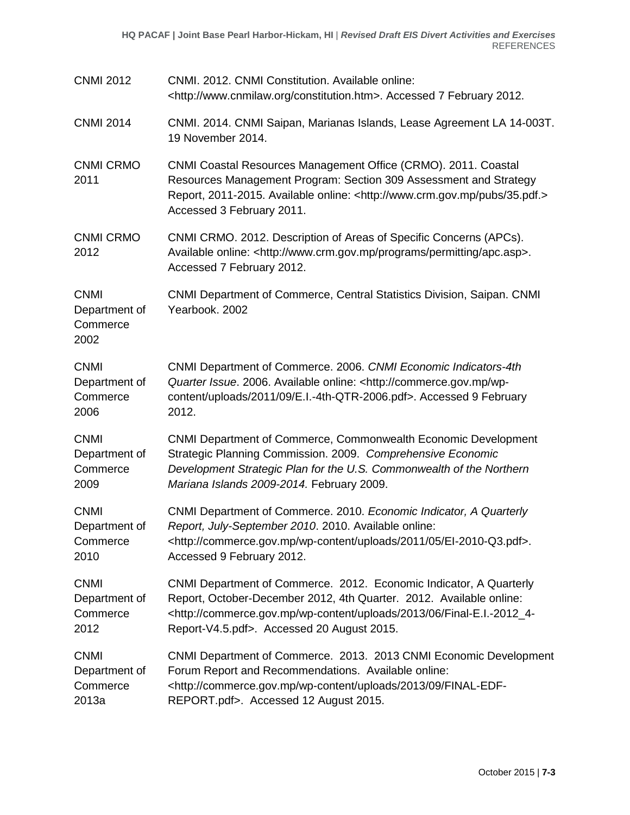| <b>CNMI 2012</b>                                 | CNMI. 2012. CNMI Constitution. Available online:<br><http: constitution.htm="" www.cnmilaw.org="">. Accessed 7 February 2012.</http:>                                                                                                                          |
|--------------------------------------------------|----------------------------------------------------------------------------------------------------------------------------------------------------------------------------------------------------------------------------------------------------------------|
| <b>CNMI 2014</b>                                 | CNMI. 2014. CNMI Saipan, Marianas Islands, Lease Agreement LA 14-003T.<br>19 November 2014.                                                                                                                                                                    |
| <b>CNMI CRMO</b><br>2011                         | CNMI Coastal Resources Management Office (CRMO). 2011. Coastal<br>Resources Management Program: Section 309 Assessment and Strategy<br>Report, 2011-2015. Available online: <http: 35.pdf.="" pubs="" www.crm.gov.mp=""><br/>Accessed 3 February 2011.</http:> |
| <b>CNMI CRMO</b><br>2012                         | CNMI CRMO. 2012. Description of Areas of Specific Concerns (APCs).<br>Available online: <http: apc.asp="" permitting="" programs="" www.crm.gov.mp="">.<br/>Accessed 7 February 2012.</http:>                                                                  |
| <b>CNMI</b><br>Department of<br>Commerce<br>2002 | CNMI Department of Commerce, Central Statistics Division, Saipan. CNMI<br>Yearbook. 2002                                                                                                                                                                       |
| <b>CNMI</b>                                      | CNMI Department of Commerce. 2006. CNMI Economic Indicators-4th                                                                                                                                                                                                |
| Department of                                    | Quarter Issue. 2006. Available online: <http: commerce.gov.mp="" td="" wp-<=""></http:>                                                                                                                                                                        |
| Commerce                                         | content/uploads/2011/09/E.I.-4th-QTR-2006.pdf>. Accessed 9 February                                                                                                                                                                                            |
| 2006                                             | 2012.                                                                                                                                                                                                                                                          |
| <b>CNMI</b>                                      | CNMI Department of Commerce, Commonwealth Economic Development                                                                                                                                                                                                 |
| Department of                                    | Strategic Planning Commission. 2009. Comprehensive Economic                                                                                                                                                                                                    |
| Commerce                                         | Development Strategic Plan for the U.S. Commonwealth of the Northern                                                                                                                                                                                           |
| 2009                                             | Mariana Islands 2009-2014. February 2009.                                                                                                                                                                                                                      |
| <b>CNMI</b>                                      | CNMI Department of Commerce. 2010. Economic Indicator, A Quarterly                                                                                                                                                                                             |
| Department of                                    | Report, July-September 2010. 2010. Available online:                                                                                                                                                                                                           |
| Commerce                                         | <http: 05="" 2011="" commerce.gov.mp="" ei-2010-q3.pdf="" uploads="" wp-content="">.</http:>                                                                                                                                                                   |
| 2010                                             | Accessed 9 February 2012.                                                                                                                                                                                                                                      |
| <b>CNMI</b>                                      | CNMI Department of Commerce. 2012. Economic Indicator, A Quarterly                                                                                                                                                                                             |
| Department of                                    | Report, October-December 2012, 4th Quarter. 2012. Available online:                                                                                                                                                                                            |
| Commerce                                         | <http: 06="" 2013="" commerce.gov.mp="" final-e.i.-2012_4-<="" td="" uploads="" wp-content=""></http:>                                                                                                                                                         |
| 2012                                             | Report-V4.5.pdf>. Accessed 20 August 2015.                                                                                                                                                                                                                     |
| <b>CNMI</b>                                      | CNMI Department of Commerce. 2013. 2013 CNMI Economic Development                                                                                                                                                                                              |
| Department of                                    | Forum Report and Recommendations. Available online:                                                                                                                                                                                                            |
| Commerce                                         | <http: 09="" 2013="" commerce.gov.mp="" final-edf-<="" td="" uploads="" wp-content=""></http:>                                                                                                                                                                 |
| 2013a                                            | REPORT.pdf>. Accessed 12 August 2015.                                                                                                                                                                                                                          |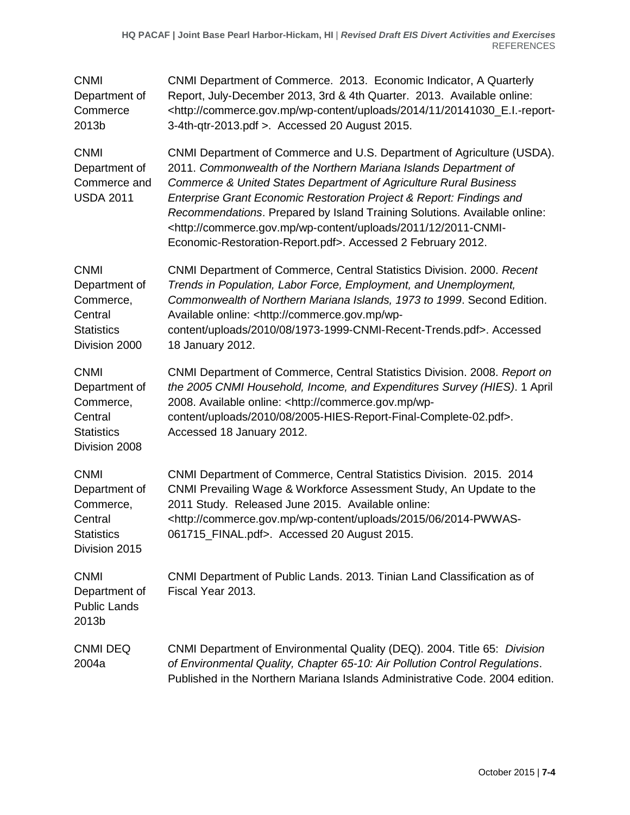| <b>CNMI</b><br>Department of<br>Commerce<br>2013b                                          | CNMI Department of Commerce. 2013. Economic Indicator, A Quarterly<br>Report, July-December 2013, 3rd & 4th Quarter. 2013. Available online:<br><http: 11="" 2014="" 20141030_e.l.-report-<br="" commerce.gov.mp="" uploads="" wp-content="">3-4th-qtr-2013.pdf &gt;. Accessed 20 August 2015.</http:>                                                                                                                                                                                                                           |
|--------------------------------------------------------------------------------------------|----------------------------------------------------------------------------------------------------------------------------------------------------------------------------------------------------------------------------------------------------------------------------------------------------------------------------------------------------------------------------------------------------------------------------------------------------------------------------------------------------------------------------------|
| <b>CNMI</b><br>Department of<br>Commerce and<br><b>USDA 2011</b>                           | CNMI Department of Commerce and U.S. Department of Agriculture (USDA).<br>2011. Commonwealth of the Northern Mariana Islands Department of<br>Commerce & United States Department of Agriculture Rural Business<br>Enterprise Grant Economic Restoration Project & Report: Findings and<br>Recommendations. Prepared by Island Training Solutions. Available online:<br><http: 12="" 2011="" 2011-cnmi-<br="" commerce.gov.mp="" uploads="" wp-content="">Economic-Restoration-Report.pdf&gt;. Accessed 2 February 2012.</http:> |
| <b>CNMI</b><br>Department of<br>Commerce,<br>Central<br><b>Statistics</b><br>Division 2000 | CNMI Department of Commerce, Central Statistics Division. 2000. Recent<br>Trends in Population, Labor Force, Employment, and Unemployment,<br>Commonwealth of Northern Mariana Islands, 1973 to 1999. Second Edition.<br>Available online: <http: commerce.gov.mp="" wp-<br="">content/uploads/2010/08/1973-1999-CNMI-Recent-Trends.pdf&gt;. Accessed<br/>18 January 2012.</http:>                                                                                                                                               |
| <b>CNMI</b><br>Department of<br>Commerce,<br>Central<br><b>Statistics</b><br>Division 2008 | CNMI Department of Commerce, Central Statistics Division. 2008. Report on<br>the 2005 CNMI Household, Income, and Expenditures Survey (HIES). 1 April<br>2008. Available online: <http: commerce.gov.mp="" wp-<br="">content/uploads/2010/08/2005-HIES-Report-Final-Complete-02.pdf&gt;.<br/>Accessed 18 January 2012.</http:>                                                                                                                                                                                                   |
| <b>CNMI</b><br>Department of<br>Commerce,<br>Central<br><b>Statistics</b><br>Division 2015 | CNMI Department of Commerce, Central Statistics Division. 2015. 2014<br>CNMI Prevailing Wage & Workforce Assessment Study, An Update to the<br>2011 Study. Released June 2015. Available online:<br><http: 06="" 2014-pwwas-<br="" 2015="" commerce.gov.mp="" uploads="" wp-content="">061715_FINAL.pdf&gt;. Accessed 20 August 2015.</http:>                                                                                                                                                                                    |
| <b>CNMI</b><br>Department of<br><b>Public Lands</b><br>2013b                               | CNMI Department of Public Lands. 2013. Tinian Land Classification as of<br>Fiscal Year 2013.                                                                                                                                                                                                                                                                                                                                                                                                                                     |
| <b>CNMI DEQ</b><br>2004a                                                                   | CNMI Department of Environmental Quality (DEQ). 2004. Title 65: Division<br>of Environmental Quality, Chapter 65-10: Air Pollution Control Regulations.<br>Published in the Northern Mariana Islands Administrative Code. 2004 edition.                                                                                                                                                                                                                                                                                          |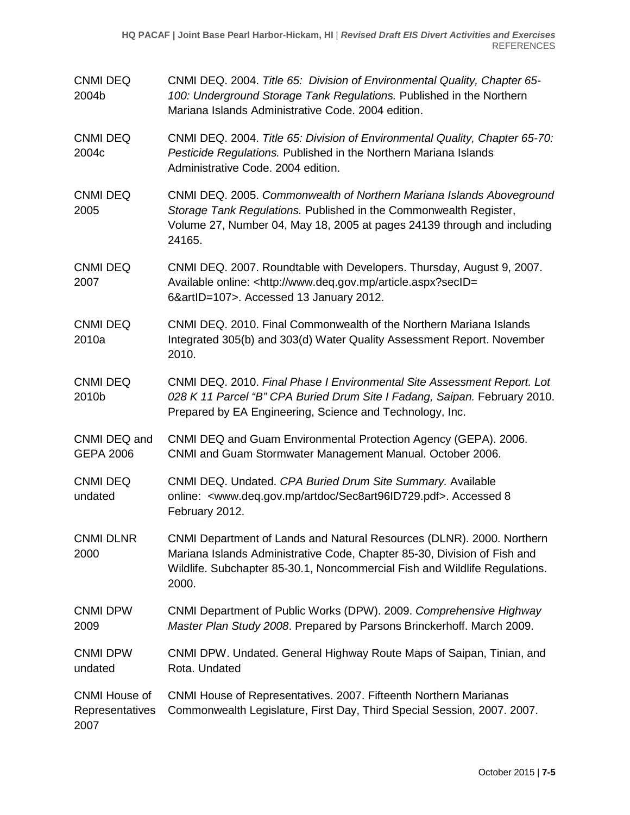| <b>CNMI DEQ</b><br>2004b                 | CNMI DEQ. 2004. Title 65: Division of Environmental Quality, Chapter 65-<br>100: Underground Storage Tank Regulations. Published in the Northern<br>Mariana Islands Administrative Code, 2004 edition.                                   |
|------------------------------------------|------------------------------------------------------------------------------------------------------------------------------------------------------------------------------------------------------------------------------------------|
| <b>CNMI DEQ</b><br>2004c                 | CNMI DEQ. 2004. Title 65: Division of Environmental Quality, Chapter 65-70:<br>Pesticide Regulations. Published in the Northern Mariana Islands<br>Administrative Code. 2004 edition.                                                    |
| <b>CNMI DEQ</b><br>2005                  | CNMI DEQ. 2005. Commonwealth of Northern Mariana Islands Aboveground<br>Storage Tank Regulations. Published in the Commonwealth Register,<br>Volume 27, Number 04, May 18, 2005 at pages 24139 through and including<br>24165.           |
| <b>CNMI DEQ</b><br>2007                  | CNMI DEQ. 2007. Roundtable with Developers. Thursday, August 9, 2007.<br>Available online: <http: article.aspx?secid="&lt;br" www.deq.gov.mp="">6&amp;artID=107&gt;. Accessed 13 January 2012.</http:>                                   |
| <b>CNMI DEQ</b><br>2010a                 | CNMI DEQ. 2010. Final Commonwealth of the Northern Mariana Islands<br>Integrated 305(b) and 303(d) Water Quality Assessment Report. November<br>2010.                                                                                    |
| <b>CNMI DEQ</b><br>2010b                 | CNMI DEQ. 2010. Final Phase I Environmental Site Assessment Report. Lot<br>028 K 11 Parcel "B" CPA Buried Drum Site I Fadang, Saipan. February 2010.<br>Prepared by EA Engineering, Science and Technology, Inc.                         |
| CNMI DEQ and<br><b>GEPA 2006</b>         | CNMI DEQ and Guam Environmental Protection Agency (GEPA). 2006.<br>CNMI and Guam Stormwater Management Manual. October 2006.                                                                                                             |
| <b>CNMI DEQ</b><br>undated               | CNMI DEQ. Undated. CPA Buried Drum Site Summary. Available<br>online: <www.deq.gov.mp artdoc="" sec8art96id729.pdf="">. Accessed 8<br/>February 2012.</www.deq.gov.mp>                                                                   |
| <b>CNMI DLNR</b><br>2000                 | CNMI Department of Lands and Natural Resources (DLNR). 2000. Northern<br>Mariana Islands Administrative Code, Chapter 85-30, Division of Fish and<br>Wildlife. Subchapter 85-30.1, Noncommercial Fish and Wildlife Regulations.<br>2000. |
| <b>CNMI DPW</b><br>2009                  | CNMI Department of Public Works (DPW). 2009. Comprehensive Highway<br>Master Plan Study 2008. Prepared by Parsons Brinckerhoff. March 2009.                                                                                              |
| <b>CNMI DPW</b><br>undated               | CNMI DPW. Undated. General Highway Route Maps of Saipan, Tinian, and<br>Rota. Undated                                                                                                                                                    |
| CNMI House of<br>Representatives<br>2007 | CNMI House of Representatives. 2007. Fifteenth Northern Marianas<br>Commonwealth Legislature, First Day, Third Special Session, 2007. 2007.                                                                                              |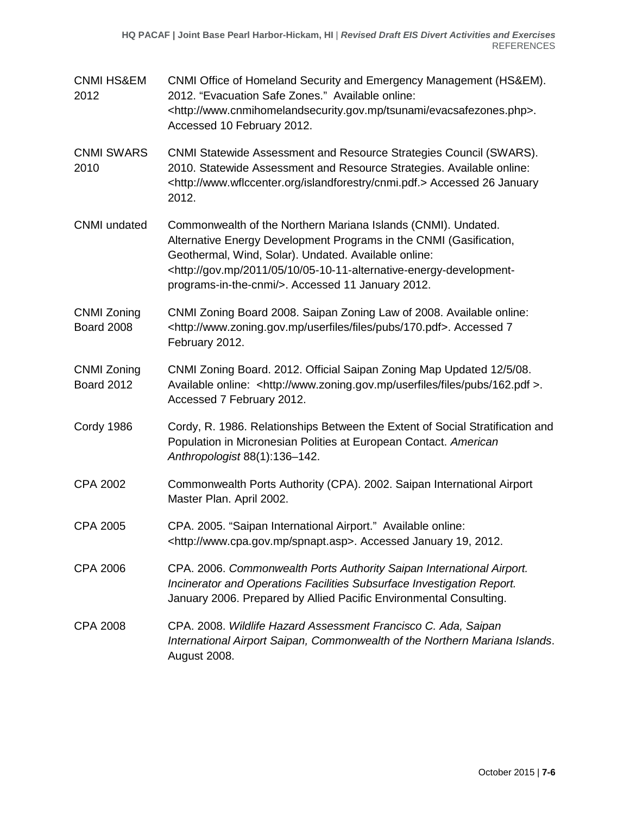CNMI HS&EM 2012 CNMI Office of Homeland Security and Emergency Management (HS&EM). 2012. "Evacuation Safe Zones." Available online: <http://www.cnmihomelandsecurity.gov.mp/tsunami/evacsafezones.php>. Accessed 10 February 2012. CNMI SWARS 2010 CNMI Statewide Assessment and Resource Strategies Council (SWARS). 2010. Statewide Assessment and Resource Strategies. Available online: <http://www.wflccenter.org/islandforestry/cnmi.pdf.> Accessed 26 January 2012. CNMI undated Commonwealth of the Northern Mariana Islands (CNMI). Undated. Alternative Energy Development Programs in the CNMI (Gasification, Geothermal, Wind, Solar). Undated. Available online: <http://gov.mp/2011/05/10/05-10-11-alternative-energy-developmentprograms-in-the-cnmi/>. Accessed 11 January 2012. CNMI Zoning Board 2008 CNMI Zoning Board 2008. Saipan Zoning Law of 2008. Available online: <http://www.zoning.gov.mp/userfiles/files/pubs/170.pdf>. Accessed 7 February 2012. CNMI Zoning Board 2012 CNMI Zoning Board. 2012. Official Saipan Zoning Map Updated 12/5/08. Available online: <http://www.zoning.gov.mp/userfiles/files/pubs/162.pdf >. Accessed 7 February 2012. Cordy 1986 Cordy, R. 1986. Relationships Between the Extent of Social Stratification and Population in Micronesian Polities at European Contact. *American Anthropologist* 88(1):136–142. CPA 2002 Commonwealth Ports Authority (CPA). 2002. Saipan International Airport Master Plan. April 2002. CPA 2005 CPA. 2005. "Saipan International Airport." Available online: <http://www.cpa.gov.mp/spnapt.asp>. Accessed January 19, 2012. CPA 2006 CPA. 2006. *Commonwealth Ports Authority Saipan International Airport. Incinerator and Operations Facilities Subsurface Investigation Report.*  January 2006. Prepared by Allied Pacific Environmental Consulting. CPA 2008 CPA. 2008. *Wildlife Hazard Assessment Francisco C. Ada, Saipan International Airport Saipan, Commonwealth of the Northern Mariana Islands*. August 2008.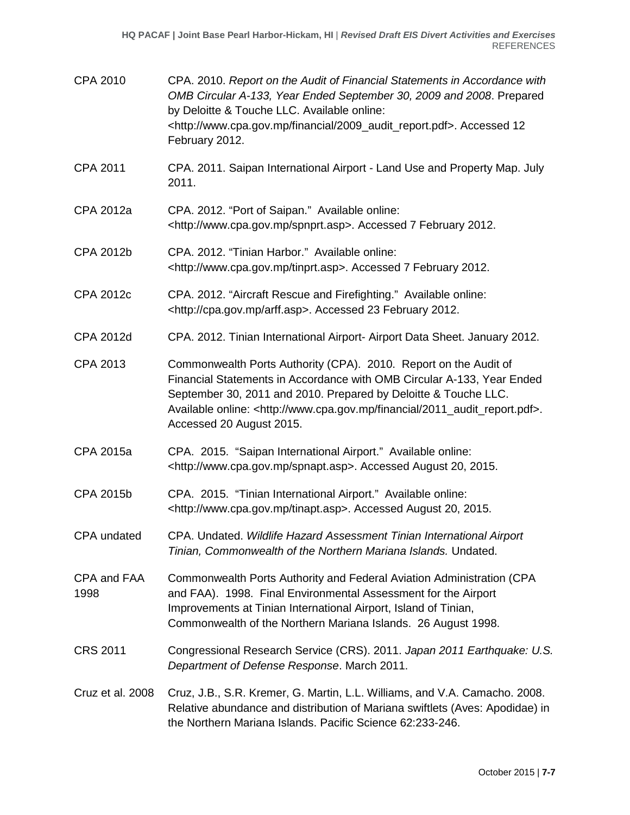- CPA 2010 CPA. 2010. *Report on the Audit of Financial Statements in Accordance with OMB Circular A-133, Year Ended September 30, 2009 and 2008*. Prepared by Deloitte & Touche LLC. Available online: <http://www.cpa.gov.mp/financial/2009\_audit\_report.pdf>. Accessed 12 February 2012.
- CPA 2011 CPA. 2011. Saipan International Airport Land Use and Property Map. July 2011.
- CPA 2012a CPA. 2012. "Port of Saipan." Available online: <http://www.cpa.gov.mp/spnprt.asp>. Accessed 7 February 2012.
- CPA 2012b CPA. 2012. "Tinian Harbor." Available online: <http://www.cpa.gov.mp/tinprt.asp>. Accessed 7 February 2012.
- CPA 2012c CPA. 2012. "Aircraft Rescue and Firefighting." Available online: <http://cpa.gov.mp/arff.asp>. Accessed 23 February 2012.
- CPA 2012d CPA. 2012. Tinian International Airport- Airport Data Sheet. January 2012.
- CPA 2013 Commonwealth Ports Authority (CPA). 2010. Report on the Audit of Financial Statements in Accordance with OMB Circular A-133, Year Ended September 30, 2011 and 2010. Prepared by Deloitte & Touche LLC. Available online: <http://www.cpa.gov.mp/financial/2011\_audit\_report.pdf>. Accessed 20 August 2015.
- CPA 2015a CPA. 2015. "Saipan International Airport." Available online: <http://www.cpa.gov.mp/spnapt.asp>. Accessed August 20, 2015.
- CPA 2015b CPA. 2015. "Tinian International Airport." Available online: <http://www.cpa.gov.mp/tinapt.asp>. Accessed August 20, 2015.
- CPA undated CPA. Undated. *Wildlife Hazard Assessment Tinian International Airport Tinian, Commonwealth of the Northern Mariana Islands.* Undated.
- CPA and FAA 1998 Commonwealth Ports Authority and Federal Aviation Administration (CPA and FAA). 1998. Final Environmental Assessment for the Airport Improvements at Tinian International Airport, Island of Tinian, Commonwealth of the Northern Mariana Islands. 26 August 1998.
- CRS 2011 Congressional Research Service (CRS). 2011. *Japan 2011 Earthquake: U.S. Department of Defense Response*. March 2011.
- Cruz et al. 2008 Cruz, J.B., S.R. Kremer, G. Martin, L.L. Williams, and V.A. Camacho. 2008. Relative abundance and distribution of Mariana swiftlets (Aves: Apodidae) in the Northern Mariana Islands. Pacific Science 62:233-246.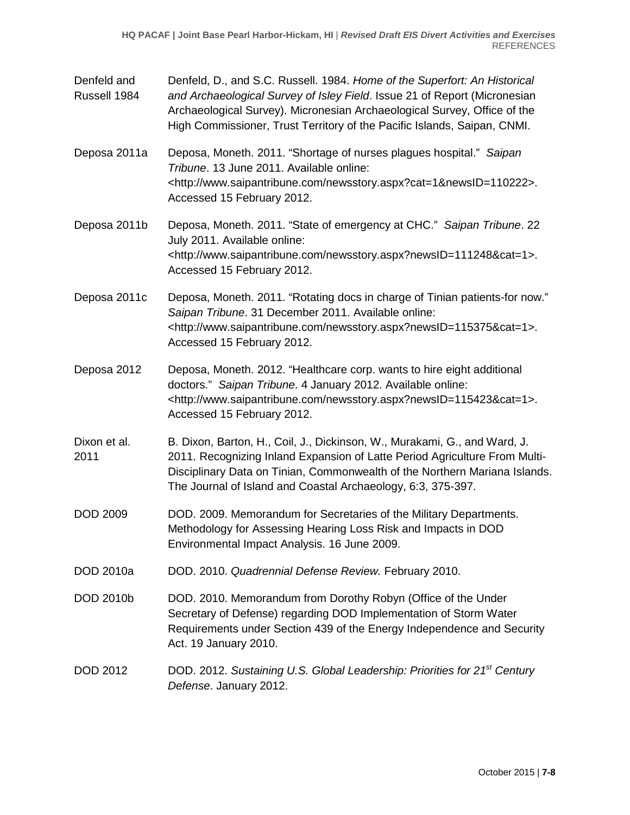| Denfeld and<br>Russell 1984 | Denfeld, D., and S.C. Russell. 1984. Home of the Superfort: An Historical<br>and Archaeological Survey of Isley Field. Issue 21 of Report (Micronesian<br>Archaeological Survey). Micronesian Archaeological Survey, Office of the<br>High Commissioner, Trust Territory of the Pacific Islands, Saipan, CNMI. |
|-----------------------------|----------------------------------------------------------------------------------------------------------------------------------------------------------------------------------------------------------------------------------------------------------------------------------------------------------------|
| Deposa 2011a                | Deposa, Moneth. 2011. "Shortage of nurses plagues hospital." Saipan<br>Tribune. 13 June 2011. Available online:<br><http: newsstory.aspx?cat="1&amp;newsID=110222" www.saipantribune.com="">.<br/>Accessed 15 February 2012.</http:>                                                                           |
| Deposa 2011b                | Deposa, Moneth. 2011. "State of emergency at CHC." Saipan Tribune. 22<br>July 2011. Available online:<br><http: newsstory.aspx?newsid="111248&amp;cat=1" www.saipantribune.com="">.<br/>Accessed 15 February 2012.</http:>                                                                                     |
| Deposa 2011c                | Deposa, Moneth. 2011. "Rotating docs in charge of Tinian patients-for now."<br>Saipan Tribune. 31 December 2011. Available online:<br><http: newsstory.aspx?newsid="115375&amp;cat=1" www.saipantribune.com="">.<br/>Accessed 15 February 2012.</http:>                                                        |
| Deposa 2012                 | Deposa, Moneth. 2012. "Healthcare corp. wants to hire eight additional<br>doctors." Saipan Tribune. 4 January 2012. Available online:<br><http: newsstory.aspx?newsid="115423&amp;cat=1" www.saipantribune.com="">.<br/>Accessed 15 February 2012.</http:>                                                     |
| Dixon et al.<br>2011        | B. Dixon, Barton, H., Coil, J., Dickinson, W., Murakami, G., and Ward, J.<br>2011. Recognizing Inland Expansion of Latte Period Agriculture From Multi-<br>Disciplinary Data on Tinian, Commonwealth of the Northern Mariana Islands.<br>The Journal of Island and Coastal Archaeology, 6:3, 375-397.          |
| <b>DOD 2009</b>             | DOD. 2009. Memorandum for Secretaries of the Military Departments.<br>Methodology for Assessing Hearing Loss Risk and Impacts in DOD<br>Environmental Impact Analysis. 16 June 2009.                                                                                                                           |
| DOD 2010a                   | DOD. 2010. Quadrennial Defense Review. February 2010.                                                                                                                                                                                                                                                          |
| DOD 2010b                   | DOD. 2010. Memorandum from Dorothy Robyn (Office of the Under<br>Secretary of Defense) regarding DOD Implementation of Storm Water<br>Requirements under Section 439 of the Energy Independence and Security<br>Act. 19 January 2010.                                                                          |
| <b>DOD 2012</b>             | DOD. 2012. Sustaining U.S. Global Leadership: Priorities for 21 <sup>st</sup> Century<br>Defense. January 2012.                                                                                                                                                                                                |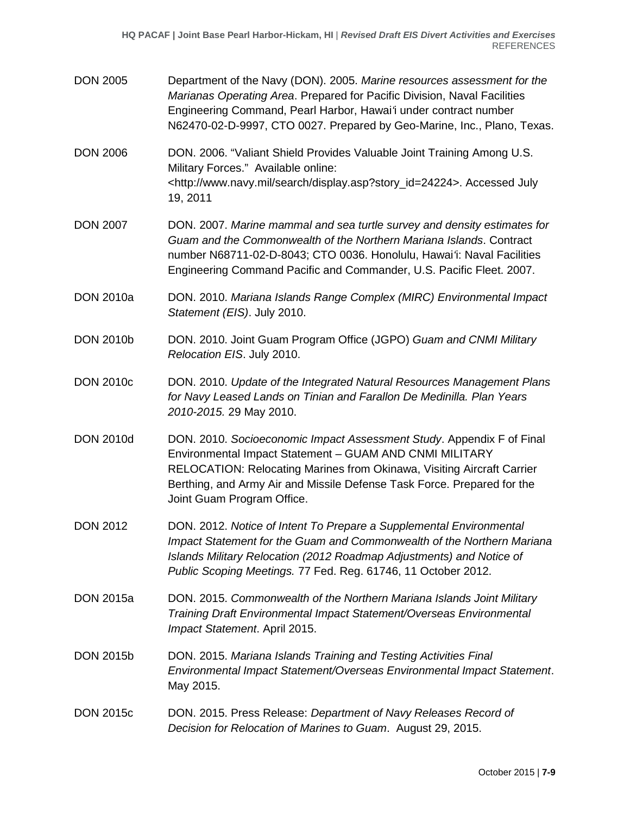DON 2005 Department of the Navy (DON). 2005. *Marine resources assessment for the Marianas Operating Area*. Prepared for Pacific Division, Naval Facilities Engineering Command, Pearl Harbor, Hawai*'*i under contract number N62470-02-D-9997, CTO 0027. Prepared by Geo-Marine, Inc., Plano, Texas. DON 2006 DON. 2006. "Valiant Shield Provides Valuable Joint Training Among U.S. Military Forces." Available online: <http://www.navy.mil/search/display.asp?story\_id=24224>. Accessed July 19, 2011 DON 2007 DON. 2007. *Marine mammal and sea turtle survey and density estimates for Guam and the Commonwealth of the Northern Mariana Islands*. Contract number N68711-02-D-8043; CTO 0036. Honolulu, Hawai*'*i: Naval Facilities Engineering Command Pacific and Commander, U.S. Pacific Fleet. 2007. DON 2010a DON. 2010. *Mariana Islands Range Complex (MIRC) Environmental Impact Statement (EIS)*. July 2010. DON 2010b DON. 2010. Joint Guam Program Office (JGPO) *Guam and CNMI Military Relocation EIS*. July 2010. DON 2010c DON. 2010. *Update of the Integrated Natural Resources Management Plans for Navy Leased Lands on Tinian and Farallon De Medinilla. Plan Years 2010-2015.* 29 May 2010. DON 2010d DON. 2010. *Socioeconomic Impact Assessment Study*. Appendix F of Final Environmental Impact Statement – GUAM AND CNMI MILITARY RELOCATION: Relocating Marines from Okinawa, Visiting Aircraft Carrier Berthing, and Army Air and Missile Defense Task Force. Prepared for the Joint Guam Program Office. DON 2012 DON. 2012. *Notice of Intent To Prepare a Supplemental Environmental Impact Statement for the Guam and Commonwealth of the Northern Mariana Islands Military Relocation (2012 Roadmap Adjustments) and Notice of Public Scoping Meetings.* 77 Fed. Reg. 61746, 11 October 2012. DON 2015a DON. 2015. *Commonwealth of the Northern Mariana Islands Joint Military Training Draft Environmental Impact Statement/Overseas Environmental Impact Statement*. April 2015. DON 2015b DON. 2015. *Mariana Islands Training and Testing Activities Final Environmental Impact Statement/Overseas Environmental Impact Statement*. May 2015. DON 2015c DON. 2015. Press Release: *Department of Navy Releases Record of Decision for Relocation of Marines to Guam*. August 29, 2015.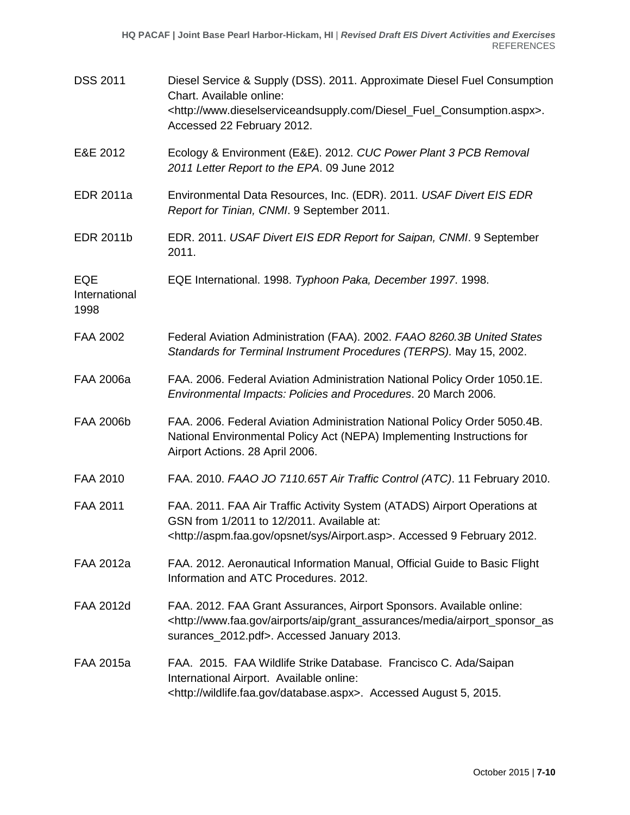| <b>DSS 2011</b>                     | Diesel Service & Supply (DSS). 2011. Approximate Diesel Fuel Consumption<br>Chart. Available online:<br><http: diesel_fuel_consumption.aspx="" www.dieselserviceandsupply.com="">.<br/>Accessed 22 February 2012.</http:>    |
|-------------------------------------|------------------------------------------------------------------------------------------------------------------------------------------------------------------------------------------------------------------------------|
| E&E 2012                            | Ecology & Environment (E&E). 2012. CUC Power Plant 3 PCB Removal<br>2011 Letter Report to the EPA. 09 June 2012                                                                                                              |
| <b>EDR 2011a</b>                    | Environmental Data Resources, Inc. (EDR). 2011. USAF Divert EIS EDR<br>Report for Tinian, CNMI. 9 September 2011.                                                                                                            |
| <b>EDR 2011b</b>                    | EDR. 2011. USAF Divert EIS EDR Report for Saipan, CNMI. 9 September<br>2011.                                                                                                                                                 |
| <b>EQE</b><br>International<br>1998 | EQE International. 1998. Typhoon Paka, December 1997. 1998.                                                                                                                                                                  |
| FAA 2002                            | Federal Aviation Administration (FAA). 2002. FAAO 8260.3B United States<br>Standards for Terminal Instrument Procedures (TERPS). May 15, 2002.                                                                               |
| FAA 2006a                           | FAA. 2006. Federal Aviation Administration National Policy Order 1050.1E.<br>Environmental Impacts: Policies and Procedures. 20 March 2006.                                                                                  |
| FAA 2006b                           | FAA. 2006. Federal Aviation Administration National Policy Order 5050.4B.<br>National Environmental Policy Act (NEPA) Implementing Instructions for<br>Airport Actions. 28 April 2006.                                       |
| FAA 2010                            | FAA. 2010. FAAO JO 7110.65T Air Traffic Control (ATC). 11 February 2010.                                                                                                                                                     |
| FAA 2011                            | FAA. 2011. FAA Air Traffic Activity System (ATADS) Airport Operations at<br>GSN from 1/2011 to 12/2011. Available at:<br><http: airport.asp="" aspm.faa.gov="" opsnet="" sys="">. Accessed 9 February 2012.</http:>          |
| FAA 2012a                           | FAA. 2012. Aeronautical Information Manual, Official Guide to Basic Flight<br>Information and ATC Procedures. 2012.                                                                                                          |
| <b>FAA 2012d</b>                    | FAA. 2012. FAA Grant Assurances, Airport Sponsors. Available online:<br><http: aip="" airport_sponsor_as<br="" airports="" grant_assurances="" media="" www.faa.gov="">surances_2012.pdf&gt;. Accessed January 2013.</http:> |
| FAA 2015a                           | FAA. 2015. FAA Wildlife Strike Database. Francisco C. Ada/Saipan<br>International Airport. Available online:<br><http: database.aspx="" wildlife.faa.gov="">. Accessed August 5, 2015.</http:>                               |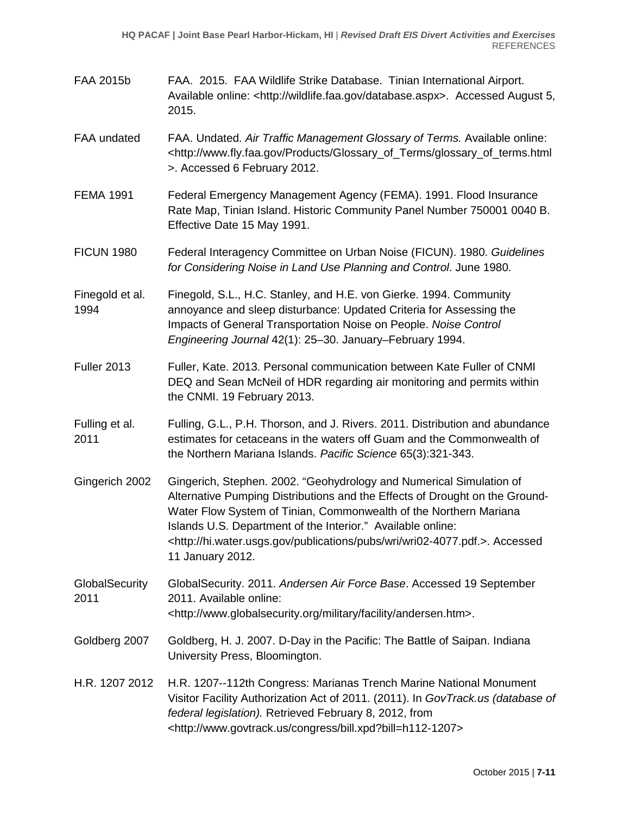- FAA 2015b FAA. 2015. FAA Wildlife Strike Database. Tinian International Airport. Available online: <http://wildlife.faa.gov/database.aspx>. Accessed August 5, 2015.
- FAA undated FAA. Undated. *Air Traffic Management Glossary of Terms.* Available online: <http://www.fly.faa.gov/Products/Glossary\_of\_Terms/glossary\_of\_terms.html >. Accessed 6 February 2012.
- FEMA 1991 Federal Emergency Management Agency (FEMA). 1991. Flood Insurance Rate Map, Tinian Island. Historic Community Panel Number 750001 0040 B. Effective Date 15 May 1991.
- FICUN 1980 Federal Interagency Committee on Urban Noise (FICUN). 1980. *Guidelines for Considering Noise in Land Use Planning and Control*. June 1980.
- Finegold et al. 1994 Finegold, S.L., H.C. Stanley, and H.E. von Gierke. 1994. Community annoyance and sleep disturbance: Updated Criteria for Assessing the Impacts of General Transportation Noise on People. *Noise Control Engineering Journal* 42(1): 25–30. January–February 1994.
- Fuller 2013 Fuller, Kate. 2013. Personal communication between Kate Fuller of CNMI DEQ and Sean McNeil of HDR regarding air monitoring and permits within the CNMI. 19 February 2013.
- Fulling et al. 2011 Fulling, G.L., P.H. Thorson, and J. Rivers. 2011. Distribution and abundance estimates for cetaceans in the waters off Guam and the Commonwealth of the Northern Mariana Islands. *Pacific Science* 65(3):321-343.
- Gingerich 2002 Gingerich, Stephen. 2002. "Geohydrology and Numerical Simulation of Alternative Pumping Distributions and the Effects of Drought on the Ground-Water Flow System of Tinian, Commonwealth of the Northern Mariana Islands U.S. Department of the Interior." Available online: <http://hi.water.usgs.gov/publications/pubs/wri/wri02-4077.pdf.>. Accessed 11 January 2012.
- **GlobalSecurity** 2011 GlobalSecurity. 2011. *Andersen Air Force Base*. Accessed 19 September 2011. Available online: <http://www.globalsecurity.org/military/facility/andersen.htm>.
- Goldberg 2007 Goldberg, H. J. 2007. D-Day in the Pacific: The Battle of Saipan. Indiana University Press, Bloomington.
- H.R. 1207 2012 H.R. 1207--112th Congress: Marianas Trench Marine National Monument Visitor Facility Authorization Act of 2011. (2011). In *GovTrack.us (database of federal legislation).* Retrieved February 8, 2012, from <http://www.govtrack.us/congress/bill.xpd?bill=h112-1207>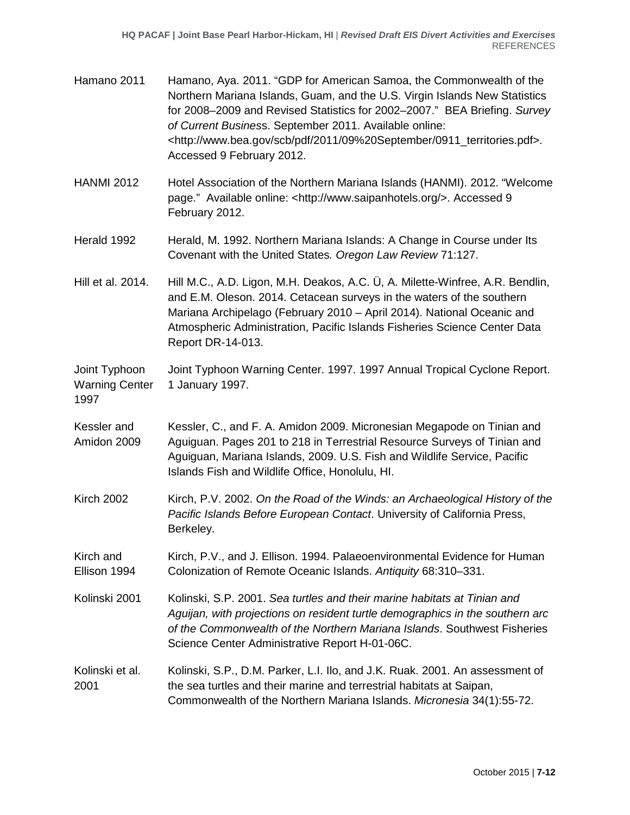| Hamano 2011                                    | Hamano, Aya. 2011. "GDP for American Samoa, the Commonwealth of the<br>Northern Mariana Islands, Guam, and the U.S. Virgin Islands New Statistics<br>for 2008-2009 and Revised Statistics for 2002-2007." BEA Briefing. Survey<br>of Current Business. September 2011. Available online:<br><http: 09%20september="" 0911_territories.pdf="" 2011="" pdf="" scb="" www.bea.gov="">.<br/>Accessed 9 February 2012.</http:> |
|------------------------------------------------|---------------------------------------------------------------------------------------------------------------------------------------------------------------------------------------------------------------------------------------------------------------------------------------------------------------------------------------------------------------------------------------------------------------------------|
| <b>HANMI 2012</b>                              | Hotel Association of the Northern Mariana Islands (HANMI). 2012. "Welcome<br>page." Available online: <http: www.saipanhotels.org=""></http:> . Accessed 9<br>February 2012.                                                                                                                                                                                                                                              |
| Herald 1992                                    | Herald, M. 1992. Northern Mariana Islands: A Change in Course under Its<br>Covenant with the United States. Oregon Law Review 71:127.                                                                                                                                                                                                                                                                                     |
| Hill et al. 2014.                              | Hill M.C., A.D. Ligon, M.H. Deakos, A.C. Ü, A. Milette-Winfree, A.R. Bendlin,<br>and E.M. Oleson. 2014. Cetacean surveys in the waters of the southern<br>Mariana Archipelago (February 2010 - April 2014). National Oceanic and<br>Atmospheric Administration, Pacific Islands Fisheries Science Center Data<br>Report DR-14-013.                                                                                        |
| Joint Typhoon<br><b>Warning Center</b><br>1997 | Joint Typhoon Warning Center. 1997. 1997 Annual Tropical Cyclone Report.<br>1 January 1997.                                                                                                                                                                                                                                                                                                                               |
| Kessler and<br>Amidon 2009                     | Kessler, C., and F. A. Amidon 2009. Micronesian Megapode on Tinian and<br>Aguiguan. Pages 201 to 218 in Terrestrial Resource Surveys of Tinian and<br>Aguiguan, Mariana Islands, 2009. U.S. Fish and Wildlife Service, Pacific<br>Islands Fish and Wildlife Office, Honolulu, HI.                                                                                                                                         |
| <b>Kirch 2002</b>                              | Kirch, P.V. 2002. On the Road of the Winds: an Archaeological History of the<br>Pacific Islands Before European Contact. University of California Press,<br>Berkeley.                                                                                                                                                                                                                                                     |
| Kirch and<br>Ellison 1994                      | Kirch, P.V., and J. Ellison. 1994. Palaeoenvironmental Evidence for Human<br>Colonization of Remote Oceanic Islands. Antiquity 68:310-331.                                                                                                                                                                                                                                                                                |
| Kolinski 2001                                  | Kolinski, S.P. 2001. Sea turtles and their marine habitats at Tinian and<br>Aguijan, with projections on resident turtle demographics in the southern arc<br>of the Commonwealth of the Northern Mariana Islands. Southwest Fisheries<br>Science Center Administrative Report H-01-06C.                                                                                                                                   |
| Kolinski et al.<br>2001                        | Kolinski, S.P., D.M. Parker, L.I. Ilo, and J.K. Ruak. 2001. An assessment of<br>the sea turtles and their marine and terrestrial habitats at Saipan,<br>Commonwealth of the Northern Mariana Islands. Micronesia 34(1):55-72.                                                                                                                                                                                             |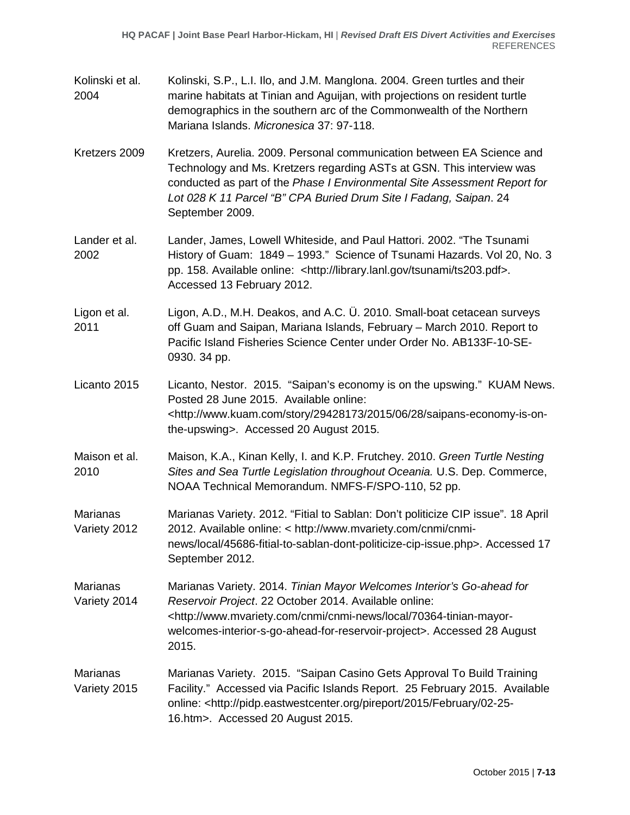| Kolinski et al.<br>2004         | Kolinski, S.P., L.I. Ilo, and J.M. Manglona. 2004. Green turtles and their<br>marine habitats at Tinian and Aguijan, with projections on resident turtle<br>demographics in the southern arc of the Commonwealth of the Northern<br>Mariana Islands. Micronesica 37: 97-118.                                         |
|---------------------------------|----------------------------------------------------------------------------------------------------------------------------------------------------------------------------------------------------------------------------------------------------------------------------------------------------------------------|
| Kretzers 2009                   | Kretzers, Aurelia. 2009. Personal communication between EA Science and<br>Technology and Ms. Kretzers regarding ASTs at GSN. This interview was<br>conducted as part of the Phase I Environmental Site Assessment Report for<br>Lot 028 K 11 Parcel "B" CPA Buried Drum Site I Fadang, Saipan. 24<br>September 2009. |
| Lander et al.<br>2002           | Lander, James, Lowell Whiteside, and Paul Hattori. 2002. "The Tsunami<br>History of Guam: 1849 - 1993." Science of Tsunami Hazards. Vol 20, No. 3<br>pp. 158. Available online: <http: library.lanl.gov="" ts203.pdf="" tsunami="">.<br/>Accessed 13 February 2012.</http:>                                          |
| Ligon et al.<br>2011            | Ligon, A.D., M.H. Deakos, and A.C. U. 2010. Small-boat cetacean surveys<br>off Guam and Saipan, Mariana Islands, February - March 2010. Report to<br>Pacific Island Fisheries Science Center under Order No. AB133F-10-SE-<br>0930. 34 pp.                                                                           |
| Licanto 2015                    | Licanto, Nestor. 2015. "Saipan's economy is on the upswing." KUAM News.<br>Posted 28 June 2015. Available online:<br><http: 06="" 2015="" 28="" 29428173="" saipans-economy-is-on-<br="" story="" www.kuam.com="">the-upswing&gt;. Accessed 20 August 2015.</http:>                                                  |
| Maison et al.<br>2010           | Maison, K.A., Kinan Kelly, I. and K.P. Frutchey. 2010. Green Turtle Nesting<br>Sites and Sea Turtle Legislation throughout Oceania. U.S. Dep. Commerce,<br>NOAA Technical Memorandum. NMFS-F/SPO-110, 52 pp.                                                                                                         |
| <b>Marianas</b><br>Variety 2012 | Marianas Variety. 2012. "Fitial to Sablan: Don't politicize CIP issue". 18 April<br>2012. Available online: < http://www.mvariety.com/cnmi/cnmi-<br>news/local/45686-fitial-to-sablan-dont-politicize-cip-issue.php>. Accessed 17<br>September 2012.                                                                 |
| Marianas<br>Variety 2014        | Marianas Variety. 2014. Tinian Mayor Welcomes Interior's Go-ahead for<br>Reservoir Project. 22 October 2014. Available online:<br><http: 70364-tinian-mayor-<br="" cnmi="" cnmi-news="" local="" www.mvariety.com="">welcomes-interior-s-go-ahead-for-reservoir-project&gt;. Accessed 28 August<br/>2015.</http:>    |
| <b>Marianas</b><br>Variety 2015 | Marianas Variety. 2015. "Saipan Casino Gets Approval To Build Training<br>Facility." Accessed via Pacific Islands Report. 25 February 2015. Available<br>online: <http: 02-25-<br="" 2015="" february="" pidp.eastwestcenter.org="" pireport="">16.htm&gt;. Accessed 20 August 2015.</http:>                         |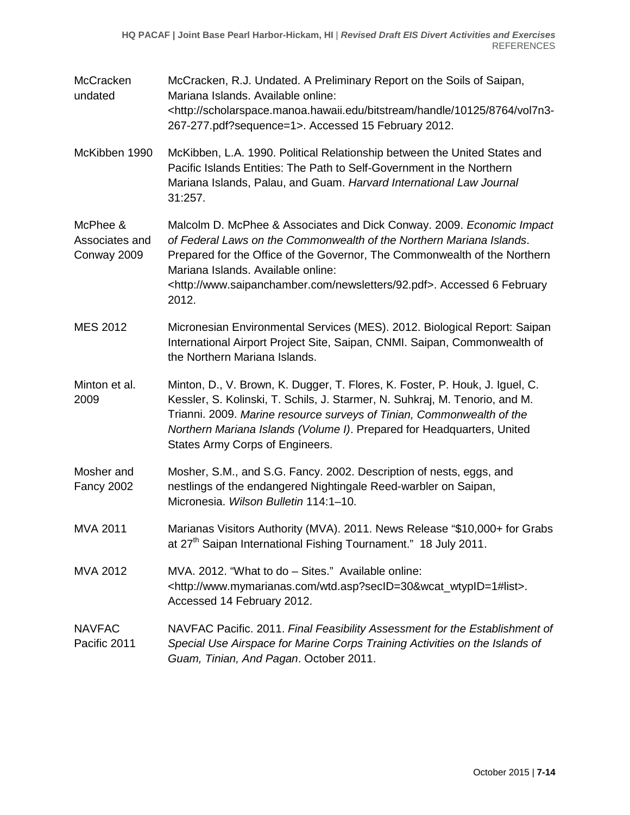| McCracken<br>undated                      | McCracken, R.J. Undated. A Preliminary Report on the Soils of Saipan,<br>Mariana Islands. Available online:<br><http: 10125="" 8764="" bitstream="" handle="" scholarspace.manoa.hawaii.edu="" vol7n3-<br="">267-277.pdf?sequence=1&gt;. Accessed 15 February 2012.</http:>                                                                                          |
|-------------------------------------------|----------------------------------------------------------------------------------------------------------------------------------------------------------------------------------------------------------------------------------------------------------------------------------------------------------------------------------------------------------------------|
| McKibben 1990                             | McKibben, L.A. 1990. Political Relationship between the United States and<br>Pacific Islands Entities: The Path to Self-Government in the Northern<br>Mariana Islands, Palau, and Guam. Harvard International Law Journal<br>31:257.                                                                                                                                 |
| McPhee &<br>Associates and<br>Conway 2009 | Malcolm D. McPhee & Associates and Dick Conway. 2009. Economic Impact<br>of Federal Laws on the Commonwealth of the Northern Mariana Islands.<br>Prepared for the Office of the Governor, The Commonwealth of the Northern<br>Mariana Islands. Available online:<br><http: 92.pdf="" newsletters="" www.saipanchamber.com="">. Accessed 6 February<br/>2012.</http:> |
| <b>MES 2012</b>                           | Micronesian Environmental Services (MES). 2012. Biological Report: Saipan<br>International Airport Project Site, Saipan, CNMI. Saipan, Commonwealth of<br>the Northern Mariana Islands.                                                                                                                                                                              |
| Minton et al.<br>2009                     | Minton, D., V. Brown, K. Dugger, T. Flores, K. Foster, P. Houk, J. Iguel, C.<br>Kessler, S. Kolinski, T. Schils, J. Starmer, N. Suhkraj, M. Tenorio, and M.<br>Trianni. 2009. Marine resource surveys of Tinian, Commonwealth of the<br>Northern Mariana Islands (Volume I). Prepared for Headquarters, United<br>States Army Corps of Engineers.                    |
| Mosher and<br><b>Fancy 2002</b>           | Mosher, S.M., and S.G. Fancy. 2002. Description of nests, eggs, and<br>nestlings of the endangered Nightingale Reed-warbler on Saipan,<br>Micronesia. Wilson Bulletin 114:1-10.                                                                                                                                                                                      |
| <b>MVA 2011</b>                           | Marianas Visitors Authority (MVA). 2011. News Release "\$10,000+ for Grabs<br>at 27 <sup>th</sup> Saipan International Fishing Tournament." 18 July 2011.                                                                                                                                                                                                            |
| MVA 2012                                  | MVA. 2012. "What to do – Sites." Available online:<br><http: wtd.asp?secid="30&amp;wcat_wtypID=1#list" www.mymarianas.com="">.<br/>Accessed 14 February 2012.</http:>                                                                                                                                                                                                |
| <b>NAVFAC</b><br>Pacific 2011             | NAVFAC Pacific. 2011. Final Feasibility Assessment for the Establishment of<br>Special Use Airspace for Marine Corps Training Activities on the Islands of<br>Guam, Tinian, And Pagan. October 2011.                                                                                                                                                                 |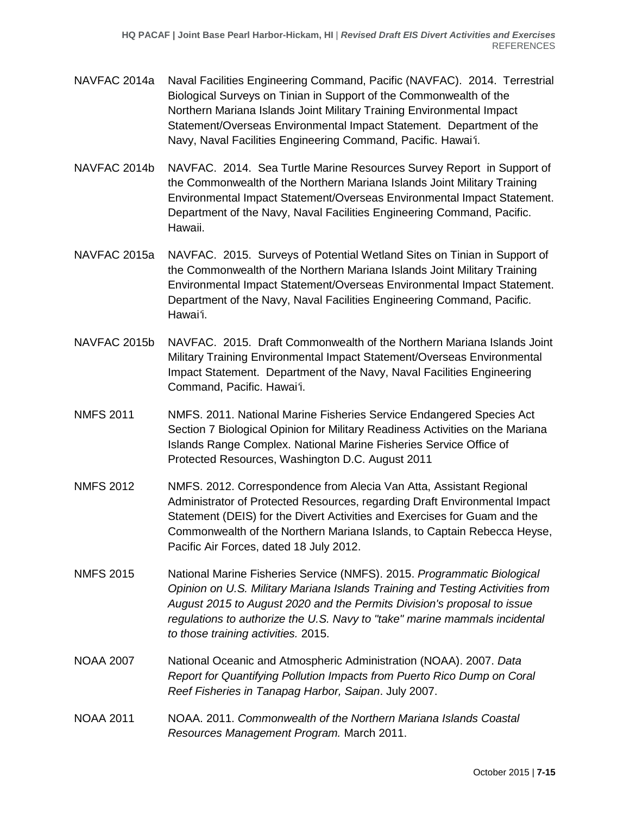- NAVFAC 2014a Naval Facilities Engineering Command, Pacific (NAVFAC). 2014. Terrestrial Biological Surveys on Tinian in Support of the Commonwealth of the Northern Mariana Islands Joint Military Training Environmental Impact Statement/Overseas Environmental Impact Statement. Department of the Navy, Naval Facilities Engineering Command, Pacific. Hawai*'*i.
- NAVFAC 2014b NAVFAC. 2014. Sea Turtle Marine Resources Survey Report in Support of the Commonwealth of the Northern Mariana Islands Joint Military Training Environmental Impact Statement/Overseas Environmental Impact Statement. Department of the Navy, Naval Facilities Engineering Command, Pacific. Hawaii.
- NAVFAC 2015a NAVFAC. 2015. Surveys of Potential Wetland Sites on Tinian in Support of the Commonwealth of the Northern Mariana Islands Joint Military Training Environmental Impact Statement/Overseas Environmental Impact Statement. Department of the Navy, Naval Facilities Engineering Command, Pacific. Hawai*'*i.
- NAVFAC 2015b NAVFAC. 2015. Draft Commonwealth of the Northern Mariana Islands Joint Military Training Environmental Impact Statement/Overseas Environmental Impact Statement. Department of the Navy, Naval Facilities Engineering Command, Pacific. Hawai*'*i.
- NMFS 2011 NMFS. 2011. National Marine Fisheries Service Endangered Species Act Section 7 Biological Opinion for Military Readiness Activities on the Mariana Islands Range Complex. National Marine Fisheries Service Office of Protected Resources, Washington D.C. August 2011
- NMFS 2012 NMFS. 2012. Correspondence from Alecia Van Atta, Assistant Regional Administrator of Protected Resources, regarding Draft Environmental Impact Statement (DEIS) for the Divert Activities and Exercises for Guam and the Commonwealth of the Northern Mariana Islands, to Captain Rebecca Heyse, Pacific Air Forces, dated 18 July 2012.
- NMFS 2015 National Marine Fisheries Service (NMFS). 2015. *Programmatic Biological Opinion on U.S. Military Mariana Islands Training and Testing Activities from August 2015 to August 2020 and the Permits Division's proposal to issue regulations to authorize the U.S. Navy to "take" marine mammals incidental to those training activities.* 2015.
- NOAA 2007 National Oceanic and Atmospheric Administration (NOAA). 2007. *Data Report for Quantifying Pollution Impacts from Puerto Rico Dump on Coral Reef Fisheries in Tanapag Harbor, Saipan*. July 2007.
- NOAA 2011 NOAA. 2011. *Commonwealth of the Northern Mariana Islands Coastal Resources Management Program.* March 2011.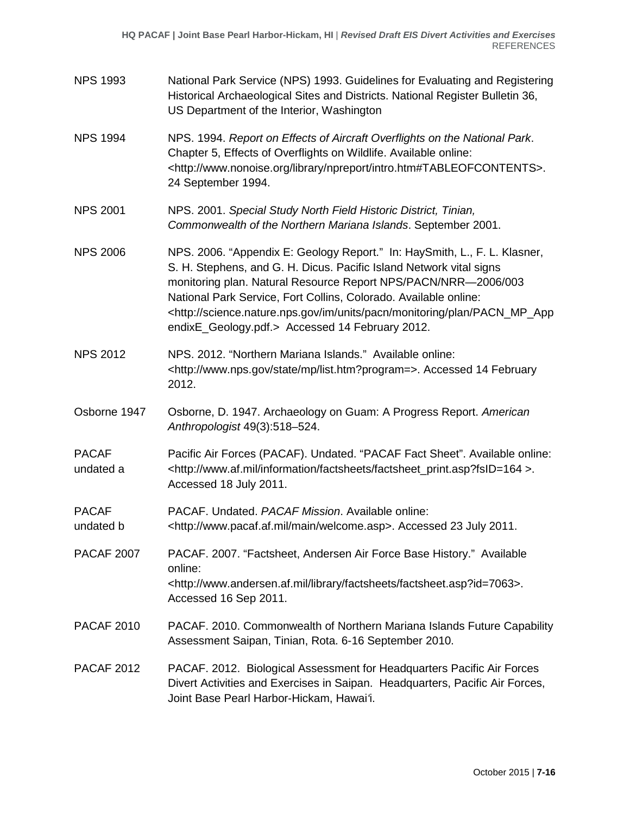| <b>NPS 1993</b>           | National Park Service (NPS) 1993. Guidelines for Evaluating and Registering<br>Historical Archaeological Sites and Districts. National Register Bulletin 36,<br>US Department of the Interior, Washington                                                                                                                                                                                                                                            |
|---------------------------|------------------------------------------------------------------------------------------------------------------------------------------------------------------------------------------------------------------------------------------------------------------------------------------------------------------------------------------------------------------------------------------------------------------------------------------------------|
| <b>NPS 1994</b>           | NPS. 1994. Report on Effects of Aircraft Overflights on the National Park.<br>Chapter 5, Effects of Overflights on Wildlife. Available online:<br><http: intro.htm#tableofcontents="" library="" npreport="" www.nonoise.org="">.<br/>24 September 1994.</http:>                                                                                                                                                                                     |
| <b>NPS 2001</b>           | NPS. 2001. Special Study North Field Historic District, Tinian,<br>Commonwealth of the Northern Mariana Islands. September 2001.                                                                                                                                                                                                                                                                                                                     |
| <b>NPS 2006</b>           | NPS. 2006. "Appendix E: Geology Report." In: HaySmith, L., F. L. Klasner,<br>S. H. Stephens, and G. H. Dicus. Pacific Island Network vital signs<br>monitoring plan. Natural Resource Report NPS/PACN/NRR-2006/003<br>National Park Service, Fort Collins, Colorado. Available online:<br><http: im="" monitoring="" pacn="" pacn_mp_app<br="" plan="" science.nature.nps.gov="" units="">endixE_Geology.pdf.&gt; Accessed 14 February 2012.</http:> |
| <b>NPS 2012</b>           | NPS. 2012. "Northern Mariana Islands." Available online:<br><http: list.htm?program="" mp="" state="" www.nps.gov="">. Accessed 14 February<br/>2012.</http:>                                                                                                                                                                                                                                                                                        |
| Osborne 1947              | Osborne, D. 1947. Archaeology on Guam: A Progress Report. American<br>Anthropologist 49(3):518-524.                                                                                                                                                                                                                                                                                                                                                  |
| <b>PACAF</b><br>undated a | Pacific Air Forces (PACAF). Undated. "PACAF Fact Sheet". Available online:<br><http: factsheet_print.asp?fsid="164" factsheets="" information="" www.af.mil="">.<br/>Accessed 18 July 2011.</http:>                                                                                                                                                                                                                                                  |
| <b>PACAF</b><br>undated b | PACAF. Undated. PACAF Mission. Available online:<br><http: main="" welcome.asp="" www.pacaf.af.mil="">. Accessed 23 July 2011.</http:>                                                                                                                                                                                                                                                                                                               |
| <b>PACAF 2007</b>         | PACAF. 2007. "Factsheet, Andersen Air Force Base History." Available<br>online:<br><http: factsheet.asp?id="7063" factsheets="" library="" www.andersen.af.mil="">.<br/>Accessed 16 Sep 2011.</http:>                                                                                                                                                                                                                                                |
| <b>PACAF 2010</b>         | PACAF. 2010. Commonwealth of Northern Mariana Islands Future Capability<br>Assessment Saipan, Tinian, Rota. 6-16 September 2010.                                                                                                                                                                                                                                                                                                                     |
| <b>PACAF 2012</b>         | PACAF. 2012. Biological Assessment for Headquarters Pacific Air Forces<br>Divert Activities and Exercises in Saipan. Headquarters, Pacific Air Forces,<br>Joint Base Pearl Harbor-Hickam, Hawai î.                                                                                                                                                                                                                                                   |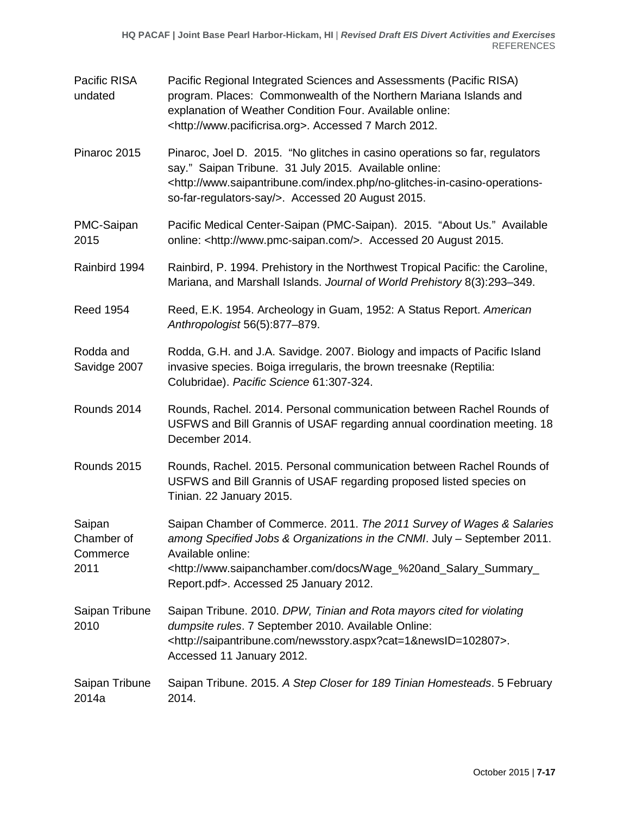| Pacific RISA | Pacific Regional Integrated Sciences and Assessments (Pacific RISA) |
|--------------|---------------------------------------------------------------------|
| undated      | program. Places: Commonwealth of the Northern Mariana Islands and   |
|              | explanation of Weather Condition Four. Available online:            |
|              | <http: www.pacificrisa.org="">. Accessed 7 March 2012.</http:>      |

- Pinaroc 2015 Pinaroc, Joel D. 2015. "No glitches in casino operations so far, regulators say." Saipan Tribune. 31 July 2015. Available online: <http://www.saipantribune.com/index.php/no-glitches-in-casino-operationsso-far-regulators-say/>. Accessed 20 August 2015.
- PMC-Saipan 2015 Pacific Medical Center-Saipan (PMC-Saipan). 2015. "About Us." Available online: <http://www.pmc-saipan.com/>. Accessed 20 August 2015.
- Rainbird 1994 Rainbird, P. 1994. Prehistory in the Northwest Tropical Pacific: the Caroline, Mariana, and Marshall Islands. *Journal of World Prehistory* 8(3):293–349.
- Reed 1954 Reed, E.K. 1954. Archeology in Guam, 1952: A Status Report. *American Anthropologist* 56(5):877–879.
- Rodda and Savidge 2007 Rodda, G.H. and J.A. Savidge. 2007. Biology and impacts of Pacific Island invasive species. Boiga irregularis, the brown treesnake (Reptilia: Colubridae). *Pacific Science* 61:307-324.
- Rounds 2014 Rounds, Rachel. 2014. Personal communication between Rachel Rounds of USFWS and Bill Grannis of USAF regarding annual coordination meeting. 18 December 2014.
- Rounds 2015 Rounds, Rachel. 2015. Personal communication between Rachel Rounds of USFWS and Bill Grannis of USAF regarding proposed listed species on Tinian. 22 January 2015.

Saipan Chamber of **Commerce** Saipan Chamber of Commerce. 2011. *The 2011 Survey of Wages & Salaries among Specified Jobs & Organizations in the CNMI*. July – September 2011. Available online:

2011 <http://www.saipanchamber.com/docs/Wage\_%20and\_Salary\_Summary\_ Report.pdf>. Accessed 25 January 2012.

Saipan Tribune 2010 Saipan Tribune. 2010. *DPW, Tinian and Rota mayors cited for violating dumpsite rules*. 7 September 2010. Available Online: <http://saipantribune.com/newsstory.aspx?cat=1&newsID=102807>. Accessed 11 January 2012.

Saipan Tribune 2014a Saipan Tribune. 2015. *A Step Closer for 189 Tinian Homesteads*. 5 February 2014.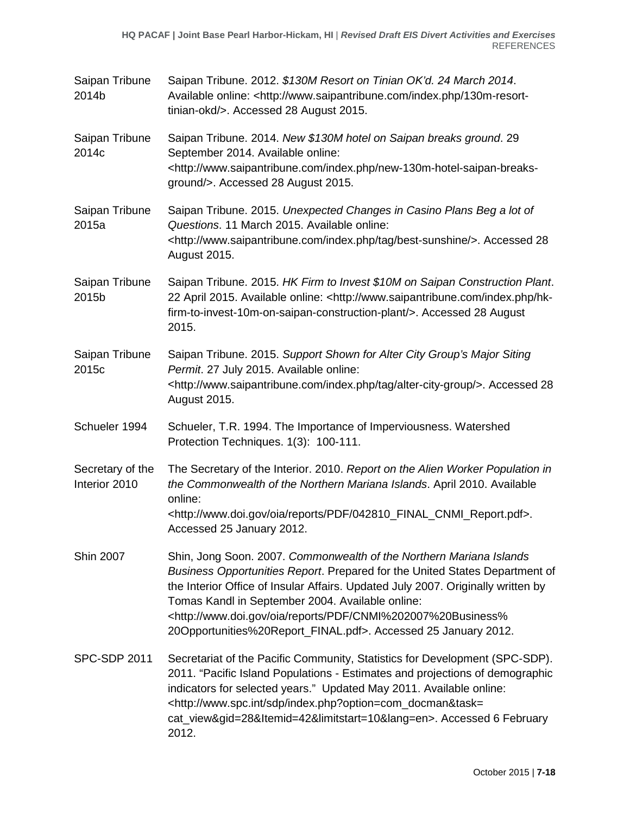| Saipan Tribune<br>2014b           | Saipan Tribune. 2012. \$130M Resort on Tinian OK'd. 24 March 2014.<br>Available online: <http: 130m-resort-<br="" index.php="" www.saipantribune.com="">tinian-okd/&gt;. Accessed 28 August 2015.</http:>                                                                                                                                                                                                                                            |
|-----------------------------------|------------------------------------------------------------------------------------------------------------------------------------------------------------------------------------------------------------------------------------------------------------------------------------------------------------------------------------------------------------------------------------------------------------------------------------------------------|
| Saipan Tribune<br>2014c           | Saipan Tribune. 2014. New \$130M hotel on Saipan breaks ground. 29<br>September 2014. Available online:<br><http: index.php="" new-130m-hotel-saipan-breaks-<br="" www.saipantribune.com="">ground/&gt;. Accessed 28 August 2015.</http:>                                                                                                                                                                                                            |
| Saipan Tribune<br>2015a           | Saipan Tribune. 2015. Unexpected Changes in Casino Plans Beg a lot of<br>Questions. 11 March 2015. Available online:<br><http: best-sunshine="" index.php="" tag="" www.saipantribune.com=""></http:> . Accessed 28<br>August 2015.                                                                                                                                                                                                                  |
| Saipan Tribune<br>2015b           | Saipan Tribune. 2015. HK Firm to Invest \$10M on Saipan Construction Plant.<br>22 April 2015. Available online: <http: hk-<br="" index.php="" www.saipantribune.com="">firm-to-invest-10m-on-saipan-construction-plant/&gt;. Accessed 28 August<br/>2015.</http:>                                                                                                                                                                                    |
| Saipan Tribune<br>2015c           | Saipan Tribune. 2015. Support Shown for Alter City Group's Major Siting<br>Permit. 27 July 2015. Available online:<br><http: alter-city-group="" index.php="" tag="" www.saipantribune.com=""></http:> . Accessed 28<br>August 2015.                                                                                                                                                                                                                 |
| Schueler 1994                     | Schueler, T.R. 1994. The Importance of Imperviousness. Watershed<br>Protection Techniques. 1(3): 100-111.                                                                                                                                                                                                                                                                                                                                            |
| Secretary of the<br>Interior 2010 | The Secretary of the Interior. 2010. Report on the Alien Worker Population in<br>the Commonwealth of the Northern Mariana Islands. April 2010. Available<br>online:<br><http: 042810_final_cnmi_report.pdf="" oia="" pdf="" reports="" www.doi.gov="">.<br/>Accessed 25 January 2012.</http:>                                                                                                                                                        |
| <b>Shin 2007</b>                  | Shin, Jong Soon. 2007. Commonwealth of the Northern Mariana Islands<br>Business Opportunities Report. Prepared for the United States Department of<br>the Interior Office of Insular Affairs. Updated July 2007. Originally written by<br>Tomas Kandl in September 2004. Available online:<br><http: cnmi%202007%20business%<br="" oia="" pdf="" reports="" www.doi.gov="">20Opportunities%20Report_FINAL.pdf&gt;. Accessed 25 January 2012.</http:> |
| <b>SPC-SDP 2011</b>               | Secretariat of the Pacific Community, Statistics for Development (SPC-SDP).<br>2011. "Pacific Island Populations - Estimates and projections of demographic<br>indicators for selected years." Updated May 2011. Available online:<br><http: index.php?option="com_docman&amp;task=&lt;br" sdp="" www.spc.int="">cat_view&amp;gid=28&amp;Itemid=42&amp;limitstart=10⟨=en&gt;. Accessed 6 February<br/>2012.</http:>                                  |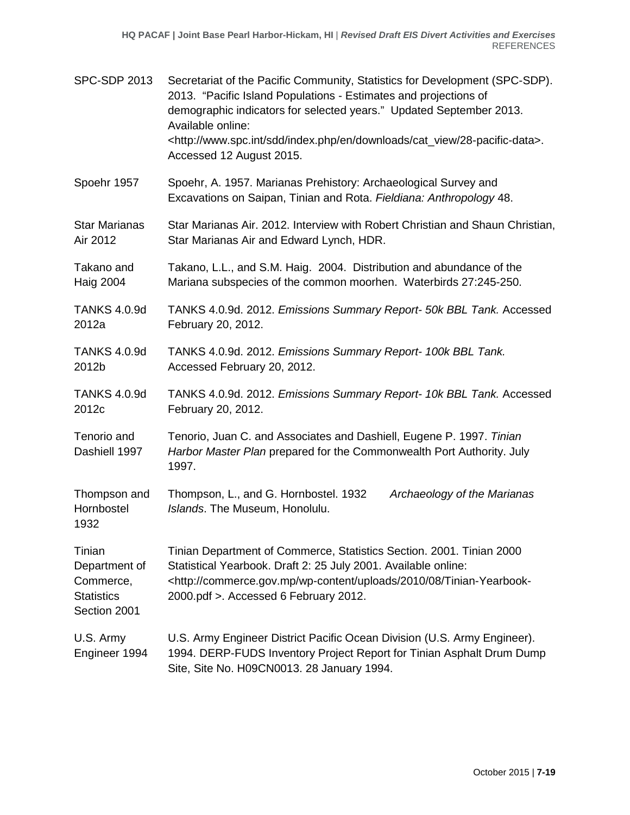| <b>SPC-SDP 2013</b>                                                       | Secretariat of the Pacific Community, Statistics for Development (SPC-SDP).<br>2013. "Pacific Island Populations - Estimates and projections of<br>demographic indicators for selected years." Updated September 2013.<br>Available online:<br><http: 28-pacific-data="" cat_view="" downloads="" en="" index.php="" sdd="" www.spc.int="">.<br/>Accessed 12 August 2015.</http:> |
|---------------------------------------------------------------------------|-----------------------------------------------------------------------------------------------------------------------------------------------------------------------------------------------------------------------------------------------------------------------------------------------------------------------------------------------------------------------------------|
| Spoehr 1957                                                               | Spoehr, A. 1957. Marianas Prehistory: Archaeological Survey and<br>Excavations on Saipan, Tinian and Rota. Fieldiana: Anthropology 48.                                                                                                                                                                                                                                            |
| <b>Star Marianas</b>                                                      | Star Marianas Air. 2012. Interview with Robert Christian and Shaun Christian,                                                                                                                                                                                                                                                                                                     |
| Air 2012                                                                  | Star Marianas Air and Edward Lynch, HDR.                                                                                                                                                                                                                                                                                                                                          |
| Takano and                                                                | Takano, L.L., and S.M. Haig. 2004. Distribution and abundance of the                                                                                                                                                                                                                                                                                                              |
| <b>Haig 2004</b>                                                          | Mariana subspecies of the common moorhen. Waterbirds 27:245-250.                                                                                                                                                                                                                                                                                                                  |
| <b>TANKS 4.0.9d</b>                                                       | TANKS 4.0.9d. 2012. Emissions Summary Report- 50k BBL Tank. Accessed                                                                                                                                                                                                                                                                                                              |
| 2012a                                                                     | February 20, 2012.                                                                                                                                                                                                                                                                                                                                                                |
| <b>TANKS 4.0.9d</b>                                                       | TANKS 4.0.9d. 2012. Emissions Summary Report- 100k BBL Tank.                                                                                                                                                                                                                                                                                                                      |
| 2012b                                                                     | Accessed February 20, 2012.                                                                                                                                                                                                                                                                                                                                                       |
| <b>TANKS 4.0.9d</b>                                                       | TANKS 4.0.9d. 2012. Emissions Summary Report- 10k BBL Tank. Accessed                                                                                                                                                                                                                                                                                                              |
| 2012c                                                                     | February 20, 2012.                                                                                                                                                                                                                                                                                                                                                                |
| Tenorio and<br>Dashiell 1997                                              | Tenorio, Juan C. and Associates and Dashiell, Eugene P. 1997. Tinian<br>Harbor Master Plan prepared for the Commonwealth Port Authority. July<br>1997.                                                                                                                                                                                                                            |
| Thompson and                                                              | Thompson, L., and G. Hornbostel. 1932                                                                                                                                                                                                                                                                                                                                             |
| Hornbostel                                                                | Archaeology of the Marianas                                                                                                                                                                                                                                                                                                                                                       |
| 1932                                                                      | Islands. The Museum, Honolulu.                                                                                                                                                                                                                                                                                                                                                    |
| Tinian<br>Department of<br>Commerce,<br><b>Statistics</b><br>Section 2001 | Tinian Department of Commerce, Statistics Section. 2001. Tinian 2000<br>Statistical Yearbook. Draft 2: 25 July 2001. Available online:<br><http: 08="" 2010="" commerce.gov.mp="" tinian-yearbook-<br="" uploads="" wp-content="">2000.pdf &gt;. Accessed 6 February 2012.</http:>                                                                                                |
| U.S. Army<br>Engineer 1994                                                | U.S. Army Engineer District Pacific Ocean Division (U.S. Army Engineer).<br>1994. DERP-FUDS Inventory Project Report for Tinian Asphalt Drum Dump<br>Site, Site No. H09CN0013. 28 January 1994.                                                                                                                                                                                   |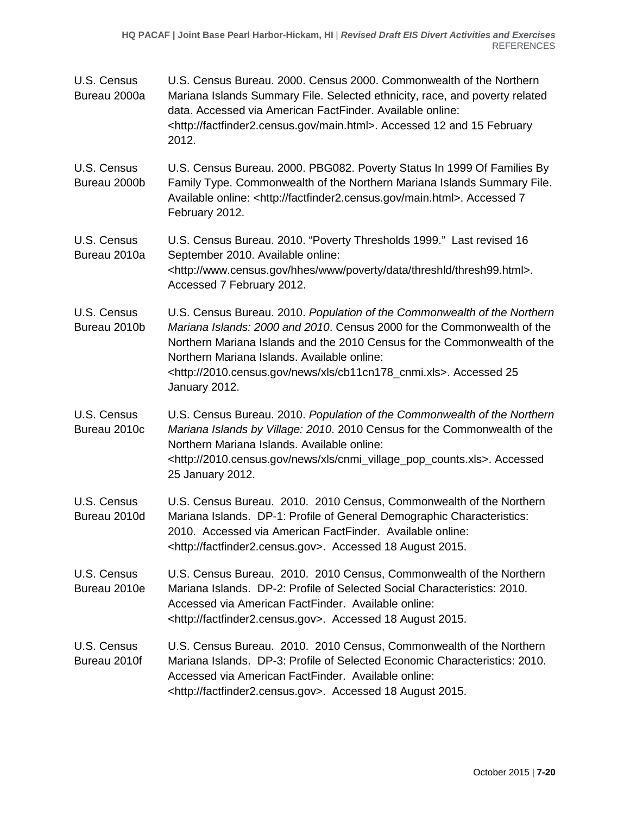| U.S. Census<br>Bureau 2000a | U.S. Census Bureau. 2000. Census 2000. Commonwealth of the Northern<br>Mariana Islands Summary File. Selected ethnicity, race, and poverty related<br>data. Accessed via American FactFinder. Available online:<br><http: factfinder2.census.gov="" main.html="">. Accessed 12 and 15 February<br/>2012.</http:>                                                                         |
|-----------------------------|------------------------------------------------------------------------------------------------------------------------------------------------------------------------------------------------------------------------------------------------------------------------------------------------------------------------------------------------------------------------------------------|
| U.S. Census<br>Bureau 2000b | U.S. Census Bureau. 2000. PBG082. Poverty Status In 1999 Of Families By<br>Family Type. Commonwealth of the Northern Mariana Islands Summary File.<br>Available online: <http: factfinder2.census.gov="" main.html="">. Accessed 7<br/>February 2012.</http:>                                                                                                                            |
| U.S. Census<br>Bureau 2010a | U.S. Census Bureau. 2010. "Poverty Thresholds 1999." Last revised 16<br>September 2010. Available online:<br><http: data="" hhes="" poverty="" thresh99.html="" threshld="" www="" www.census.gov="">.<br/>Accessed 7 February 2012.</http:>                                                                                                                                             |
| U.S. Census<br>Bureau 2010b | U.S. Census Bureau. 2010. Population of the Commonwealth of the Northern<br>Mariana Islands: 2000 and 2010. Census 2000 for the Commonwealth of the<br>Northern Mariana Islands and the 2010 Census for the Commonwealth of the<br>Northern Mariana Islands, Available online:<br><http: 2010.census.gov="" cb11cn178_cnmi.xls="" news="" xls="">. Accessed 25<br/>January 2012.</http:> |
| U.S. Census<br>Bureau 2010c | U.S. Census Bureau. 2010. Population of the Commonwealth of the Northern<br>Mariana Islands by Village: 2010. 2010 Census for the Commonwealth of the<br>Northern Mariana Islands. Available online:<br><http: 2010.census.gov="" cnmi_village_pop_counts.xls="" news="" xls="">. Accessed<br/>25 January 2012.</http:>                                                                  |
| U.S. Census<br>Bureau 2010d | U.S. Census Bureau. 2010. 2010 Census, Commonwealth of the Northern<br>Mariana Islands. DP-1: Profile of General Demographic Characteristics:<br>2010. Accessed via American FactFinder. Available online:<br><http: factfinder2.census.gov="">. Accessed 18 August 2015.</http:>                                                                                                        |
| U.S. Census<br>Bureau 2010e | U.S. Census Bureau. 2010. 2010 Census, Commonwealth of the Northern<br>Mariana Islands. DP-2: Profile of Selected Social Characteristics: 2010.<br>Accessed via American FactFinder. Available online:<br><http: factfinder2.census.gov="">. Accessed 18 August 2015.</http:>                                                                                                            |
| U.S. Census<br>Bureau 2010f | U.S. Census Bureau. 2010. 2010 Census, Commonwealth of the Northern<br>Mariana Islands. DP-3: Profile of Selected Economic Characteristics: 2010.<br>Accessed via American FactFinder. Available online:<br><http: factfinder2.census.gov="">. Accessed 18 August 2015.</http:>                                                                                                          |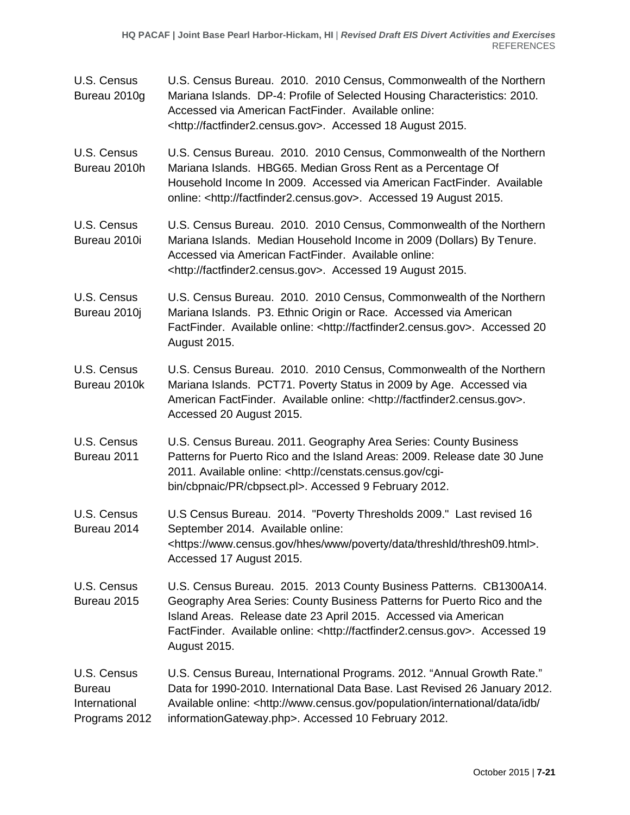| U.S. Census<br>Bureau 2010g                                    | U.S. Census Bureau. 2010. 2010 Census, Commonwealth of the Northern<br>Mariana Islands. DP-4: Profile of Selected Housing Characteristics: 2010.<br>Accessed via American FactFinder. Available online:<br><http: factfinder2.census.gov="">. Accessed 18 August 2015.</http:>                                             |
|----------------------------------------------------------------|----------------------------------------------------------------------------------------------------------------------------------------------------------------------------------------------------------------------------------------------------------------------------------------------------------------------------|
| U.S. Census<br>Bureau 2010h                                    | U.S. Census Bureau. 2010. 2010 Census, Commonwealth of the Northern<br>Mariana Islands. HBG65. Median Gross Rent as a Percentage Of<br>Household Income In 2009. Accessed via American FactFinder. Available<br>online: <http: factfinder2.census.gov="">. Accessed 19 August 2015.</http:>                                |
| U.S. Census<br>Bureau 2010i                                    | U.S. Census Bureau. 2010. 2010 Census, Commonwealth of the Northern<br>Mariana Islands. Median Household Income in 2009 (Dollars) By Tenure.<br>Accessed via American FactFinder. Available online:<br><http: factfinder2.census.gov="">. Accessed 19 August 2015.</http:>                                                 |
| U.S. Census<br>Bureau 2010j                                    | U.S. Census Bureau. 2010. 2010 Census, Commonwealth of the Northern<br>Mariana Islands. P3. Ethnic Origin or Race. Accessed via American<br>FactFinder. Available online: <http: factfinder2.census.gov="">. Accessed 20<br/>August 2015.</http:>                                                                          |
| U.S. Census<br>Bureau 2010k                                    | U.S. Census Bureau. 2010. 2010 Census, Commonwealth of the Northern<br>Mariana Islands. PCT71. Poverty Status in 2009 by Age. Accessed via<br>American FactFinder. Available online: <http: factfinder2.census.gov="">.<br/>Accessed 20 August 2015.</http:>                                                               |
| U.S. Census<br>Bureau 2011                                     | U.S. Census Bureau. 2011. Geography Area Series: County Business<br>Patterns for Puerto Rico and the Island Areas: 2009. Release date 30 June<br>2011. Available online: <http: censtats.census.gov="" cgi-<br="">bin/cbpnaic/PR/cbpsect.pl&gt;. Accessed 9 February 2012.</http:>                                         |
| U.S. Census<br>Bureau 2014                                     | U.S Census Bureau. 2014. "Poverty Thresholds 2009." Last revised 16<br>September 2014. Available online:<br><https: data="" hhes="" poverty="" thresh09.html="" threshld="" www="" www.census.gov="">.<br/>Accessed 17 August 2015.</https:>                                                                               |
| U.S. Census<br>Bureau 2015                                     | U.S. Census Bureau. 2015. 2013 County Business Patterns. CB1300A14.<br>Geography Area Series: County Business Patterns for Puerto Rico and the<br>Island Areas. Release date 23 April 2015. Accessed via American<br>FactFinder. Available online: <http: factfinder2.census.gov="">. Accessed 19<br/>August 2015.</http:> |
| U.S. Census<br><b>Bureau</b><br>International<br>Programs 2012 | U.S. Census Bureau, International Programs. 2012. "Annual Growth Rate."<br>Data for 1990-2010. International Data Base. Last Revised 26 January 2012.<br>Available online: <http: <br="" data="" idb="" international="" population="" www.census.gov="">informationGateway.php&gt;. Accessed 10 February 2012.</http:>    |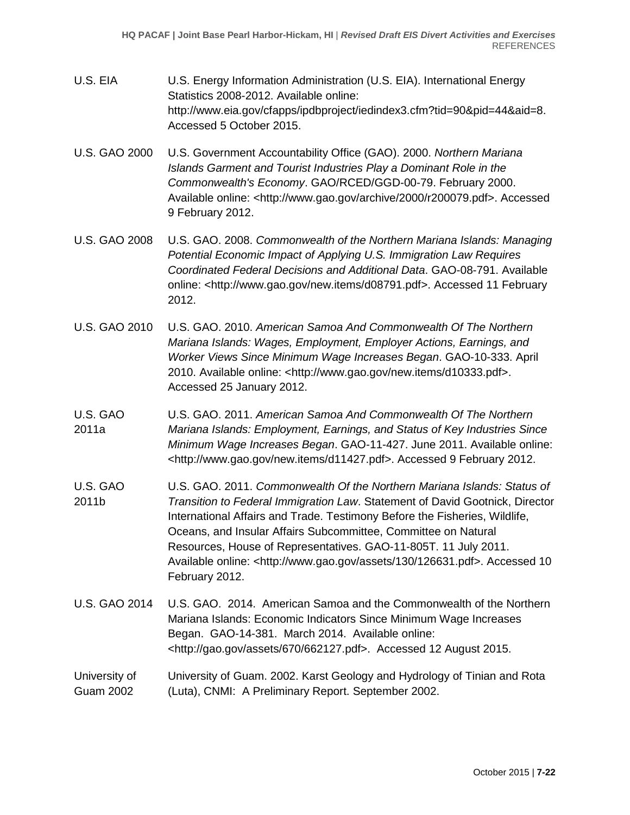- U.S. EIA U.S. Energy Information Administration (U.S. EIA). International Energy Statistics 2008-2012. Available online: [http://www.eia.gov/cfapps/ipdbproject/iedindex3.cfm?tid=90&pid=44&aid=8.](http://www.eia.gov/cfapps/ipdbproject/iedindex3.cfm?tid=90&pid=44&aid=8) Accessed 5 October 2015.
- U.S. GAO 2000 U.S. Government Accountability Office (GAO). 2000. *Northern Mariana Islands Garment and Tourist Industries Play a Dominant Role in the Commonwealth's Economy*. GAO/RCED/GGD-00-79. February 2000. Available online: <http://www.gao.gov/archive/2000/r200079.pdf>. Accessed 9 February 2012.
- U.S. GAO 2008 U.S. GAO. 2008. *Commonwealth of the Northern Mariana Islands: Managing Potential Economic Impact of Applying U.S. Immigration Law Requires Coordinated Federal Decisions and Additional Data*. GAO-08-791. Available online: <http://www.gao.gov/new.items/d08791.pdf>. Accessed 11 February 2012.
- U.S. GAO 2010 U.S. GAO. 2010. *American Samoa And Commonwealth Of The Northern Mariana Islands: Wages, Employment, Employer Actions, Earnings, and Worker Views Since Minimum Wage Increases Began*. GAO-10-333. April 2010. Available online: <http://www.gao.gov/new.items/d10333.pdf>. Accessed 25 January 2012.
- U.S. GAO 2011a U.S. GAO. 2011. *American Samoa And Commonwealth Of The Northern Mariana Islands: Employment, Earnings, and Status of Key Industries Since Minimum Wage Increases Began*. GAO-11-427. June 2011. Available online: <http://www.gao.gov/new.items/d11427.pdf>. Accessed 9 February 2012.
- U.S. GAO 2011b U.S. GAO. 2011. *Commonwealth Of the Northern Mariana Islands: Status of Transition to Federal Immigration Law*. Statement of David Gootnick, Director International Affairs and Trade. Testimony Before the Fisheries, Wildlife, Oceans, and Insular Affairs Subcommittee, Committee on Natural Resources, House of Representatives. GAO-11-805T. 11 July 2011. Available online: <http://www.gao.gov/assets/130/126631.pdf>. Accessed 10 February 2012.
- U.S. GAO 2014 U.S. GAO. 2014. American Samoa and the Commonwealth of the Northern Mariana Islands: Economic Indicators Since Minimum Wage Increases Began. GAO-14-381. March 2014. Available online: <http://gao.gov/assets/670/662127.pdf>. Accessed 12 August 2015.

#### University of Guam 2002 University of Guam. 2002. Karst Geology and Hydrology of Tinian and Rota (Luta), CNMI: A Preliminary Report. September 2002.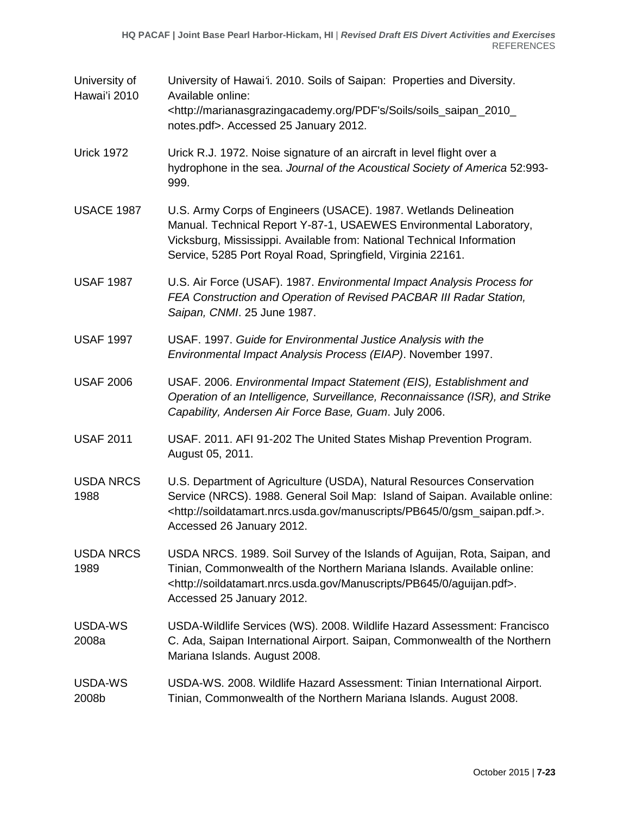| University of<br>Hawai'i 2010 | University of Hawai i. 2010. Soils of Saipan: Properties and Diversity.<br>Available online:<br><http: marianasgrazingacademy.org="" pdf's="" soils="" soils_saipan_2010_<br="">notes.pdf&gt;. Accessed 25 January 2012.</http:>                                                     |
|-------------------------------|--------------------------------------------------------------------------------------------------------------------------------------------------------------------------------------------------------------------------------------------------------------------------------------|
| <b>Urick 1972</b>             | Urick R.J. 1972. Noise signature of an aircraft in level flight over a<br>hydrophone in the sea. Journal of the Acoustical Society of America 52:993-<br>999.                                                                                                                        |
| <b>USACE 1987</b>             | U.S. Army Corps of Engineers (USACE). 1987. Wetlands Delineation<br>Manual. Technical Report Y-87-1, USAEWES Environmental Laboratory,<br>Vicksburg, Mississippi. Available from: National Technical Information<br>Service, 5285 Port Royal Road, Springfield, Virginia 22161.      |
| <b>USAF 1987</b>              | U.S. Air Force (USAF). 1987. Environmental Impact Analysis Process for<br>FEA Construction and Operation of Revised PACBAR III Radar Station,<br>Saipan, CNMI. 25 June 1987.                                                                                                         |
| <b>USAF 1997</b>              | USAF. 1997. Guide for Environmental Justice Analysis with the<br>Environmental Impact Analysis Process (EIAP). November 1997.                                                                                                                                                        |
| <b>USAF 2006</b>              | USAF. 2006. Environmental Impact Statement (EIS), Establishment and<br>Operation of an Intelligence, Surveillance, Reconnaissance (ISR), and Strike<br>Capability, Andersen Air Force Base, Guam. July 2006.                                                                         |
| <b>USAF 2011</b>              | USAF. 2011. AFI 91-202 The United States Mishap Prevention Program.<br>August 05, 2011.                                                                                                                                                                                              |
| <b>USDA NRCS</b><br>1988      | U.S. Department of Agriculture (USDA), Natural Resources Conservation<br>Service (NRCS). 1988. General Soil Map: Island of Saipan. Available online:<br><http: 0="" gsm_saipan.pdf.="" manuscripts="" pb645="" soildatamart.nrcs.usda.gov="">.<br/>Accessed 26 January 2012.</http:> |
| <b>USDA NRCS</b><br>1989      | USDA NRCS. 1989. Soil Survey of the Islands of Aguijan, Rota, Saipan, and<br>Tinian, Commonwealth of the Northern Mariana Islands. Available online:<br><http: 0="" aguijan.pdf="" manuscripts="" pb645="" soildatamart.nrcs.usda.gov="">.<br/>Accessed 25 January 2012.</http:>     |
| USDA-WS<br>2008a              | USDA-Wildlife Services (WS). 2008. Wildlife Hazard Assessment: Francisco<br>C. Ada, Saipan International Airport. Saipan, Commonwealth of the Northern<br>Mariana Islands. August 2008.                                                                                              |
| USDA-WS<br>2008b              | USDA-WS. 2008. Wildlife Hazard Assessment: Tinian International Airport.<br>Tinian, Commonwealth of the Northern Mariana Islands. August 2008.                                                                                                                                       |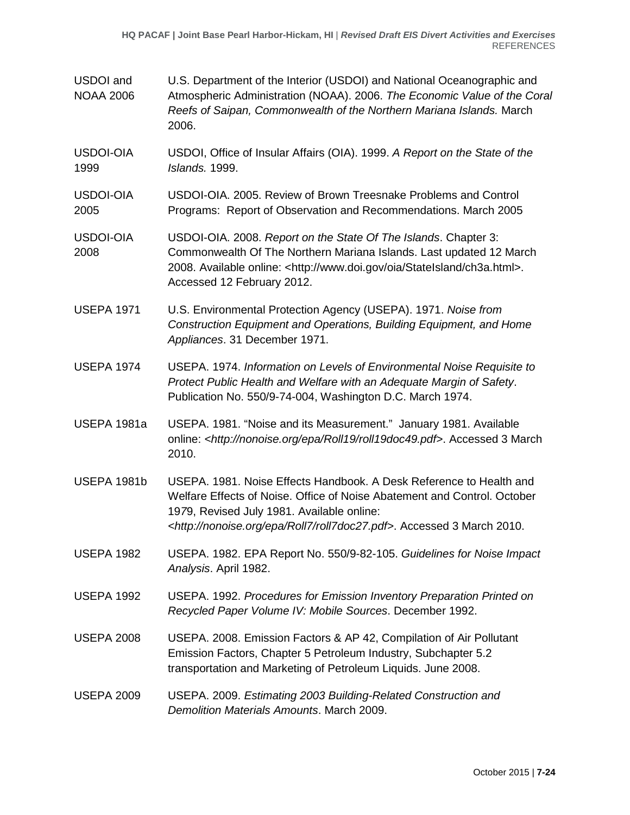USDOI and NOAA 2006 U.S. Department of the Interior (USDOI) and National Oceanographic and Atmospheric Administration (NOAA). 2006. *The Economic Value of the Coral Reefs of Saipan, Commonwealth of the Northern Mariana Islands.* March 2006. USDOI-OIA 1999 USDOI, Office of Insular Affairs (OIA). 1999. *A Report on the State of the Islands.* 1999. USDOI-OIA 2005 USDOI-OIA. 2005. Review of Brown Treesnake Problems and Control Programs: Report of Observation and Recommendations. March 2005 USDOI-OIA 2008 USDOI-OIA. 2008. *Report on the State Of The Islands*. Chapter 3: Commonwealth Of The Northern Mariana Islands. Last updated 12 March 2008. Available online: <http://www.doi.gov/oia/StateIsland/ch3a.html>. Accessed 12 February 2012. USEPA 1971 U.S. Environmental Protection Agency (USEPA). 1971. *Noise from Construction Equipment and Operations, Building Equipment, and Home Appliances*. 31 December 1971. USEPA 1974 USEPA. 1974. *Information on Levels of Environmental Noise Requisite to Protect Public Health and Welfare with an Adequate Margin of Safety*. Publication No. 550/9-74-004, Washington D.C. March 1974. USEPA 1981a USEPA. 1981. "Noise and its Measurement." January 1981. Available online: *<http://nonoise.org/epa/Roll19/roll19doc49.pdf>*. Accessed 3 March 2010. USEPA 1981b USEPA. 1981. Noise Effects Handbook. A Desk Reference to Health and Welfare Effects of Noise. Office of Noise Abatement and Control. October 19*7*9, Revised July 1981. Available online: *<http://nonoise.org/epa/Roll7/roll7doc27.pdf>*. Accessed 3 March 2010. USEPA 1982 USEPA. 1982. EPA Report No. 550/9-82-105. *Guidelines for Noise Impact Analysis*. April 1982. USEPA 1992 USEPA. 1992. *Procedures for Emission Inventory Preparation Printed on Recycled Paper Volume IV: Mobile Sources*. December 1992. USEPA 2008 USEPA. 2008. Emission Factors & AP 42, Compilation of Air Pollutant Emission Factors, Chapter 5 Petroleum Industry, Subchapter 5.2 transportation and Marketing of Petroleum Liquids. June 2008. USEPA 2009 USEPA. 2009. *Estimating 2003 Building-Related Construction and Demolition Materials Amounts*. March 2009.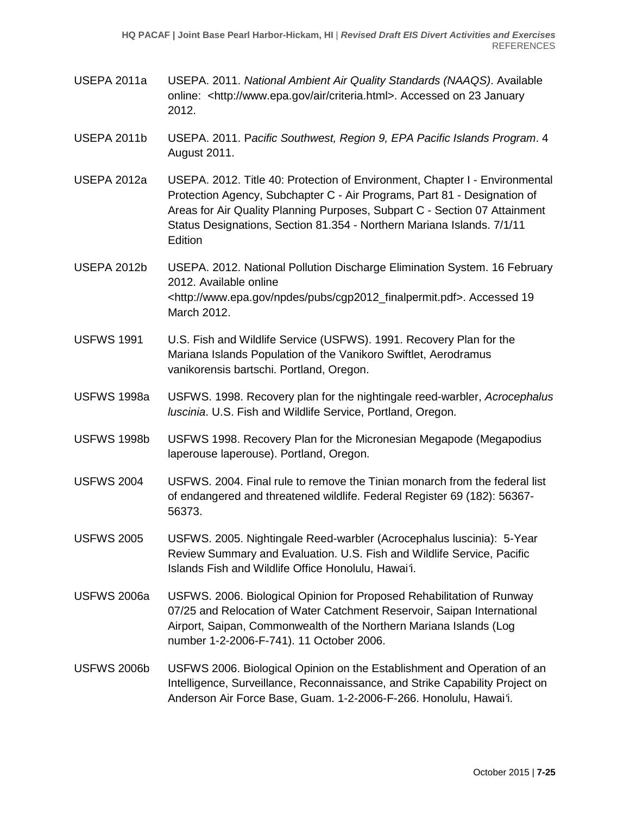- USEPA 2011a USEPA. 2011. *National Ambient Air Quality Standards (NAAQS)*. Available online: <http://www.epa.gov/air/criteria.html>. Accessed on 23 January 2012.
- USEPA 2011b USEPA. 2011. P*acific Southwest, Region 9, EPA Pacific Islands Program*. 4 August 2011.
- USEPA 2012a USEPA. 2012. Title 40: Protection of Environment, Chapter I Environmental Protection Agency, Subchapter C - Air Programs, Part 81 - Designation of Areas for Air Quality Planning Purposes, Subpart C - Section 07 Attainment Status Designations, Section 81.354 - Northern Mariana Islands. 7/1/11 **Edition**
- USEPA 2012b USEPA. 2012. National Pollution Discharge Elimination System. 16 February 2012. Available online <http://www.epa.gov/npdes/pubs/cgp2012\_finalpermit.pdf>. Accessed 19 March 2012.
- USFWS 1991 U.S. Fish and Wildlife Service (USFWS). 1991. Recovery Plan for the Mariana Islands Population of the Vanikoro Swiftlet, Aerodramus vanikorensis bartschi. Portland, Oregon.
- USFWS 1998a USFWS. 1998. Recovery plan for the nightingale reed-warbler, *Acrocephalus luscinia*. U.S. Fish and Wildlife Service, Portland, Oregon.
- USFWS 1998b USFWS 1998. Recovery Plan for the Micronesian Megapode (Megapodius laperouse laperouse). Portland, Oregon.
- USFWS 2004 USFWS. 2004. Final rule to remove the Tinian monarch from the federal list of endangered and threatened wildlife. Federal Register 69 (182): 56367- 56373.
- USFWS 2005 USFWS. 2005. Nightingale Reed-warbler (Acrocephalus luscinia): 5-Year Review Summary and Evaluation. U.S. Fish and Wildlife Service, Pacific Islands Fish and Wildlife Office Honolulu, Hawai*'*i.
- USFWS 2006a USFWS. 2006. Biological Opinion for Proposed Rehabilitation of Runway 07/25 and Relocation of Water Catchment Reservoir, Saipan International Airport, Saipan, Commonwealth of the Northern Mariana Islands (Log number 1-2-2006-F-741). 11 October 2006.
- USFWS 2006b USFWS 2006. Biological Opinion on the Establishment and Operation of an Intelligence, Surveillance, Reconnaissance, and Strike Capability Project on Anderson Air Force Base, Guam. 1-2-2006-F-266. Honolulu, Hawai*'*i.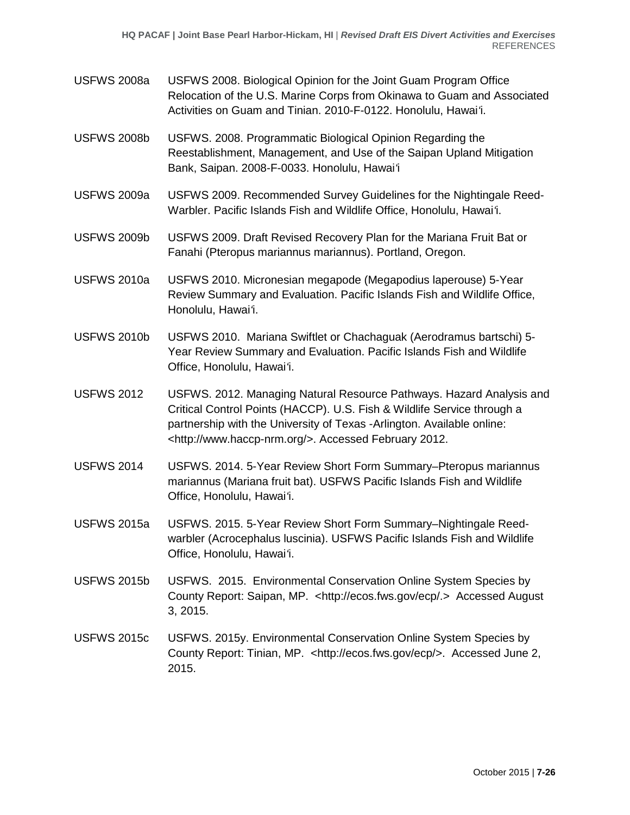- USFWS 2008a USFWS 2008. Biological Opinion for the Joint Guam Program Office Relocation of the U.S. Marine Corps from Okinawa to Guam and Associated Activities on Guam and Tinian. 2010-F-0122. Honolulu, Hawai*'*i.
- USFWS 2008b USFWS. 2008. Programmatic Biological Opinion Regarding the Reestablishment, Management, and Use of the Saipan Upland Mitigation Bank, Saipan. 2008-F-0033. Honolulu, Hawai*'*i
- USFWS 2009a USFWS 2009. Recommended Survey Guidelines for the Nightingale Reed-Warbler. Pacific Islands Fish and Wildlife Office, Honolulu, Hawai*'*i.
- USFWS 2009b USFWS 2009. Draft Revised Recovery Plan for the Mariana Fruit Bat or Fanahi (Pteropus mariannus mariannus). Portland, Oregon.
- USFWS 2010a USFWS 2010. Micronesian megapode (Megapodius laperouse) 5-Year Review Summary and Evaluation. Pacific Islands Fish and Wildlife Office, Honolulu, Hawai*'*i.
- USFWS 2010b USFWS 2010. Mariana Swiftlet or Chachaguak (Aerodramus bartschi) 5- Year Review Summary and Evaluation. Pacific Islands Fish and Wildlife Office, Honolulu, Hawai*'*i.
- USFWS 2012 USFWS. 2012. Managing Natural Resource Pathways. Hazard Analysis and Critical Control Points (HACCP). U.S. Fish & Wildlife Service through a partnership with the University of Texas -Arlington. Available online: <http://www.haccp-nrm.org/>. Accessed February 2012.
- USFWS 2014 USFWS. 2014. 5-Year Review Short Form Summary–Pteropus mariannus mariannus (Mariana fruit bat). USFWS Pacific Islands Fish and Wildlife Office, Honolulu, Hawai*'*i.
- USFWS 2015a USFWS. 2015. 5-Year Review Short Form Summary–Nightingale Reedwarbler (Acrocephalus luscinia). USFWS Pacific Islands Fish and Wildlife Office, Honolulu, Hawai*'*i.
- USFWS 2015b USFWS. 2015. Environmental Conservation Online System Species by County Report: Saipan, MP. [<http://ecos.fws.gov/ecp/.](http://ecos.fws.gov/ecp/)> Accessed August 3, 2015.
- USFWS 2015c USFWS. 2015y. Environmental Conservation Online System Species by County Report: Tinian, MP. [<http://ecos.fws.gov/ecp/>](http://ecos.fws.gov/ecp/). Accessed June 2, 2015.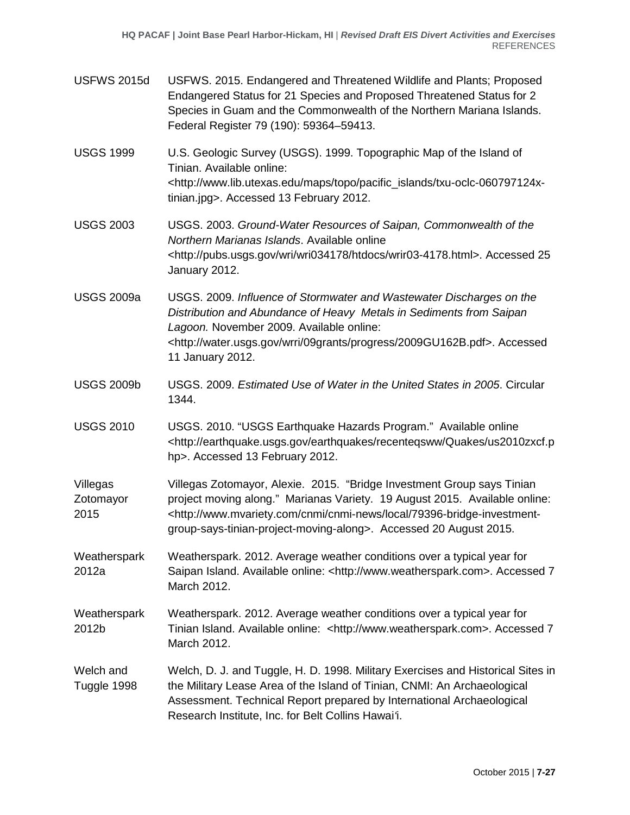- USFWS 2015d USFWS. 2015. Endangered and Threatened Wildlife and Plants; Proposed Endangered Status for 21 Species and Proposed Threatened Status for 2 Species in Guam and the Commonwealth of the Northern Mariana Islands. Federal Register 79 (190): 59364–59413.
- USGS 1999 U.S. Geologic Survey (USGS). 1999. Topographic Map of the Island of Tinian. Available online: <http://www.lib.utexas.edu/maps/topo/pacific\_islands/txu-oclc-060797124xtinian.jpg>. Accessed 13 February 2012.
- USGS 2003 USGS. 2003. *Ground-Water Resources of Saipan, Commonwealth of the Northern Marianas Islands*. Available online <http://pubs.usgs.gov/wri/wri034178/htdocs/wrir03-4178.html>. Accessed 25 January 2012.
- USGS 2009a USGS. 2009. *Influence of Stormwater and Wastewater Discharges on the Distribution and Abundance of Heavy Metals in Sediments from Saipan Lagoon.* November 2009. Available online: <http://water.usgs.gov/wrri/09grants/progress/2009GU162B.pdf>. Accessed 11 January 2012.
- USGS 2009b USGS. 2009. *Estimated Use of Water in the United States in 2005*. Circular 1344.
- USGS 2010 USGS. 2010. "USGS Earthquake Hazards Program." Available online <http://earthquake.usgs.gov/earthquakes/recenteqsww/Quakes/us2010zxcf.p hp>. Accessed 13 February 2012.
- Villegas Zotomayor 2015 Villegas Zotomayor, Alexie. 2015. "Bridge Investment Group says Tinian project moving along." Marianas Variety. 19 August 2015. Available online: <http://www.mvariety.com/cnmi/cnmi-news/local/79396-bridge-investmentgroup-says-tinian-project-moving-along>. Accessed 20 August 2015.
- **Weatherspark** 2012a Weatherspark. 2012. Average weather conditions over a typical year for Saipan Island. Available online: <http://www.weatherspark.com>. Accessed 7 March 2012.
- **Weatherspark** 2012b Weatherspark. 2012. Average weather conditions over a typical year for Tinian Island. Available online: <http://www.weatherspark.com>. Accessed 7 March 2012.
- Welch and Tuggle 1998 Welch, D. J. and Tuggle, H. D. 1998. Military Exercises and Historical Sites in the Military Lease Area of the Island of Tinian, CNMI: An Archaeological Assessment. Technical Report prepared by International Archaeological Research Institute, Inc. for Belt Collins Hawai*'*i.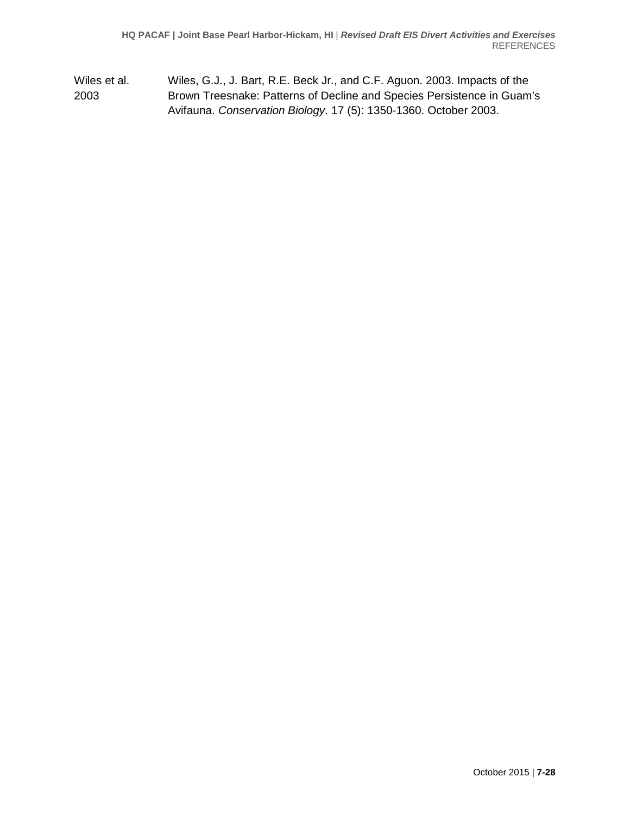Wiles et al. 2003 Wiles, G.J., J. Bart, R.E. Beck Jr., and C.F. Aguon. 2003. Impacts of the Brown Treesnake: Patterns of Decline and Species Persistence in Guam's Avifauna. *Conservation Biology*. 17 (5): 1350-1360. October 2003.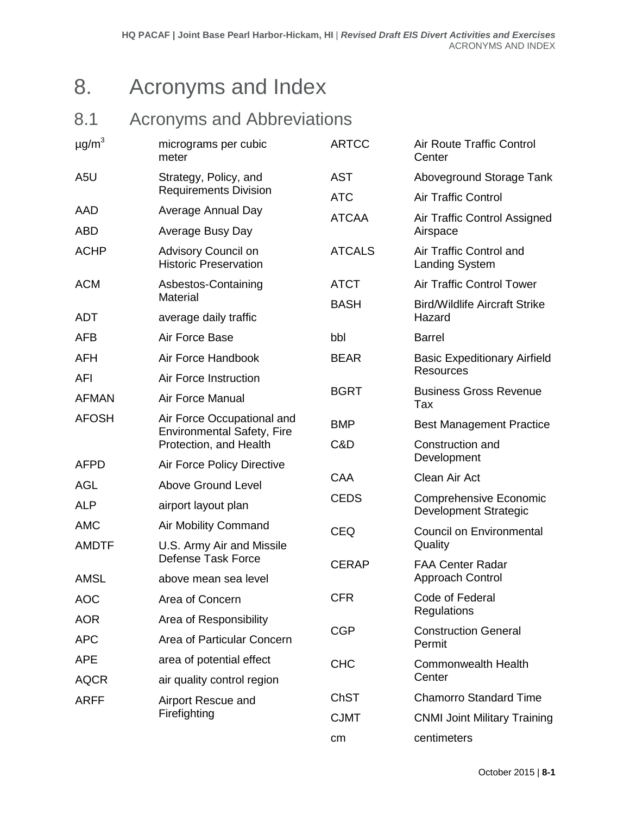# 8. Acronyms and Index

## 8.1 Acronyms and Abbreviations

| $\mu$ g/m <sup>3</sup> | micrograms per cubic<br>meter                                                             | <b>ARTCC</b>  | <b>Air Route Traffic Control</b><br>Center             |
|------------------------|-------------------------------------------------------------------------------------------|---------------|--------------------------------------------------------|
| A <sub>5U</sub>        | Strategy, Policy, and<br><b>Requirements Division</b>                                     | <b>AST</b>    | Aboveground Storage Tank                               |
|                        |                                                                                           | <b>ATC</b>    | <b>Air Traffic Control</b>                             |
| AAD                    | Average Annual Day                                                                        | <b>ATCAA</b>  | Air Traffic Control Assigned                           |
| <b>ABD</b>             | Average Busy Day                                                                          |               | Airspace                                               |
| <b>ACHP</b>            | Advisory Council on<br><b>Historic Preservation</b>                                       | <b>ATCALS</b> | Air Traffic Control and<br><b>Landing System</b>       |
| <b>ACM</b>             | Asbestos-Containing<br>Material                                                           | <b>ATCT</b>   | <b>Air Traffic Control Tower</b>                       |
| <b>ADT</b>             | average daily traffic                                                                     | <b>BASH</b>   | <b>Bird/Wildlife Aircraft Strike</b><br>Hazard         |
| <b>AFB</b>             | Air Force Base                                                                            | bbl           | <b>Barrel</b>                                          |
| <b>AFH</b>             | Air Force Handbook                                                                        | <b>BEAR</b>   | <b>Basic Expeditionary Airfield</b>                    |
| <b>AFI</b>             | Air Force Instruction                                                                     |               | <b>Resources</b>                                       |
| <b>AFMAN</b>           | Air Force Manual                                                                          | <b>BGRT</b>   | <b>Business Gross Revenue</b><br>Tax                   |
| <b>AFOSH</b>           | Air Force Occupational and<br><b>Environmental Safety, Fire</b><br>Protection, and Health | <b>BMP</b>    | <b>Best Management Practice</b>                        |
|                        |                                                                                           | C&D           | Construction and<br>Development                        |
| <b>AFPD</b>            | Air Force Policy Directive                                                                |               |                                                        |
| <b>AGL</b>             | <b>Above Ground Level</b>                                                                 | CAA           | Clean Air Act                                          |
| <b>ALP</b>             | airport layout plan                                                                       | <b>CEDS</b>   | <b>Comprehensive Economic</b><br>Development Strategic |
| <b>AMC</b>             | Air Mobility Command                                                                      | <b>CEQ</b>    | <b>Council on Environmental</b>                        |
| <b>AMDTF</b>           | U.S. Army Air and Missile                                                                 |               | Quality                                                |
|                        | <b>Defense Task Force</b>                                                                 | <b>CERAP</b>  | <b>FAA Center Radar</b>                                |
| AMSL                   | above mean sea level                                                                      |               | <b>Approach Control</b>                                |
| <b>AOC</b>             | Area of Concern                                                                           | <b>CFR</b>    | Code of Federal<br><b>Regulations</b>                  |
| <b>AOR</b>             | Area of Responsibility                                                                    | <b>CGP</b>    | <b>Construction General</b><br>Permit                  |
| <b>APC</b>             | Area of Particular Concern                                                                |               |                                                        |
| <b>APE</b>             | area of potential effect                                                                  | <b>CHC</b>    | <b>Commonwealth Health</b>                             |
| <b>AQCR</b>            | air quality control region                                                                |               | Center                                                 |
| <b>ARFF</b>            | Airport Rescue and<br>Firefighting                                                        | <b>ChST</b>   | <b>Chamorro Standard Time</b>                          |
|                        |                                                                                           | <b>CJMT</b>   | <b>CNMI Joint Military Training</b>                    |
|                        |                                                                                           | cm            | centimeters                                            |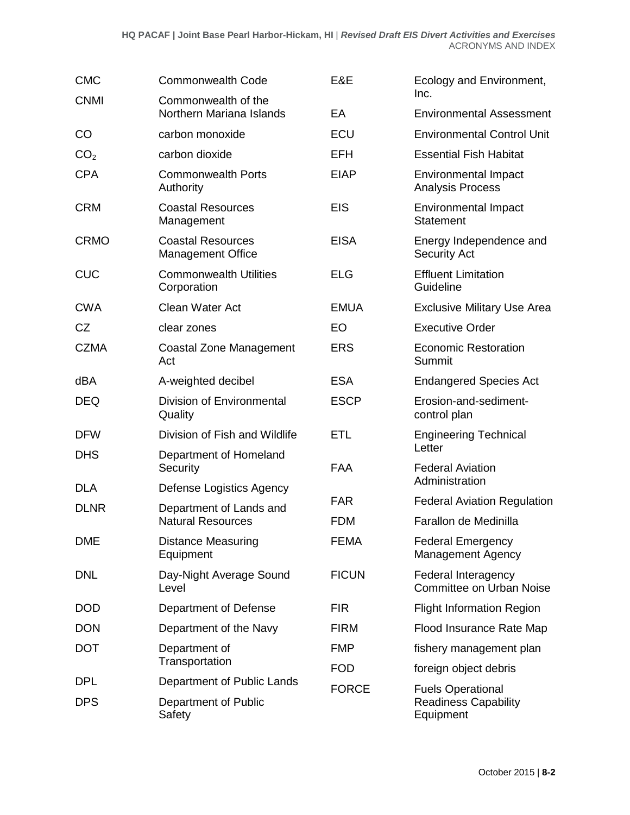| <b>CMC</b>      | <b>Commonwealth Code</b>                             | E&E          | Ecology and Environment,                               |
|-----------------|------------------------------------------------------|--------------|--------------------------------------------------------|
| <b>CNMI</b>     | Commonwealth of the<br>Northern Mariana Islands      | EA           | Inc.<br><b>Environmental Assessment</b>                |
| CO              | carbon monoxide                                      | <b>ECU</b>   | <b>Environmental Control Unit</b>                      |
| CO <sub>2</sub> | carbon dioxide                                       | <b>EFH</b>   | <b>Essential Fish Habitat</b>                          |
| <b>CPA</b>      | <b>Commonwealth Ports</b><br>Authority               | <b>EIAP</b>  | <b>Environmental Impact</b><br><b>Analysis Process</b> |
| <b>CRM</b>      | <b>Coastal Resources</b><br>Management               | <b>EIS</b>   | <b>Environmental Impact</b><br>Statement               |
| <b>CRMO</b>     | <b>Coastal Resources</b><br><b>Management Office</b> | <b>EISA</b>  | Energy Independence and<br><b>Security Act</b>         |
| <b>CUC</b>      | <b>Commonwealth Utilities</b><br>Corporation         | <b>ELG</b>   | <b>Effluent Limitation</b><br>Guideline                |
| <b>CWA</b>      | Clean Water Act                                      | <b>EMUA</b>  | <b>Exclusive Military Use Area</b>                     |
| CZ              | clear zones                                          | <b>EO</b>    | <b>Executive Order</b>                                 |
| <b>CZMA</b>     | <b>Coastal Zone Management</b><br>Act                | <b>ERS</b>   | <b>Economic Restoration</b><br>Summit                  |
| dBA             | A-weighted decibel                                   | <b>ESA</b>   | <b>Endangered Species Act</b>                          |
| <b>DEQ</b>      | Division of Environmental<br>Quality                 | <b>ESCP</b>  | Erosion-and-sediment-<br>control plan                  |
| <b>DFW</b>      | Division of Fish and Wildlife                        | <b>ETL</b>   | <b>Engineering Technical</b>                           |
| <b>DHS</b>      | Department of Homeland<br>Security                   | <b>FAA</b>   | Letter<br><b>Federal Aviation</b>                      |
| <b>DLA</b>      | Defense Logistics Agency                             |              | Administration                                         |
| <b>DLNR</b>     | Department of Lands and                              | <b>FAR</b>   | <b>Federal Aviation Regulation</b>                     |
|                 | <b>Natural Resources</b>                             | <b>FDM</b>   | Farallon de Medinilla                                  |
| <b>DME</b>      | <b>Distance Measuring</b><br>Equipment               | <b>FEMA</b>  | <b>Federal Emergency</b><br><b>Management Agency</b>   |
| <b>DNL</b>      | Day-Night Average Sound<br>Level                     | <b>FICUN</b> | Federal Interagency<br><b>Committee on Urban Noise</b> |
| <b>DOD</b>      | Department of Defense                                | <b>FIR</b>   | <b>Flight Information Region</b>                       |
| <b>DON</b>      | Department of the Navy                               | <b>FIRM</b>  | Flood Insurance Rate Map                               |
| <b>DOT</b>      | Department of                                        | <b>FMP</b>   | fishery management plan                                |
|                 | Transportation                                       | <b>FOD</b>   | foreign object debris                                  |
| <b>DPL</b>      | Department of Public Lands                           | <b>FORCE</b> | <b>Fuels Operational</b>                               |
| <b>DPS</b>      | Department of Public<br>Safety                       |              | <b>Readiness Capability</b><br>Equipment               |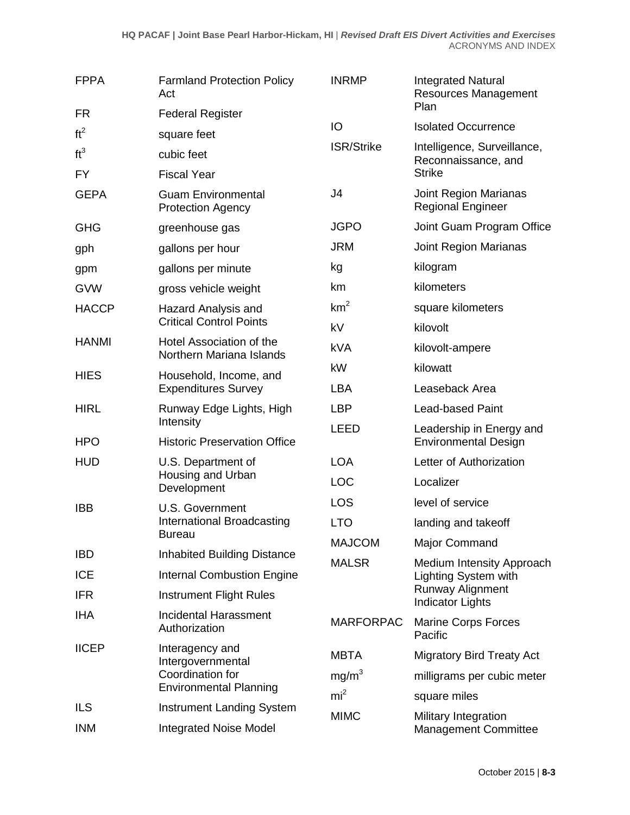| <b>FPPA</b>     | <b>Farmland Protection Policy</b><br>Act                                                  | <b>INRMP</b>      | <b>Integrated Natural</b><br><b>Resources Management</b> |
|-----------------|-------------------------------------------------------------------------------------------|-------------------|----------------------------------------------------------|
| FR.             | <b>Federal Register</b>                                                                   |                   | Plan                                                     |
| ft <sup>2</sup> | square feet                                                                               | IO                | <b>Isolated Occurrence</b>                               |
| $ft^3$          | cubic feet                                                                                | <b>ISR/Strike</b> | Intelligence, Surveillance,<br>Reconnaissance, and       |
| <b>FY</b>       | <b>Fiscal Year</b>                                                                        |                   | <b>Strike</b>                                            |
| <b>GEPA</b>     | <b>Guam Environmental</b><br><b>Protection Agency</b>                                     | J <sub>4</sub>    | <b>Joint Region Marianas</b><br><b>Regional Engineer</b> |
| <b>GHG</b>      | greenhouse gas                                                                            | <b>JGPO</b>       | Joint Guam Program Office                                |
| gph             | gallons per hour                                                                          | <b>JRM</b>        | <b>Joint Region Marianas</b>                             |
| gpm             | gallons per minute                                                                        | kg                | kilogram                                                 |
| <b>GVW</b>      | gross vehicle weight                                                                      | km                | kilometers                                               |
| <b>HACCP</b>    | Hazard Analysis and                                                                       | km <sup>2</sup>   | square kilometers                                        |
|                 | <b>Critical Control Points</b>                                                            | kV                | kilovolt                                                 |
| <b>HANMI</b>    | Hotel Association of the<br>Northern Mariana Islands                                      | <b>kVA</b>        | kilovolt-ampere                                          |
| <b>HIES</b>     | Household, Income, and                                                                    | kW                | kilowatt                                                 |
|                 | <b>Expenditures Survey</b>                                                                | <b>LBA</b>        | Leaseback Area                                           |
| <b>HIRL</b>     | Runway Edge Lights, High                                                                  | <b>LBP</b>        | Lead-based Paint                                         |
| <b>HPO</b>      | Intensity<br><b>Historic Preservation Office</b>                                          | LEED              | Leadership in Energy and<br><b>Environmental Design</b>  |
| <b>HUD</b>      | U.S. Department of<br>Housing and Urban<br>Development                                    | <b>LOA</b>        | Letter of Authorization                                  |
|                 |                                                                                           | <b>LOC</b>        | Localizer                                                |
| <b>IBB</b>      | U.S. Government                                                                           | <b>LOS</b>        | level of service                                         |
|                 | <b>International Broadcasting</b>                                                         | <b>LTO</b>        | landing and takeoff                                      |
|                 | <b>Bureau</b>                                                                             | <b>MAJCOM</b>     | <b>Major Command</b>                                     |
| <b>IBD</b>      | <b>Inhabited Building Distance</b>                                                        | <b>MALSR</b>      | Medium Intensity Approach                                |
| <b>ICE</b>      | <b>Internal Combustion Engine</b>                                                         |                   | Lighting System with                                     |
| <b>IFR</b>      | <b>Instrument Flight Rules</b>                                                            |                   | <b>Runway Alignment</b><br><b>Indicator Lights</b>       |
| <b>IHA</b>      | <b>Incidental Harassment</b><br>Authorization                                             | <b>MARFORPAC</b>  | <b>Marine Corps Forces</b><br>Pacific                    |
| <b>IICEP</b>    | Interagency and<br>Intergovernmental<br>Coordination for<br><b>Environmental Planning</b> | <b>MBTA</b>       | <b>Migratory Bird Treaty Act</b>                         |
|                 |                                                                                           | mg/m <sup>3</sup> | milligrams per cubic meter                               |
|                 |                                                                                           | mi <sup>2</sup>   | square miles                                             |
| <b>ILS</b>      | <b>Instrument Landing System</b>                                                          | <b>MIMC</b>       | Military Integration                                     |
| <b>INM</b>      | <b>Integrated Noise Model</b>                                                             |                   | <b>Management Committee</b>                              |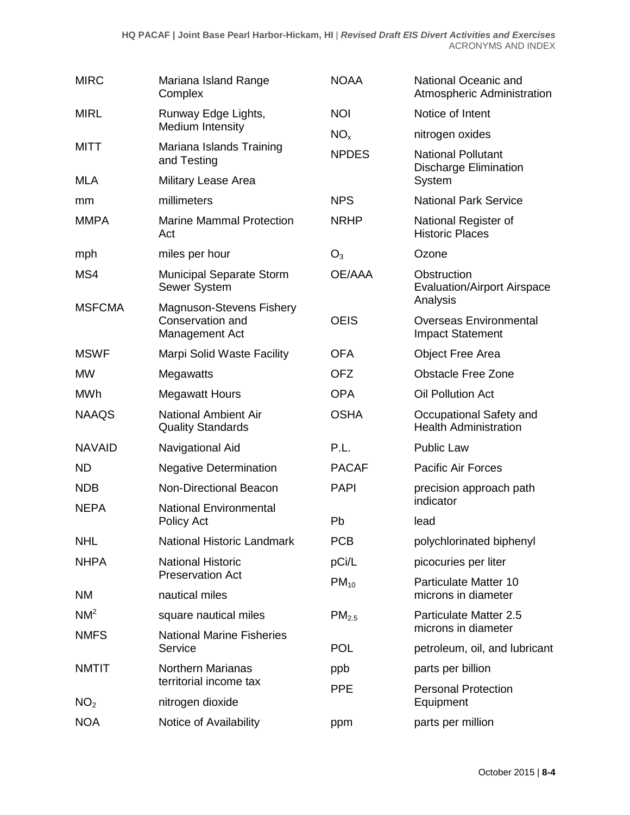| <b>MIRC</b>     | Mariana Island Range<br>Complex                                | <b>NOAA</b>       | National Oceanic and<br>Atmospheric Administration                  |
|-----------------|----------------------------------------------------------------|-------------------|---------------------------------------------------------------------|
| <b>MIRL</b>     | Runway Edge Lights,                                            | <b>NOI</b>        | Notice of Intent                                                    |
|                 | Medium Intensity                                               | NO <sub>x</sub>   | nitrogen oxides                                                     |
| <b>MITT</b>     | Mariana Islands Training<br>and Testing                        | <b>NPDES</b>      | <b>National Pollutant</b><br><b>Discharge Elimination</b><br>System |
| MLA             | Military Lease Area                                            |                   |                                                                     |
| mm              | millimeters                                                    | <b>NPS</b>        | <b>National Park Service</b>                                        |
| <b>MMPA</b>     | <b>Marine Mammal Protection</b><br>Act                         | <b>NRHP</b>       | National Register of<br><b>Historic Places</b>                      |
| mph             | miles per hour                                                 | $O_3$             | Ozone                                                               |
| MS4             | <b>Municipal Separate Storm</b><br>Sewer System                | OE/AAA            | Obstruction<br><b>Evaluation/Airport Airspace</b><br>Analysis       |
| <b>MSFCMA</b>   | Magnuson-Stevens Fishery<br>Conservation and<br>Management Act | <b>OEIS</b>       | <b>Overseas Environmental</b><br><b>Impact Statement</b>            |
| <b>MSWF</b>     | Marpi Solid Waste Facility                                     | <b>OFA</b>        | <b>Object Free Area</b>                                             |
| <b>MW</b>       | Megawatts                                                      | <b>OFZ</b>        | <b>Obstacle Free Zone</b>                                           |
| <b>MWh</b>      | <b>Megawatt Hours</b>                                          | <b>OPA</b>        | <b>Oil Pollution Act</b>                                            |
| <b>NAAQS</b>    | <b>National Ambient Air</b><br><b>Quality Standards</b>        | <b>OSHA</b>       | Occupational Safety and<br><b>Health Administration</b>             |
| <b>NAVAID</b>   | Navigational Aid                                               | P.L.              | <b>Public Law</b>                                                   |
| ND.             | <b>Negative Determination</b>                                  | <b>PACAF</b>      | <b>Pacific Air Forces</b>                                           |
| <b>NDB</b>      | <b>Non-Directional Beacon</b>                                  | <b>PAPI</b>       | precision approach path<br>indicator                                |
| <b>NEPA</b>     | <b>National Environmental</b><br>Policy Act                    | Pb                | lead                                                                |
| <b>NHL</b>      | <b>National Historic Landmark</b>                              | <b>PCB</b>        | polychlorinated biphenyl                                            |
| <b>NHPA</b>     | <b>National Historic</b>                                       | pCi/L             | picocuries per liter                                                |
|                 | <b>Preservation Act</b>                                        | $PM_{10}$         | Particulate Matter 10                                               |
| <b>NM</b>       | nautical miles                                                 |                   | microns in diameter                                                 |
| $NM^2$          | square nautical miles                                          | PM <sub>2.5</sub> | <b>Particulate Matter 2.5</b><br>microns in diameter                |
| <b>NMFS</b>     | <b>National Marine Fisheries</b><br>Service                    | <b>POL</b>        | petroleum, oil, and lubricant                                       |
| <b>NMTIT</b>    | <b>Northern Marianas</b><br>territorial income tax             | ppb               | parts per billion                                                   |
|                 |                                                                | <b>PPE</b>        | <b>Personal Protection</b>                                          |
| NO <sub>2</sub> | nitrogen dioxide                                               |                   | Equipment                                                           |
| <b>NOA</b>      | Notice of Availability                                         | ppm               | parts per million                                                   |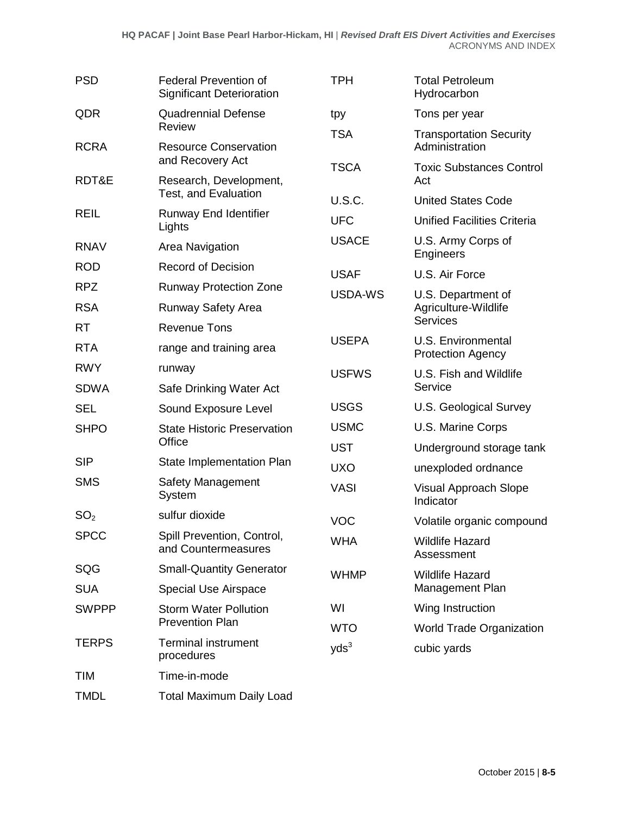| <b>PSD</b>      | <b>Federal Prevention of</b><br><b>Significant Deterioration</b> | <b>TPH</b>       | <b>Total Petroleum</b><br>Hydrocarbon                 |
|-----------------|------------------------------------------------------------------|------------------|-------------------------------------------------------|
| QDR             | <b>Quadrennial Defense</b>                                       | tpy              | Tons per year                                         |
| <b>RCRA</b>     | <b>Review</b><br><b>Resource Conservation</b>                    | <b>TSA</b>       | <b>Transportation Security</b><br>Administration      |
| RDT&E           | and Recovery Act<br>Research, Development,                       | <b>TSCA</b>      | <b>Toxic Substances Control</b><br>Act                |
|                 | Test, and Evaluation                                             | <b>U.S.C.</b>    | <b>United States Code</b>                             |
| <b>REIL</b>     | Runway End Identifier<br>Lights                                  | <b>UFC</b>       | <b>Unified Facilities Criteria</b>                    |
| <b>RNAV</b>     | Area Navigation                                                  | <b>USACE</b>     | U.S. Army Corps of<br>Engineers                       |
| <b>ROD</b>      | <b>Record of Decision</b>                                        | <b>USAF</b>      | U.S. Air Force                                        |
| <b>RPZ</b>      | <b>Runway Protection Zone</b>                                    | USDA-WS          | U.S. Department of                                    |
| <b>RSA</b>      | <b>Runway Safety Area</b>                                        |                  | Agriculture-Wildlife                                  |
| <b>RT</b>       | <b>Revenue Tons</b>                                              | <b>USEPA</b>     | <b>Services</b>                                       |
| <b>RTA</b>      | range and training area                                          |                  | <b>U.S. Environmental</b><br><b>Protection Agency</b> |
| <b>RWY</b>      | runway                                                           | <b>USFWS</b>     | U.S. Fish and Wildlife<br>Service                     |
| <b>SDWA</b>     | Safe Drinking Water Act                                          |                  |                                                       |
| <b>SEL</b>      | Sound Exposure Level                                             | <b>USGS</b>      | U.S. Geological Survey                                |
| <b>SHPO</b>     | <b>State Historic Preservation</b>                               | <b>USMC</b>      | U.S. Marine Corps                                     |
|                 | Office                                                           | <b>UST</b>       | Underground storage tank                              |
| <b>SIP</b>      | State Implementation Plan                                        | <b>UXO</b>       | unexploded ordnance                                   |
| <b>SMS</b>      | Safety Management<br>System                                      | <b>VASI</b>      | <b>Visual Approach Slope</b><br>Indicator             |
| SO <sub>2</sub> | sulfur dioxide                                                   | <b>VOC</b>       | Volatile organic compound                             |
| <b>SPCC</b>     | Spill Prevention, Control,<br>and Countermeasures                | <b>WHA</b>       | <b>Wildlife Hazard</b><br>Assessment                  |
| SQG             | <b>Small-Quantity Generator</b>                                  | <b>WHMP</b>      | <b>Wildlife Hazard</b><br>Management Plan             |
| <b>SUA</b>      | <b>Special Use Airspace</b>                                      |                  |                                                       |
| <b>SWPPP</b>    | <b>Storm Water Pollution</b><br><b>Prevention Plan</b>           | WI               | Wing Instruction                                      |
|                 |                                                                  | <b>WTO</b>       | World Trade Organization                              |
| <b>TERPS</b>    | <b>Terminal instrument</b><br>procedures                         | yds <sup>3</sup> | cubic yards                                           |
| TIM             | Time-in-mode                                                     |                  |                                                       |
| <b>TMDL</b>     | <b>Total Maximum Daily Load</b>                                  |                  |                                                       |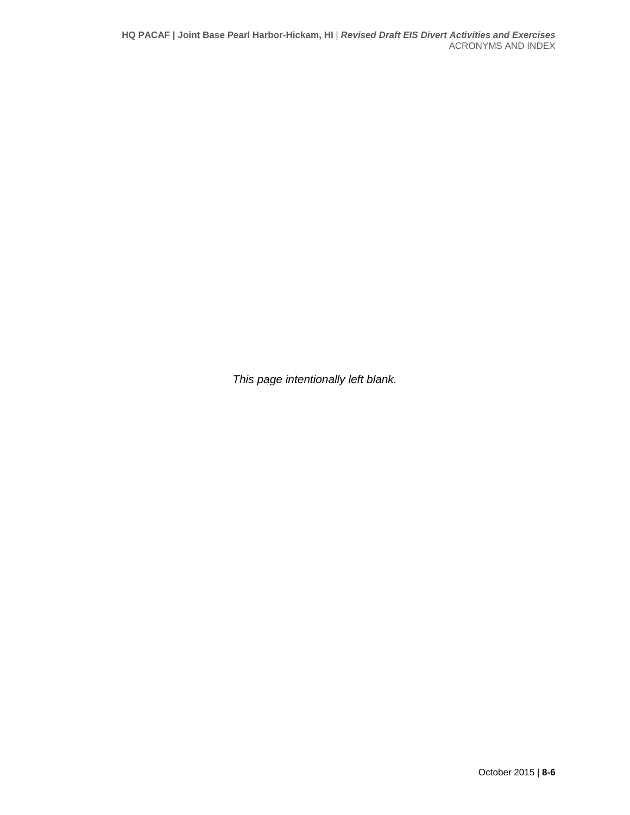*This page intentionally left blank.*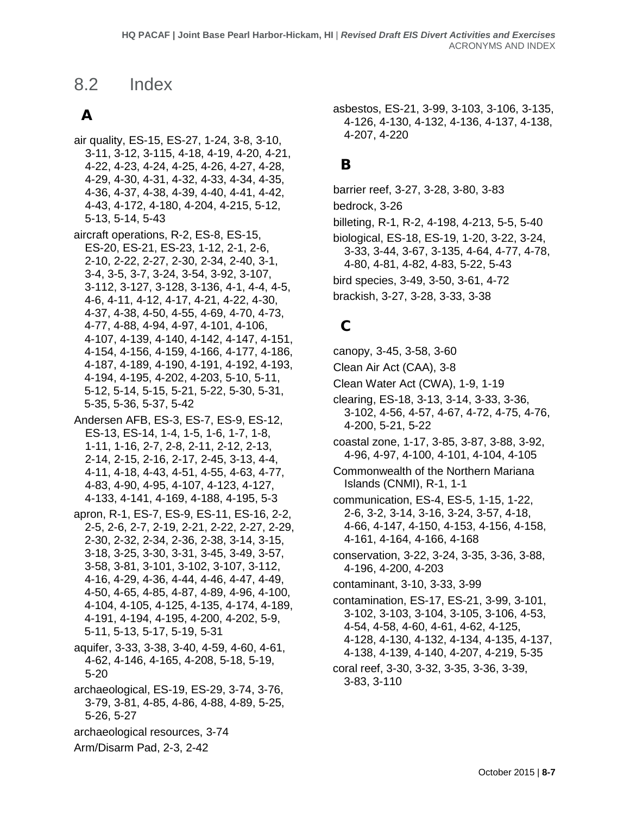#### 8.2 Index

#### A

air quality, ES-15, ES-27, 1-24, 3-8, 3-10, 3-11, 3-12, 3-115, 4-18, 4-19, 4-20, 4-21, 4-22, 4-23, 4-24, 4-25, 4-26, 4-27, 4-28, 4-29, 4-30, 4-31, 4-32, 4-33, 4-34, 4-35, 4-36, 4-37, 4-38, 4-39, 4-40, 4-41, 4-42, 4-43, 4-172, 4-180, 4-204, 4-215, 5-12, 5-13, 5-14, 5-43

aircraft operations, R-2, ES-8, ES-15, ES-20, ES-21, ES-23, 1-12, 2-1, 2-6, 2-10, 2-22, 2-27, 2-30, 2-34, 2-40, 3-1, 3-4, 3-5, 3-7, 3-24, 3-54, 3-92, 3-107, 3-112, 3-127, 3-128, 3-136, 4-1, 4-4, 4-5, 4-6, 4-11, 4-12, 4-17, 4-21, 4-22, 4-30, 4-37, 4-38, 4-50, 4-55, 4-69, 4-70, 4-73, 4-77, 4-88, 4-94, 4-97, 4-101, 4-106, 4-107, 4-139, 4-140, 4-142, 4-147, 4-151, 4-154, 4-156, 4-159, 4-166, 4-177, 4-186, 4-187, 4-189, 4-190, 4-191, 4-192, 4-193, 4-194, 4-195, 4-202, 4-203, 5-10, 5-11, 5-12, 5-14, 5-15, 5-21, 5-22, 5-30, 5-31, 5-35, 5-36, 5-37, 5-42

- Andersen AFB, ES-3, ES-7, ES-9, ES-12, ES-13, ES-14, 1-4, 1-5, 1-6, 1-7, 1-8, 1-11, 1-16, 2-7, 2-8, 2-11, 2-12, 2-13, 2-14, 2-15, 2-16, 2-17, 2-45, 3-13, 4-4, 4-11, 4-18, 4-43, 4-51, 4-55, 4-63, 4-77, 4-83, 4-90, 4-95, 4-107, 4-123, 4-127, 4-133, 4-141, 4-169, 4-188, 4-195, 5-3
- apron, R-1, ES-7, ES-9, ES-11, ES-16, 2-2, 2-5, 2-6, 2-7, 2-19, 2-21, 2-22, 2-27, 2-29, 2-30, 2-32, 2-34, 2-36, 2-38, 3-14, 3-15, 3-18, 3-25, 3-30, 3-31, 3-45, 3-49, 3-57, 3-58, 3-81, 3-101, 3-102, 3-107, 3-112, 4-16, 4-29, 4-36, 4-44, 4-46, 4-47, 4-49, 4-50, 4-65, 4-85, 4-87, 4-89, 4-96, 4-100, 4-104, 4-105, 4-125, 4-135, 4-174, 4-189, 4-191, 4-194, 4-195, 4-200, 4-202, 5-9, 5-11, 5-13, 5-17, 5-19, 5-31
- aquifer, 3-33, 3-38, 3-40, 4-59, 4-60, 4-61, 4-62, 4-146, 4-165, 4-208, 5-18, 5-19, 5-20
- archaeological, ES-19, ES-29, 3-74, 3-76, 3-79, 3-81, 4-85, 4-86, 4-88, 4-89, 5-25, 5-26, 5-27
- archaeological resources, 3-74
- Arm/Disarm Pad, 2-3, 2-42

asbestos, ES-21, 3-99, 3-103, 3-106, 3-135, 4-126, 4-130, 4-132, 4-136, 4-137, 4-138, 4-207, 4-220

#### B

barrier reef, 3-27, 3-28, 3-80, 3-83 bedrock, 3-26 billeting, R-1, R-2, 4-198, 4-213, 5-5, 5-40 biological, ES-18, ES-19, 1-20, 3-22, 3-24, 3-33, 3-44, 3-67, 3-135, 4-64, 4-77, 4-78, 4-80, 4-81, 4-82, 4-83, 5-22, 5-43 bird species, 3-49, 3-50, 3-61, 4-72 brackish, 3-27, 3-28, 3-33, 3-38

### C

canopy, 3-45, 3-58, 3-60 Clean Air Act (CAA), 3-8 Clean Water Act (CWA), 1-9, 1-19 clearing, ES-18, 3-13, 3-14, 3-33, 3-36, 3-102, 4-56, 4-57, 4-67, 4-72, 4-75, 4-76, 4-200, 5-21, 5-22 coastal zone, 1-17, 3-85, 3-87, 3-88, 3-92, 4-96, 4-97, 4-100, 4-101, 4-104, 4-105 Commonwealth of the Northern Mariana Islands (CNMI), R-1, 1-1 communication, ES-4, ES-5, 1-15, 1-22, 2-6, 3-2, 3-14, 3-16, 3-24, 3-57, 4-18, 4-66, 4-147, 4-150, 4-153, 4-156, 4-158, 4-161, 4-164, 4-166, 4-168 conservation, 3-22, 3-24, 3-35, 3-36, 3-88, 4-196, 4-200, 4-203 contaminant, 3-10, 3-33, 3-99 contamination, ES-17, ES-21, 3-99, 3-101, 3-102, 3-103, 3-104, 3-105, 3-106, 4-53, 4-54, 4-58, 4-60, 4-61, 4-62, 4-125, 4-128, 4-130, 4-132, 4-134, 4-135, 4-137, 4-138, 4-139, 4-140, 4-207, 4-219, 5-35 coral reef, 3-30, 3-32, 3-35, 3-36, 3-39, 3-83, 3-110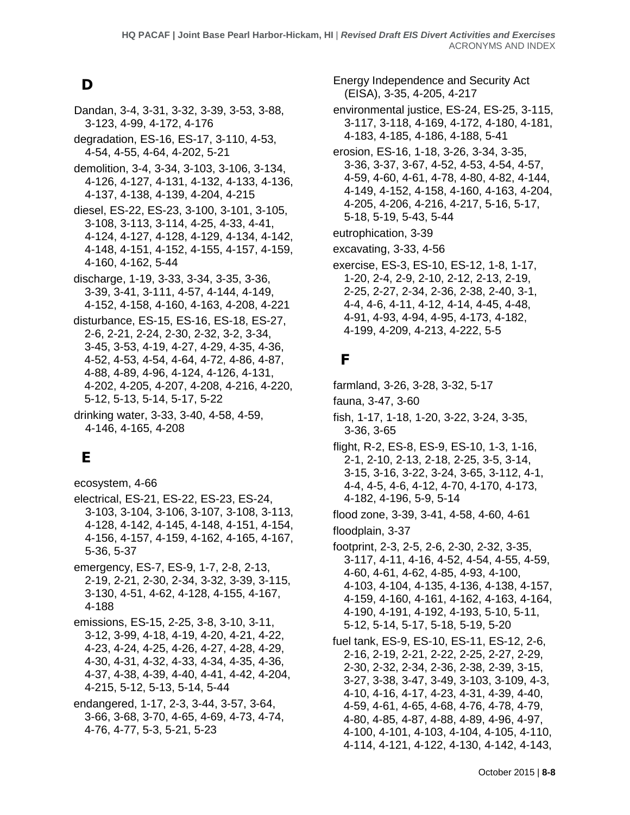## D

Dandan, 3-4, 3-31, 3-32, 3-39, 3-53, 3-88, 3-123, 4-99, 4-172, 4-176 degradation, ES-16, ES-17, 3-110, 4-53, 4-54, 4-55, 4-64, 4-202, 5-21 demolition, 3-4, 3-34, 3-103, 3-106, 3-134, 4-126, 4-127, 4-131, 4-132, 4-133, 4-136, 4-137, 4-138, 4-139, 4-204, 4-215 diesel, ES-22, ES-23, 3-100, 3-101, 3-105, 3-108, 3-113, 3-114, 4-25, 4-33, 4-41, 4-124, 4-127, 4-128, 4-129, 4-134, 4-142, 4-148, 4-151, 4-152, 4-155, 4-157, 4-159, 4-160, 4-162, 5-44 discharge, 1-19, 3-33, 3-34, 3-35, 3-36, 3-39, 3-41, 3-111, 4-57, 4-144, 4-149, 4-152, 4-158, 4-160, 4-163, 4-208, 4-221 disturbance, ES-15, ES-16, ES-18, ES-27, 2-6, 2-21, 2-24, 2-30, 2-32, 3-2, 3-34, 3-45, 3-53, 4-19, 4-27, 4-29, 4-35, 4-36, 4-52, 4-53, 4-54, 4-64, 4-72, 4-86, 4-87, 4-88, 4-89, 4-96, 4-124, 4-126, 4-131, 4-202, 4-205, 4-207, 4-208, 4-216, 4-220, 5-12, 5-13, 5-14, 5-17, 5-22 drinking water, 3-33, 3-40, 4-58, 4-59, 4-146, 4-165, 4-208 E ecosystem, 4-66 electrical, ES-21, ES-22, ES-23, ES-24, 3-103, 3-104, 3-106, 3-107, 3-108, 3-113, 4-128, 4-142, 4-145, 4-148, 4-151, 4-154, 4-156, 4-157, 4-159, 4-162, 4-165, 4-167, 5-36, 5-37 emergency, ES-7, ES-9, 1-7, 2-8, 2-13, 2-19, 2-21, 2-30, 2-34, 3-32, 3-39, 3-115, 3-130, 4-51, 4-62, 4-128, 4-155, 4-167, 4-188 emissions, ES-15, 2-25, 3-8, 3-10, 3-11, 3-12, 3-99, 4-18, 4-19, 4-20, 4-21, 4-22,

4-23, 4-24, 4-25, 4-26, 4-27, 4-28, 4-29, 4-30, 4-31, 4-32, 4-33, 4-34, 4-35, 4-36, 4-37, 4-38, 4-39, 4-40, 4-41, 4-42, 4-204, 4-215, 5-12, 5-13, 5-14, 5-44

endangered, 1-17, 2-3, 3-44, 3-57, 3-64, 3-66, 3-68, 3-70, 4-65, 4-69, 4-73, 4-74, 4-76, 4-77, 5-3, 5-21, 5-23

Energy Independence and Security Act (EISA), 3-35, 4-205, 4-217

environmental justice, ES-24, ES-25, 3-115, 3-117, 3-118, 4-169, 4-172, 4-180, 4-181, 4-183, 4-185, 4-186, 4-188, 5-41

erosion, ES-16, 1-18, 3-26, 3-34, 3-35, 3-36, 3-37, 3-67, 4-52, 4-53, 4-54, 4-57, 4-59, 4-60, 4-61, 4-78, 4-80, 4-82, 4-144, 4-149, 4-152, 4-158, 4-160, 4-163, 4-204, 4-205, 4-206, 4-216, 4-217, 5-16, 5-17, 5-18, 5-19, 5-43, 5-44

eutrophication, 3-39

excavating, 3-33, 4-56

exercise, ES-3, ES-10, ES-12, 1-8, 1-17, 1-20, 2-4, 2-9, 2-10, 2-12, 2-13, 2-19, 2-25, 2-27, 2-34, 2-36, 2-38, 2-40, 3-1, 4-4, 4-6, 4-11, 4-12, 4-14, 4-45, 4-48, 4-91, 4-93, 4-94, 4-95, 4-173, 4-182, 4-199, 4-209, 4-213, 4-222, 5-5

#### F

farmland, 3-26, 3-28, 3-32, 5-17 fauna, 3-47, 3-60 fish, 1-17, 1-18, 1-20, 3-22, 3-24, 3-35, 3-36, 3-65 flight, R-2, ES-8, ES-9, ES-10, 1-3, 1-16, 2-1, 2-10, 2-13, 2-18, 2-25, 3-5, 3-14, 3-15, 3-16, 3-22, 3-24, 3-65, 3-112, 4-1, 4-4, 4-5, 4-6, 4-12, 4-70, 4-170, 4-173, 4-182, 4-196, 5-9, 5-14 flood zone, 3-39, 3-41, 4-58, 4-60, 4-61 floodplain, 3-37 footprint, 2-3, 2-5, 2-6, 2-30, 2-32, 3-35, 3-117, 4-11, 4-16, 4-52, 4-54, 4-55, 4-59, 4-60, 4-61, 4-62, 4-85, 4-93, 4-100, 4-103, 4-104, 4-135, 4-136, 4-138, 4-157, 4-159, 4-160, 4-161, 4-162, 4-163, 4-164, 4-190, 4-191, 4-192, 4-193, 5-10, 5-11, 5-12, 5-14, 5-17, 5-18, 5-19, 5-20 fuel tank, ES-9, ES-10, ES-11, ES-12, 2-6, 2-16, 2-19, 2-21, 2-22, 2-25, 2-27, 2-29, 2-30, 2-32, 2-34, 2-36, 2-38, 2-39, 3-15, 3-27, 3-38, 3-47, 3-49, 3-103, 3-109, 4-3, 4-10, 4-16, 4-17, 4-23, 4-31, 4-39, 4-40, 4-59, 4-61, 4-65, 4-68, 4-76, 4-78, 4-79, 4-80, 4-85, 4-87, 4-88, 4-89, 4-96, 4-97, 4-100, 4-101, 4-103, 4-104, 4-105, 4-110, 4-114, 4-121, 4-122, 4-130, 4-142, 4-143,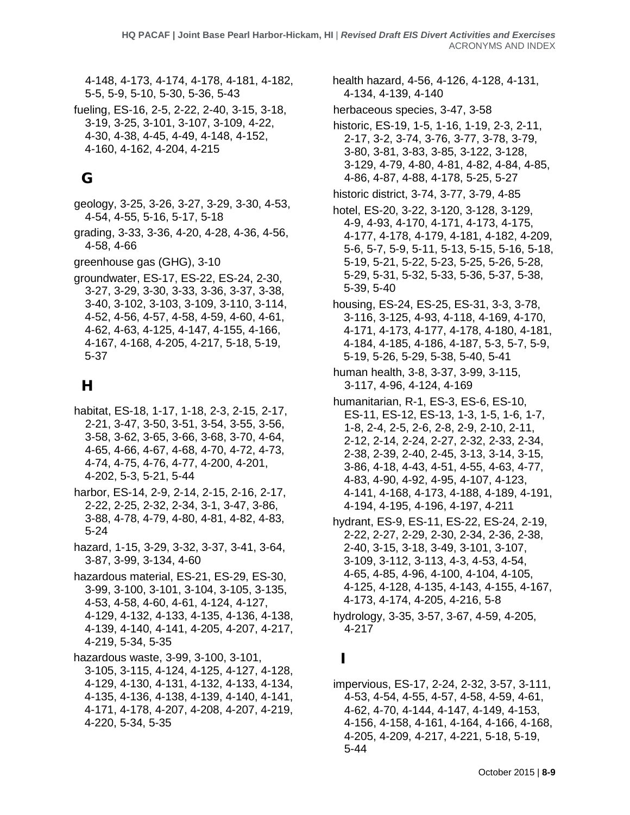4-148, 4-173, 4-174, 4-178, 4-181, 4-182, 5-5, 5-9, 5-10, 5-30, 5-36, 5-43

fueling, ES-16, 2-5, 2-22, 2-40, 3-15, 3-18, 3-19, 3-25, 3-101, 3-107, 3-109, 4-22, 4-30, 4-38, 4-45, 4-49, 4-148, 4-152, 4-160, 4-162, 4-204, 4-215

#### G

- geology, 3-25, 3-26, 3-27, 3-29, 3-30, 4-53, 4-54, 4-55, 5-16, 5-17, 5-18
- grading, 3-33, 3-36, 4-20, 4-28, 4-36, 4-56, 4-58, 4-66

greenhouse gas (GHG), 3-10

groundwater, ES-17, ES-22, ES-24, 2-30, 3-27, 3-29, 3-30, 3-33, 3-36, 3-37, 3-38, 3-40, 3-102, 3-103, 3-109, 3-110, 3-114, 4-52, 4-56, 4-57, 4-58, 4-59, 4-60, 4-61, 4-62, 4-63, 4-125, 4-147, 4-155, 4-166, 4-167, 4-168, 4-205, 4-217, 5-18, 5-19, 5-37

#### H

- habitat, ES-18, 1-17, 1-18, 2-3, 2-15, 2-17, 2-21, 3-47, 3-50, 3-51, 3-54, 3-55, 3-56, 3-58, 3-62, 3-65, 3-66, 3-68, 3-70, 4-64, 4-65, 4-66, 4-67, 4-68, 4-70, 4-72, 4-73, 4-74, 4-75, 4-76, 4-77, 4-200, 4-201, 4-202, 5-3, 5-21, 5-44
- harbor, ES-14, 2-9, 2-14, 2-15, 2-16, 2-17, 2-22, 2-25, 2-32, 2-34, 3-1, 3-47, 3-86, 3-88, 4-78, 4-79, 4-80, 4-81, 4-82, 4-83, 5-24
- hazard, 1-15, 3-29, 3-32, 3-37, 3-41, 3-64, 3-87, 3-99, 3-134, 4-60
- hazardous material, ES-21, ES-29, ES-30, 3-99, 3-100, 3-101, 3-104, 3-105, 3-135, 4-53, 4-58, 4-60, 4-61, 4-124, 4-127, 4-129, 4-132, 4-133, 4-135, 4-136, 4-138, 4-139, 4-140, 4-141, 4-205, 4-207, 4-217, 4-219, 5-34, 5-35
- hazardous waste, 3-99, 3-100, 3-101, 3-105, 3-115, 4-124, 4-125, 4-127, 4-128, 4-129, 4-130, 4-131, 4-132, 4-133, 4-134, 4-135, 4-136, 4-138, 4-139, 4-140, 4-141, 4-171, 4-178, 4-207, 4-208, 4-207, 4-219, 4-220, 5-34, 5-35

health hazard, 4-56, 4-126, 4-128, 4-131, 4-134, 4-139, 4-140

herbaceous species, 3-47, 3-58

- historic, ES-19, 1-5, 1-16, 1-19, 2-3, 2-11, 2-17, 3-2, 3-74, 3-76, 3-77, 3-78, 3-79, 3-80, 3-81, 3-83, 3-85, 3-122, 3-128, 3-129, 4-79, 4-80, 4-81, 4-82, 4-84, 4-85, 4-86, 4-87, 4-88, 4-178, 5-25, 5-27
- historic district, 3-74, 3-77, 3-79, 4-85
- hotel, ES-20, 3-22, 3-120, 3-128, 3-129, 4-9, 4-93, 4-170, 4-171, 4-173, 4-175, 4-177, 4-178, 4-179, 4-181, 4-182, 4-209, 5-6, 5-7, 5-9, 5-11, 5-13, 5-15, 5-16, 5-18, 5-19, 5-21, 5-22, 5-23, 5-25, 5-26, 5-28, 5-29, 5-31, 5-32, 5-33, 5-36, 5-37, 5-38, 5-39, 5-40
- housing, ES-24, ES-25, ES-31, 3-3, 3-78, 3-116, 3-125, 4-93, 4-118, 4-169, 4-170, 4-171, 4-173, 4-177, 4-178, 4-180, 4-181, 4-184, 4-185, 4-186, 4-187, 5-3, 5-7, 5-9, 5-19, 5-26, 5-29, 5-38, 5-40, 5-41
- human health, 3-8, 3-37, 3-99, 3-115, 3-117, 4-96, 4-124, 4-169
- humanitarian, R-1, ES-3, ES-6, ES-10, ES-11, ES-12, ES-13, 1-3, 1-5, 1-6, 1-7, 1-8, 2-4, 2-5, 2-6, 2-8, 2-9, 2-10, 2-11, 2-12, 2-14, 2-24, 2-27, 2-32, 2-33, 2-34, 2-38, 2-39, 2-40, 2-45, 3-13, 3-14, 3-15, 3-86, 4-18, 4-43, 4-51, 4-55, 4-63, 4-77, 4-83, 4-90, 4-92, 4-95, 4-107, 4-123, 4-141, 4-168, 4-173, 4-188, 4-189, 4-191, 4-194, 4-195, 4-196, 4-197, 4-211
- hydrant, ES-9, ES-11, ES-22, ES-24, 2-19, 2-22, 2-27, 2-29, 2-30, 2-34, 2-36, 2-38, 2-40, 3-15, 3-18, 3-49, 3-101, 3-107, 3-109, 3-112, 3-113, 4-3, 4-53, 4-54, 4-65, 4-85, 4-96, 4-100, 4-104, 4-105, 4-125, 4-128, 4-135, 4-143, 4-155, 4-167, 4-173, 4-174, 4-205, 4-216, 5-8 hydrology, 3-35, 3-57, 3-67, 4-59, 4-205,
	- 4-217

#### I

impervious, ES-17, 2-24, 2-32, 3-57, 3-111, 4-53, 4-54, 4-55, 4-57, 4-58, 4-59, 4-61, 4-62, 4-70, 4-144, 4-147, 4-149, 4-153, 4-156, 4-158, 4-161, 4-164, 4-166, 4-168, 4-205, 4-209, 4-217, 4-221, 5-18, 5-19, 5-44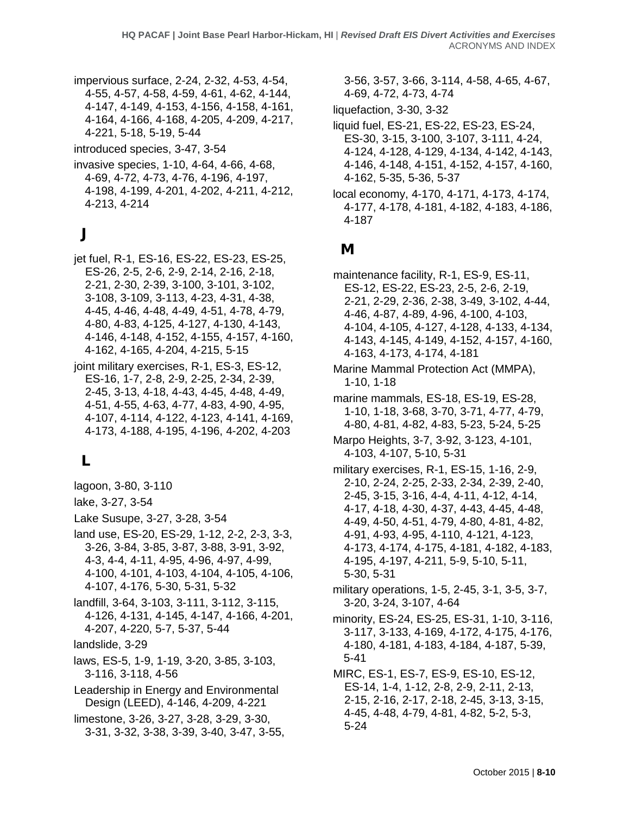impervious surface, 2-24, 2-32, 4-53, 4-54, 4-55, 4-57, 4-58, 4-59, 4-61, 4-62, 4-144, 4-147, 4-149, 4-153, 4-156, 4-158, 4-161, 4-164, 4-166, 4-168, 4-205, 4-209, 4-217, 4-221, 5-18, 5-19, 5-44

introduced species, 3-47, 3-54

invasive species, 1-10, 4-64, 4-66, 4-68, 4-69, 4-72, 4-73, 4-76, 4-196, 4-197, 4-198, 4-199, 4-201, 4-202, 4-211, 4-212, 4-213, 4-214

### J

- jet fuel, R-1, ES-16, ES-22, ES-23, ES-25, ES-26, 2-5, 2-6, 2-9, 2-14, 2-16, 2-18, 2-21, 2-30, 2-39, 3-100, 3-101, 3-102, 3-108, 3-109, 3-113, 4-23, 4-31, 4-38, 4-45, 4-46, 4-48, 4-49, 4-51, 4-78, 4-79, 4-80, 4-83, 4-125, 4-127, 4-130, 4-143, 4-146, 4-148, 4-152, 4-155, 4-157, 4-160, 4-162, 4-165, 4-204, 4-215, 5-15
- joint military exercises, R-1, ES-3, ES-12, ES-16, 1-7, 2-8, 2-9, 2-25, 2-34, 2-39, 2-45, 3-13, 4-18, 4-43, 4-45, 4-48, 4-49, 4-51, 4-55, 4-63, 4-77, 4-83, 4-90, 4-95, 4-107, 4-114, 4-122, 4-123, 4-141, 4-169, 4-173, 4-188, 4-195, 4-196, 4-202, 4-203

#### L

- lagoon, 3-80, 3-110
- lake, 3-27, 3-54
- Lake Susupe, 3-27, 3-28, 3-54
- land use, ES-20, ES-29, 1-12, 2-2, 2-3, 3-3, 3-26, 3-84, 3-85, 3-87, 3-88, 3-91, 3-92, 4-3, 4-4, 4-11, 4-95, 4-96, 4-97, 4-99, 4-100, 4-101, 4-103, 4-104, 4-105, 4-106, 4-107, 4-176, 5-30, 5-31, 5-32
- landfill, 3-64, 3-103, 3-111, 3-112, 3-115, 4-126, 4-131, 4-145, 4-147, 4-166, 4-201, 4-207, 4-220, 5-7, 5-37, 5-44
- landslide, 3-29
- laws, ES-5, 1-9, 1-19, 3-20, 3-85, 3-103, 3-116, 3-118, 4-56
- Leadership in Energy and Environmental Design (LEED), 4-146, 4-209, 4-221
- limestone, 3-26, 3-27, 3-28, 3-29, 3-30, 3-31, 3-32, 3-38, 3-39, 3-40, 3-47, 3-55,

3-56, 3-57, 3-66, 3-114, 4-58, 4-65, 4-67, 4-69, 4-72, 4-73, 4-74

liquefaction, 3-30, 3-32

- liquid fuel, ES-21, ES-22, ES-23, ES-24, ES-30, 3-15, 3-100, 3-107, 3-111, 4-24, 4-124, 4-128, 4-129, 4-134, 4-142, 4-143, 4-146, 4-148, 4-151, 4-152, 4-157, 4-160, 4-162, 5-35, 5-36, 5-37
- local economy, 4-170, 4-171, 4-173, 4-174, 4-177, 4-178, 4-181, 4-182, 4-183, 4-186, 4-187

#### M

- maintenance facility, R-1, ES-9, ES-11, ES-12, ES-22, ES-23, 2-5, 2-6, 2-19, 2-21, 2-29, 2-36, 2-38, 3-49, 3-102, 4-44, 4-46, 4-87, 4-89, 4-96, 4-100, 4-103, 4-104, 4-105, 4-127, 4-128, 4-133, 4-134, 4-143, 4-145, 4-149, 4-152, 4-157, 4-160, 4-163, 4-173, 4-174, 4-181
- Marine Mammal Protection Act (MMPA), 1-10, 1-18
- marine mammals, ES-18, ES-19, ES-28, 1-10, 1-18, 3-68, 3-70, 3-71, 4-77, 4-79, 4-80, 4-81, 4-82, 4-83, 5-23, 5-24, 5-25
- Marpo Heights, 3-7, 3-92, 3-123, 4-101, 4-103, 4-107, 5-10, 5-31
- military exercises, R-1, ES-15, 1-16, 2-9, 2-10, 2-24, 2-25, 2-33, 2-34, 2-39, 2-40, 2-45, 3-15, 3-16, 4-4, 4-11, 4-12, 4-14, 4-17, 4-18, 4-30, 4-37, 4-43, 4-45, 4-48, 4-49, 4-50, 4-51, 4-79, 4-80, 4-81, 4-82, 4-91, 4-93, 4-95, 4-110, 4-121, 4-123, 4-173, 4-174, 4-175, 4-181, 4-182, 4-183, 4-195, 4-197, 4-211, 5-9, 5-10, 5-11, 5-30, 5-31
- military operations, 1-5, 2-45, 3-1, 3-5, 3-7, 3-20, 3-24, 3-107, 4-64
- minority, ES-24, ES-25, ES-31, 1-10, 3-116, 3-117, 3-133, 4-169, 4-172, 4-175, 4-176, 4-180, 4-181, 4-183, 4-184, 4-187, 5-39, 5-41
- MIRC, ES-1, ES-7, ES-9, ES-10, ES-12, ES-14, 1-4, 1-12, 2-8, 2-9, 2-11, 2-13, 2-15, 2-16, 2-17, 2-18, 2-45, 3-13, 3-15, 4-45, 4-48, 4-79, 4-81, 4-82, 5-2, 5-3, 5-24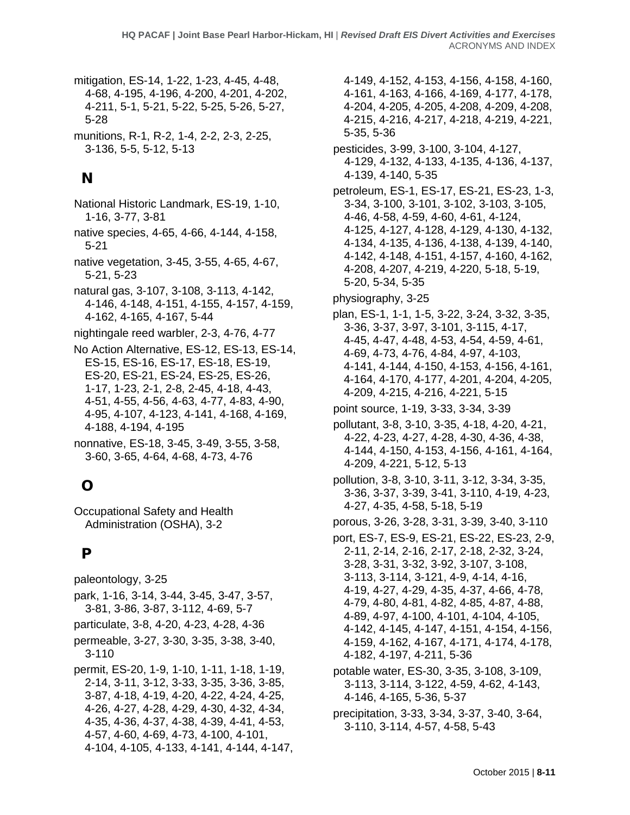mitigation, ES-14, 1-22, 1-23, 4-45, 4-48, 4-68, 4-195, 4-196, 4-200, 4-201, 4-202, 4-211, 5-1, 5-21, 5-22, 5-25, 5-26, 5-27, 5-28

munitions, R-1, R-2, 1-4, 2-2, 2-3, 2-25, 3-136, 5-5, 5-12, 5-13

#### N

National Historic Landmark, ES-19, 1-10, 1-16, 3-77, 3-81 native species, 4-65, 4-66, 4-144, 4-158, 5-21 native vegetation, 3-45, 3-55, 4-65, 4-67, 5-21, 5-23 natural gas, 3-107, 3-108, 3-113, 4-142, 4-146, 4-148, 4-151, 4-155, 4-157, 4-159, 4-162, 4-165, 4-167, 5-44 nightingale reed warbler, 2-3, 4-76, 4-77 No Action Alternative, ES-12, ES-13, ES-14, ES-15, ES-16, ES-17, ES-18, ES-19, ES-20, ES-21, ES-24, ES-25, ES-26, 1-17, 1-23, 2-1, 2-8, 2-45, 4-18, 4-43, 4-51, 4-55, 4-56, 4-63, 4-77, 4-83, 4-90, 4-95, 4-107, 4-123, 4-141, 4-168, 4-169, 4-188, 4-194, 4-195

nonnative, ES-18, 3-45, 3-49, 3-55, 3-58, 3-60, 3-65, 4-64, 4-68, 4-73, 4-76

## O

Occupational Safety and Health Administration (OSHA), 3-2

#### P

paleontology, 3-25

- park, 1-16, 3-14, 3-44, 3-45, 3-47, 3-57, 3-81, 3-86, 3-87, 3-112, 4-69, 5-7
- particulate, 3-8, 4-20, 4-23, 4-28, 4-36

permeable, 3-27, 3-30, 3-35, 3-38, 3-40, 3-110

permit, ES-20, 1-9, 1-10, 1-11, 1-18, 1-19, 2-14, 3-11, 3-12, 3-33, 3-35, 3-36, 3-85, 3-87, 4-18, 4-19, 4-20, 4-22, 4-24, 4-25, 4-26, 4-27, 4-28, 4-29, 4-30, 4-32, 4-34, 4-35, 4-36, 4-37, 4-38, 4-39, 4-41, 4-53, 4-57, 4-60, 4-69, 4-73, 4-100, 4-101, 4-104, 4-105, 4-133, 4-141, 4-144, 4-147,

4-149, 4-152, 4-153, 4-156, 4-158, 4-160, 4-161, 4-163, 4-166, 4-169, 4-177, 4-178, 4-204, 4-205, 4-205, 4-208, 4-209, 4-208, 4-215, 4-216, 4-217, 4-218, 4-219, 4-221, 5-35, 5-36 pesticides, 3-99, 3-100, 3-104, 4-127, 4-129, 4-132, 4-133, 4-135, 4-136, 4-137, 4-139, 4-140, 5-35 petroleum, ES-1, ES-17, ES-21, ES-23, 1-3, 3-34, 3-100, 3-101, 3-102, 3-103, 3-105, 4-46, 4-58, 4-59, 4-60, 4-61, 4-124, 4-125, 4-127, 4-128, 4-129, 4-130, 4-132, 4-134, 4-135, 4-136, 4-138, 4-139, 4-140, 4-142, 4-148, 4-151, 4-157, 4-160, 4-162, 4-208, 4-207, 4-219, 4-220, 5-18, 5-19, 5-20, 5-34, 5-35 physiography, 3-25 plan, ES-1, 1-1, 1-5, 3-22, 3-24, 3-32, 3-35, 3-36, 3-37, 3-97, 3-101, 3-115, 4-17, 4-45, 4-47, 4-48, 4-53, 4-54, 4-59, 4-61, 4-69, 4-73, 4-76, 4-84, 4-97, 4-103, 4-141, 4-144, 4-150, 4-153, 4-156, 4-161, 4-164, 4-170, 4-177, 4-201, 4-204, 4-205, 4-209, 4-215, 4-216, 4-221, 5-15 point source, 1-19, 3-33, 3-34, 3-39 pollutant, 3-8, 3-10, 3-35, 4-18, 4-20, 4-21, 4-22, 4-23, 4-27, 4-28, 4-30, 4-36, 4-38, 4-144, 4-150, 4-153, 4-156, 4-161, 4-164, 4-209, 4-221, 5-12, 5-13 pollution, 3-8, 3-10, 3-11, 3-12, 3-34, 3-35, 3-36, 3-37, 3-39, 3-41, 3-110, 4-19, 4-23, 4-27, 4-35, 4-58, 5-18, 5-19 porous, 3-26, 3-28, 3-31, 3-39, 3-40, 3-110 port, ES-7, ES-9, ES-21, ES-22, ES-23, 2-9, 2-11, 2-14, 2-16, 2-17, 2-18, 2-32, 3-24, 3-28, 3-31, 3-32, 3-92, 3-107, 3-108, 3-113, 3-114, 3-121, 4-9, 4-14, 4-16, 4-19, 4-27, 4-29, 4-35, 4-37, 4-66, 4-78, 4-79, 4-80, 4-81, 4-82, 4-85, 4-87, 4-88, 4-89, 4-97, 4-100, 4-101, 4-104, 4-105, 4-142, 4-145, 4-147, 4-151, 4-154, 4-156, 4-159, 4-162, 4-167, 4-171, 4-174, 4-178, 4-182, 4-197, 4-211, 5-36 potable water, ES-30, 3-35, 3-108, 3-109, 3-113, 3-114, 3-122, 4-59, 4-62, 4-143, 4-146, 4-165, 5-36, 5-37 precipitation, 3-33, 3-34, 3-37, 3-40, 3-64, 3-110, 3-114, 4-57, 4-58, 5-43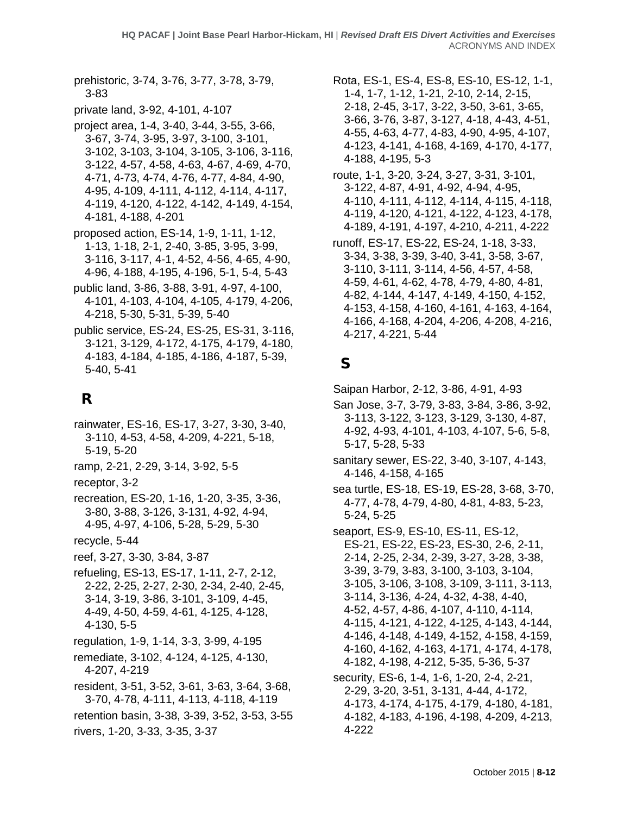prehistoric, 3-74, 3-76, 3-77, 3-78, 3-79, 3-83

private land, 3-92, 4-101, 4-107

- project area, 1-4, 3-40, 3-44, 3-55, 3-66, 3-67, 3-74, 3-95, 3-97, 3-100, 3-101, 3-102, 3-103, 3-104, 3-105, 3-106, 3-116, 3-122, 4-57, 4-58, 4-63, 4-67, 4-69, 4-70, 4-71, 4-73, 4-74, 4-76, 4-77, 4-84, 4-90, 4-95, 4-109, 4-111, 4-112, 4-114, 4-117, 4-119, 4-120, 4-122, 4-142, 4-149, 4-154, 4-181, 4-188, 4-201
- proposed action, ES-14, 1-9, 1-11, 1-12, 1-13, 1-18, 2-1, 2-40, 3-85, 3-95, 3-99, 3-116, 3-117, 4-1, 4-52, 4-56, 4-65, 4-90, 4-96, 4-188, 4-195, 4-196, 5-1, 5-4, 5-43
- public land, 3-86, 3-88, 3-91, 4-97, 4-100, 4-101, 4-103, 4-104, 4-105, 4-179, 4-206, 4-218, 5-30, 5-31, 5-39, 5-40
- public service, ES-24, ES-25, ES-31, 3-116, 3-121, 3-129, 4-172, 4-175, 4-179, 4-180, 4-183, 4-184, 4-185, 4-186, 4-187, 5-39, 5-40, 5-41

#### R

rainwater, ES-16, ES-17, 3-27, 3-30, 3-40, 3-110, 4-53, 4-58, 4-209, 4-221, 5-18, 5-19, 5-20 ramp, 2-21, 2-29, 3-14, 3-92, 5-5 receptor, 3-2 recreation, ES-20, 1-16, 1-20, 3-35, 3-36, 3-80, 3-88, 3-126, 3-131, 4-92, 4-94, 4-95, 4-97, 4-106, 5-28, 5-29, 5-30 recycle, 5-44 reef, 3-27, 3-30, 3-84, 3-87 refueling, ES-13, ES-17, 1-11, 2-7, 2-12, 2-22, 2-25, 2-27, 2-30, 2-34, 2-40, 2-45, 3-14, 3-19, 3-86, 3-101, 3-109, 4-45, 4-49, 4-50, 4-59, 4-61, 4-125, 4-128, 4-130, 5-5 regulation, 1-9, 1-14, 3-3, 3-99, 4-195 remediate, 3-102, 4-124, 4-125, 4-130, 4-207, 4-219 resident, 3-51, 3-52, 3-61, 3-63, 3-64, 3-68, 3-70, 4-78, 4-111, 4-113, 4-118, 4-119 retention basin, 3-38, 3-39, 3-52, 3-53, 3-55 rivers, 1-20, 3-33, 3-35, 3-37

Rota, ES-1, ES-4, ES-8, ES-10, ES-12, 1-1, 1-4, 1-7, 1-12, 1-21, 2-10, 2-14, 2-15, 2-18, 2-45, 3-17, 3-22, 3-50, 3-61, 3-65, 3-66, 3-76, 3-87, 3-127, 4-18, 4-43, 4-51, 4-55, 4-63, 4-77, 4-83, 4-90, 4-95, 4-107, 4-123, 4-141, 4-168, 4-169, 4-170, 4-177, 4-188, 4-195, 5-3

- route, 1-1, 3-20, 3-24, 3-27, 3-31, 3-101, 3-122, 4-87, 4-91, 4-92, 4-94, 4-95, 4-110, 4-111, 4-112, 4-114, 4-115, 4-118, 4-119, 4-120, 4-121, 4-122, 4-123, 4-178, 4-189, 4-191, 4-197, 4-210, 4-211, 4-222
- runoff, ES-17, ES-22, ES-24, 1-18, 3-33, 3-34, 3-38, 3-39, 3-40, 3-41, 3-58, 3-67, 3-110, 3-111, 3-114, 4-56, 4-57, 4-58, 4-59, 4-61, 4-62, 4-78, 4-79, 4-80, 4-81, 4-82, 4-144, 4-147, 4-149, 4-150, 4-152, 4-153, 4-158, 4-160, 4-161, 4-163, 4-164, 4-166, 4-168, 4-204, 4-206, 4-208, 4-216, 4-217, 4-221, 5-44

### S

Saipan Harbor, 2-12, 3-86, 4-91, 4-93

- San Jose, 3-7, 3-79, 3-83, 3-84, 3-86, 3-92, 3-113, 3-122, 3-123, 3-129, 3-130, 4-87, 4-92, 4-93, 4-101, 4-103, 4-107, 5-6, 5-8, 5-17, 5-28, 5-33
- sanitary sewer, ES-22, 3-40, 3-107, 4-143, 4-146, 4-158, 4-165

sea turtle, ES-18, ES-19, ES-28, 3-68, 3-70, 4-77, 4-78, 4-79, 4-80, 4-81, 4-83, 5-23, 5-24, 5-25

- seaport, ES-9, ES-10, ES-11, ES-12, ES-21, ES-22, ES-23, ES-30, 2-6, 2-11, 2-14, 2-25, 2-34, 2-39, 3-27, 3-28, 3-38, 3-39, 3-79, 3-83, 3-100, 3-103, 3-104, 3-105, 3-106, 3-108, 3-109, 3-111, 3-113, 3-114, 3-136, 4-24, 4-32, 4-38, 4-40, 4-52, 4-57, 4-86, 4-107, 4-110, 4-114, 4-115, 4-121, 4-122, 4-125, 4-143, 4-144, 4-146, 4-148, 4-149, 4-152, 4-158, 4-159, 4-160, 4-162, 4-163, 4-171, 4-174, 4-178, 4-182, 4-198, 4-212, 5-35, 5-36, 5-37 security, ES-6, 1-4, 1-6, 1-20, 2-4, 2-21, 2-29, 3-20, 3-51, 3-131, 4-44, 4-172,
- 4-173, 4-174, 4-175, 4-179, 4-180, 4-181, 4-182, 4-183, 4-196, 4-198, 4-209, 4-213, 4-222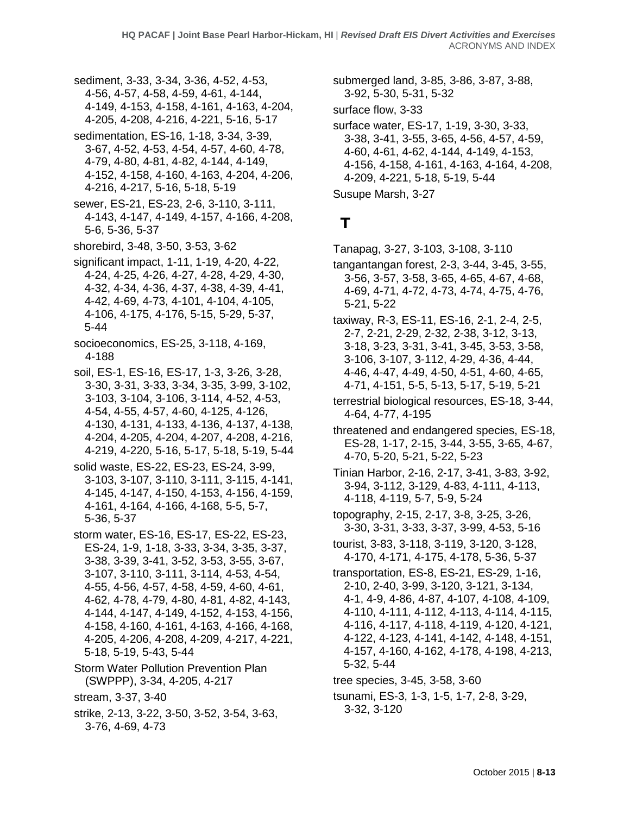sediment, 3-33, 3-34, 3-36, 4-52, 4-53, 4-56, 4-57, 4-58, 4-59, 4-61, 4-144, 4-149, 4-153, 4-158, 4-161, 4-163, 4-204, 4-205, 4-208, 4-216, 4-221, 5-16, 5-17

- sedimentation, ES-16, 1-18, 3-34, 3-39, 3-67, 4-52, 4-53, 4-54, 4-57, 4-60, 4-78, 4-79, 4-80, 4-81, 4-82, 4-144, 4-149, 4-152, 4-158, 4-160, 4-163, 4-204, 4-206, 4-216, 4-217, 5-16, 5-18, 5-19
- sewer, ES-21, ES-23, 2-6, 3-110, 3-111, 4-143, 4-147, 4-149, 4-157, 4-166, 4-208, 5-6, 5-36, 5-37

shorebird, 3-48, 3-50, 3-53, 3-62

- significant impact, 1-11, 1-19, 4-20, 4-22, 4-24, 4-25, 4-26, 4-27, 4-28, 4-29, 4-30, 4-32, 4-34, 4-36, 4-37, 4-38, 4-39, 4-41, 4-42, 4-69, 4-73, 4-101, 4-104, 4-105, 4-106, 4-175, 4-176, 5-15, 5-29, 5-37, 5-44
- socioeconomics, ES-25, 3-118, 4-169, 4-188
- soil, ES-1, ES-16, ES-17, 1-3, 3-26, 3-28, 3-30, 3-31, 3-33, 3-34, 3-35, 3-99, 3-102, 3-103, 3-104, 3-106, 3-114, 4-52, 4-53, 4-54, 4-55, 4-57, 4-60, 4-125, 4-126, 4-130, 4-131, 4-133, 4-136, 4-137, 4-138, 4-204, 4-205, 4-204, 4-207, 4-208, 4-216, 4-219, 4-220, 5-16, 5-17, 5-18, 5-19, 5-44
- solid waste, ES-22, ES-23, ES-24, 3-99, 3-103, 3-107, 3-110, 3-111, 3-115, 4-141, 4-145, 4-147, 4-150, 4-153, 4-156, 4-159, 4-161, 4-164, 4-166, 4-168, 5-5, 5-7, 5-36, 5-37
- storm water, ES-16, ES-17, ES-22, ES-23, ES-24, 1-9, 1-18, 3-33, 3-34, 3-35, 3-37, 3-38, 3-39, 3-41, 3-52, 3-53, 3-55, 3-67, 3-107, 3-110, 3-111, 3-114, 4-53, 4-54, 4-55, 4-56, 4-57, 4-58, 4-59, 4-60, 4-61, 4-62, 4-78, 4-79, 4-80, 4-81, 4-82, 4-143, 4-144, 4-147, 4-149, 4-152, 4-153, 4-156, 4-158, 4-160, 4-161, 4-163, 4-166, 4-168, 4-205, 4-206, 4-208, 4-209, 4-217, 4-221, 5-18, 5-19, 5-43, 5-44
- Storm Water Pollution Prevention Plan (SWPPP), 3-34, 4-205, 4-217 stream, 3-37, 3-40
- strike, 2-13, 3-22, 3-50, 3-52, 3-54, 3-63, 3-76, 4-69, 4-73

submerged land, 3-85, 3-86, 3-87, 3-88, 3-92, 5-30, 5-31, 5-32

surface flow, 3-33

surface water, ES-17, 1-19, 3-30, 3-33, 3-38, 3-41, 3-55, 3-65, 4-56, 4-57, 4-59, 4-60, 4-61, 4-62, 4-144, 4-149, 4-153, 4-156, 4-158, 4-161, 4-163, 4-164, 4-208, 4-209, 4-221, 5-18, 5-19, 5-44 Susupe Marsh, 3-27

### T

Tanapag, 3-27, 3-103, 3-108, 3-110

- tangantangan forest, 2-3, 3-44, 3-45, 3-55, 3-56, 3-57, 3-58, 3-65, 4-65, 4-67, 4-68, 4-69, 4-71, 4-72, 4-73, 4-74, 4-75, 4-76, 5-21, 5-22
- taxiway, R-3, ES-11, ES-16, 2-1, 2-4, 2-5, 2-7, 2-21, 2-29, 2-32, 2-38, 3-12, 3-13, 3-18, 3-23, 3-31, 3-41, 3-45, 3-53, 3-58, 3-106, 3-107, 3-112, 4-29, 4-36, 4-44, 4-46, 4-47, 4-49, 4-50, 4-51, 4-60, 4-65, 4-71, 4-151, 5-5, 5-13, 5-17, 5-19, 5-21
- terrestrial biological resources, ES-18, 3-44, 4-64, 4-77, 4-195
- threatened and endangered species, ES-18, ES-28, 1-17, 2-15, 3-44, 3-55, 3-65, 4-67, 4-70, 5-20, 5-21, 5-22, 5-23
- Tinian Harbor, 2-16, 2-17, 3-41, 3-83, 3-92, 3-94, 3-112, 3-129, 4-83, 4-111, 4-113, 4-118, 4-119, 5-7, 5-9, 5-24
- topography, 2-15, 2-17, 3-8, 3-25, 3-26, 3-30, 3-31, 3-33, 3-37, 3-99, 4-53, 5-16
- tourist, 3-83, 3-118, 3-119, 3-120, 3-128, 4-170, 4-171, 4-175, 4-178, 5-36, 5-37
- transportation, ES-8, ES-21, ES-29, 1-16, 2-10, 2-40, 3-99, 3-120, 3-121, 3-134, 4-1, 4-9, 4-86, 4-87, 4-107, 4-108, 4-109, 4-110, 4-111, 4-112, 4-113, 4-114, 4-115, 4-116, 4-117, 4-118, 4-119, 4-120, 4-121, 4-122, 4-123, 4-141, 4-142, 4-148, 4-151, 4-157, 4-160, 4-162, 4-178, 4-198, 4-213, 5-32, 5-44
- tree species, 3-45, 3-58, 3-60
- tsunami, ES-3, 1-3, 1-5, 1-7, 2-8, 3-29, 3-32, 3-120